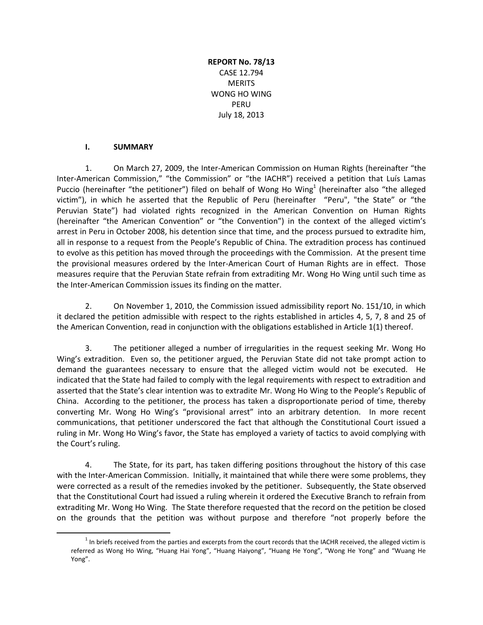**REPORT No. 78/13** CASE 12.794 **MERITS** WONG HO WING PERU July 18, 2013

## **I. SUMMARY**

 $\overline{a}$ 

1. On March 27, 2009, the Inter-American Commission on Human Rights (hereinafter "the Inter-American Commission," "the Commission" or "the IACHR") received a petition that Luís Lamas Puccio (hereinafter "the petitioner") filed on behalf of Wong Ho Wing<sup>1</sup> (hereinafter also "the alleged victim"), in which he asserted that the Republic of Peru (hereinafter "Peru", "the State" or "the Peruvian State") had violated rights recognized in the American Convention on Human Rights (hereinafter "the American Convention" or "the Convention") in the context of the alleged victim's arrest in Peru in October 2008, his detention since that time, and the process pursued to extradite him, all in response to a request from the People's Republic of China. The extradition process has continued to evolve as this petition has moved through the proceedings with the Commission. At the present time the provisional measures ordered by the Inter-American Court of Human Rights are in effect. Those measures require that the Peruvian State refrain from extraditing Mr. Wong Ho Wing until such time as the Inter-American Commission issues its finding on the matter.

2. On November 1, 2010, the Commission issued admissibility report No. 151/10, in which it declared the petition admissible with respect to the rights established in articles 4, 5, 7, 8 and 25 of the American Convention, read in conjunction with the obligations established in Article 1(1) thereof.

3. The petitioner alleged a number of irregularities in the request seeking Mr. Wong Ho Wing's extradition. Even so, the petitioner argued, the Peruvian State did not take prompt action to demand the guarantees necessary to ensure that the alleged victim would not be executed. He indicated that the State had failed to comply with the legal requirements with respect to extradition and asserted that the State's clear intention was to extradite Mr. Wong Ho Wing to the People's Republic of China. According to the petitioner, the process has taken a disproportionate period of time, thereby converting Mr. Wong Ho Wing's "provisional arrest" into an arbitrary detention. In more recent communications, that petitioner underscored the fact that although the Constitutional Court issued a ruling in Mr. Wong Ho Wing's favor, the State has employed a variety of tactics to avoid complying with the Court's ruling.

4. The State, for its part, has taken differing positions throughout the history of this case with the Inter-American Commission. Initially, it maintained that while there were some problems, they were corrected as a result of the remedies invoked by the petitioner. Subsequently, the State observed that the Constitutional Court had issued a ruling wherein it ordered the Executive Branch to refrain from extraditing Mr. Wong Ho Wing. The State therefore requested that the record on the petition be closed on the grounds that the petition was without purpose and therefore "not properly before the

 $1$  In briefs received from the parties and excerpts from the court records that the IACHR received, the alleged victim is referred as Wong Ho Wing, "Huang Hai Yong", "Huang Haiyong", "Huang He Yong", "Wong He Yong" and "Wuang He Yong".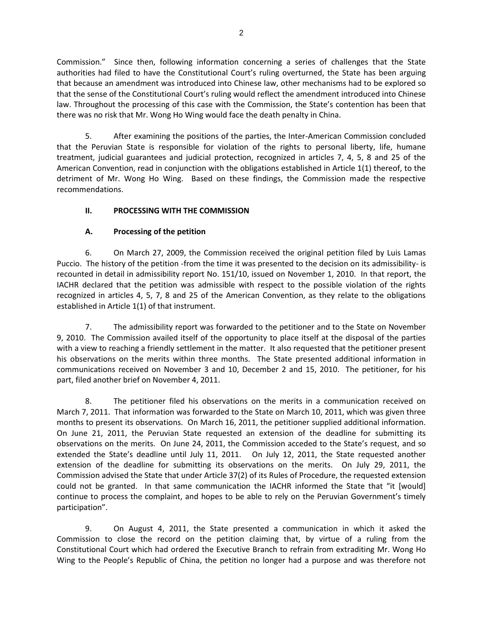Commission." Since then, following information concerning a series of challenges that the State authorities had filed to have the Constitutional Court's ruling overturned, the State has been arguing that because an amendment was introduced into Chinese law, other mechanisms had to be explored so that the sense of the Constitutional Court's ruling would reflect the amendment introduced into Chinese law. Throughout the processing of this case with the Commission, the State's contention has been that there was no risk that Mr. Wong Ho Wing would face the death penalty in China.

5. After examining the positions of the parties, the Inter-American Commission concluded that the Peruvian State is responsible for violation of the rights to personal liberty, life, humane treatment, judicial guarantees and judicial protection, recognized in articles 7, 4, 5, 8 and 25 of the American Convention, read in conjunction with the obligations established in Article 1(1) thereof, to the detriment of Mr. Wong Ho Wing. Based on these findings, the Commission made the respective recommendations.

# **II. PROCESSING WITH THE COMMISSION**

# **A. Processing of the petition**

6. On March 27, 2009, the Commission received the original petition filed by Luis Lamas Puccio. The history of the petition -from the time it was presented to the decision on its admissibility- is recounted in detail in admissibility report No. 151/10, issued on November 1, 2010. In that report, the IACHR declared that the petition was admissible with respect to the possible violation of the rights recognized in articles 4, 5, 7, 8 and 25 of the American Convention, as they relate to the obligations established in Article 1(1) of that instrument.

7. The admissibility report was forwarded to the petitioner and to the State on November 9, 2010. The Commission availed itself of the opportunity to place itself at the disposal of the parties with a view to reaching a friendly settlement in the matter. It also requested that the petitioner present his observations on the merits within three months. The State presented additional information in communications received on November 3 and 10, December 2 and 15, 2010. The petitioner, for his part, filed another brief on November 4, 2011.

8. The petitioner filed his observations on the merits in a communication received on March 7, 2011. That information was forwarded to the State on March 10, 2011, which was given three months to present its observations. On March 16, 2011, the petitioner supplied additional information. On June 21, 2011, the Peruvian State requested an extension of the deadline for submitting its observations on the merits. On June 24, 2011, the Commission acceded to the State's request, and so extended the State's deadline until July 11, 2011. On July 12, 2011, the State requested another extension of the deadline for submitting its observations on the merits. On July 29, 2011, the Commission advised the State that under Article 37(2) of its Rules of Procedure, the requested extension could not be granted. In that same communication the IACHR informed the State that "it [would] continue to process the complaint, and hopes to be able to rely on the Peruvian Government's timely participation".

9. On August 4, 2011, the State presented a communication in which it asked the Commission to close the record on the petition claiming that, by virtue of a ruling from the Constitutional Court which had ordered the Executive Branch to refrain from extraditing Mr. Wong Ho Wing to the People's Republic of China, the petition no longer had a purpose and was therefore not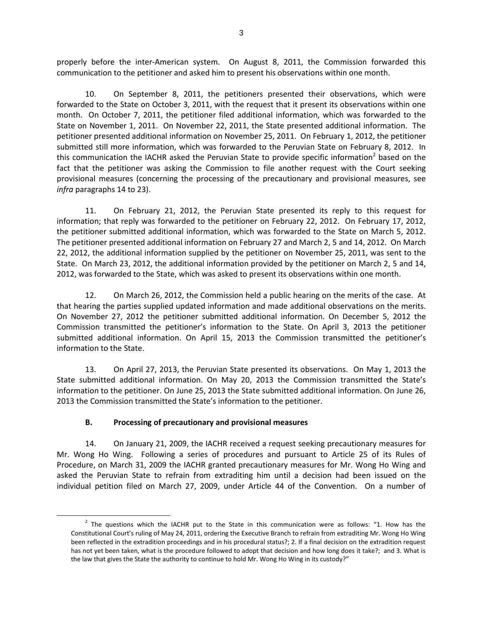properly before the inter-American system. On August 8, 2011, the Commission forwarded this communication to the petitioner and asked him to present his observations within one month.

10. On September 8, 2011, the petitioners presented their observations, which were forwarded to the State on October 3, 2011, with the request that it present its observations within one month. On October 7, 2011, the petitioner filed additional information, which was forwarded to the State on November 1, 2011. On November 22, 2011, the State presented additional information. The petitioner presented additional information on November 25, 2011. On February 1, 2012, the petitioner submitted still more information, which was forwarded to the Peruvian State on February 8, 2012. In this communication the IACHR asked the Peruvian State to provide specific information<sup>2</sup> based on the fact that the petitioner was asking the Commission to file another request with the Court seeking provisional measures (concerning the processing of the precautionary and provisional measures, see *infra* paragraphs 14 to 23).

11. On February 21, 2012, the Peruvian State presented its reply to this request for information; that reply was forwarded to the petitioner on February 22, 2012. On February 17, 2012, the petitioner submitted additional information, which was forwarded to the State on March 5, 2012. The petitioner presented additional information on February 27 and March 2, 5 and 14, 2012. On March 22, 2012, the additional information supplied by the petitioner on November 25, 2011, was sent to the State. On March 23, 2012, the additional information provided by the petitioner on March 2, 5 and 14, 2012, was forwarded to the State, which was asked to present its observations within one month.

12. On March 26, 2012, the Commission held a public hearing on the merits of the case. At that hearing the parties supplied updated information and made additional observations on the merits. On November 27, 2012 the petitioner submitted additional information. On December 5, 2012 the Commission transmitted the petitioner's information to the State. On April 3, 2013 the petitioner submitted additional information. On April 15, 2013 the Commission transmitted the petitioner's information to the State.

13. On April 27, 2013, the Peruvian State presented its observations. On May 1, 2013 the State submitted additional information. On May 20, 2013 the Commission transmitted the State's information to the petitioner. On June 25, 2013 the State submitted additional information. On June 26, 2013 the Commission transmitted the State's information to the petitioner.

# **B. Processing of precautionary and provisional measures**

 $\overline{a}$ 

14. On January 21, 2009, the IACHR received a request seeking precautionary measures for Mr. Wong Ho Wing. Following a series of procedures and pursuant to Article 25 of its Rules of Procedure, on March 31, 2009 the IACHR granted precautionary measures for Mr. Wong Ho Wing and asked the Peruvian State to refrain from extraditing him until a decision had been issued on the individual petition filed on March 27, 2009, under Article 44 of the Convention. On a number of

 $2$  The questions which the IACHR put to the State in this communication were as follows: "1. How has the Constitutional Court's ruling of May 24, 2011, ordering the Executive Branch to refrain from extraditing Mr. Wong Ho Wing been reflected in the extradition proceedings and in his procedural status?; 2. If a final decision on the extradition request has not yet been taken, what is the procedure followed to adopt that decision and how long does it take?; and 3. What is the law that gives the State the authority to continue to hold Mr. Wong Ho Wing in its custody?"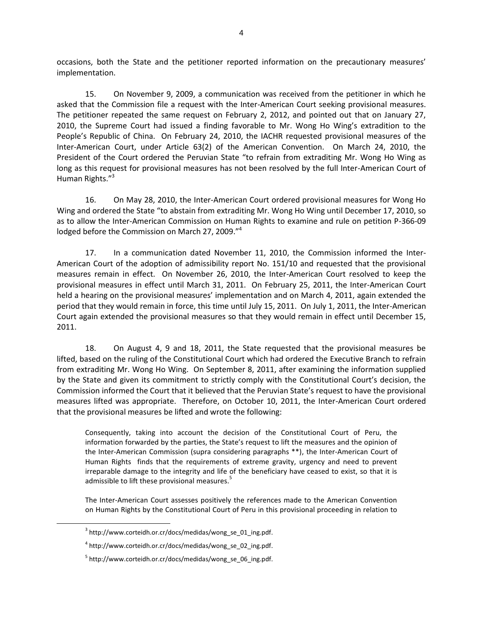occasions, both the State and the petitioner reported information on the precautionary measures' implementation.

15. On November 9, 2009, a communication was received from the petitioner in which he asked that the Commission file a request with the Inter-American Court seeking provisional measures. The petitioner repeated the same request on February 2, 2012, and pointed out that on January 27, 2010, the Supreme Court had issued a finding favorable to Mr. Wong Ho Wing's extradition to the People's Republic of China. On February 24, 2010, the IACHR requested provisional measures of the Inter-American Court, under Article 63(2) of the American Convention. On March 24, 2010, the President of the Court ordered the Peruvian State "to refrain from extraditing Mr. Wong Ho Wing as long as this request for provisional measures has not been resolved by the full Inter-American Court of Human Rights."<sup>3</sup>

16. On May 28, 2010, the Inter-American Court ordered provisional measures for Wong Ho Wing and ordered the State "to abstain from extraditing Mr. Wong Ho Wing until December 17, 2010, so as to allow the Inter-American Commission on Human Rights to examine and rule on petition P-366-09 lodged before the Commission on March 27, 2009."

17. In a communication dated November 11, 2010, the Commission informed the Inter-American Court of the adoption of admissibility report No. 151/10 and requested that the provisional measures remain in effect. On November 26, 2010, the Inter-American Court resolved to keep the provisional measures in effect until March 31, 2011. On February 25, 2011, the Inter-American Court held a hearing on the provisional measures' implementation and on March 4, 2011, again extended the period that they would remain in force, this time until July 15, 2011. On July 1, 2011, the Inter-American Court again extended the provisional measures so that they would remain in effect until December 15, 2011.

18. On August 4, 9 and 18, 2011, the State requested that the provisional measures be lifted, based on the ruling of the Constitutional Court which had ordered the Executive Branch to refrain from extraditing Mr. Wong Ho Wing. On September 8, 2011, after examining the information supplied by the State and given its commitment to strictly comply with the Constitutional Court's decision, the Commission informed the Court that it believed that the Peruvian State's request to have the provisional measures lifted was appropriate. Therefore, on October 10, 2011, the Inter-American Court ordered that the provisional measures be lifted and wrote the following:

Consequently, taking into account the decision of the Constitutional Court of Peru, the information forwarded by the parties, the State's request to lift the measures and the opinion of the Inter-American Commission (supra considering paragraphs \*\*), the Inter-American Court of Human Rights finds that the requirements of extreme gravity, urgency and need to prevent irreparable damage to the integrity and life of the beneficiary have ceased to exist, so that it is admissible to lift these provisional measures.<sup>5</sup>

The Inter-American Court assesses positively the references made to the American Convention on Human Rights by the Constitutional Court of Peru in this provisional proceeding in relation to

<sup>3</sup> http://www.corteidh.or.cr/docs/medidas/wong\_se\_01\_ing.pdf.

<sup>4</sup> http://www.corteidh.or.cr/docs/medidas/wong\_se\_02\_ing.pdf.

<sup>&</sup>lt;sup>5</sup> http://www.corteidh.or.cr/docs/medidas/wong\_se\_06\_ing.pdf.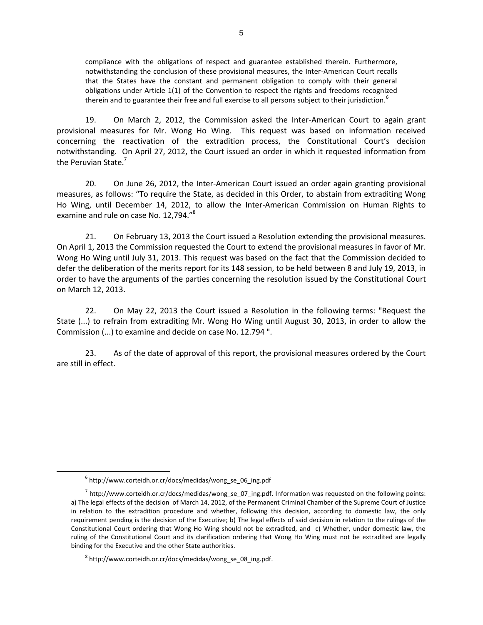compliance with the obligations of respect and guarantee established therein. Furthermore, notwithstanding the conclusion of these provisional measures, the Inter-American Court recalls that the States have the constant and permanent obligation to comply with their general obligations under Article 1(1) of the Convention to respect the rights and freedoms recognized therein and to guarantee their free and full exercise to all persons subject to their jurisdiction.<sup>6</sup>

19. On March 2, 2012, the Commission asked the Inter-American Court to again grant provisional measures for Mr. Wong Ho Wing. This request was based on information received concerning the reactivation of the extradition process, the Constitutional Court's decision notwithstanding. On April 27, 2012, the Court issued an order in which it requested information from the Peruvian State.<sup>7</sup>

20. On June 26, 2012, the Inter-American Court issued an order again granting provisional measures, as follows: "To require the State, as decided in this Order, to abstain from extraditing Wong Ho Wing, until December 14, 2012, to allow the Inter-American Commission on Human Rights to examine and rule on case No. 12,794."<sup>8</sup>

21. On February 13, 2013 the Court issued a Resolution extending the provisional measures. On April 1, 2013 the Commission requested the Court to extend the provisional measures in favor of Mr. Wong Ho Wing until July 31, 2013. This request was based on the fact that the Commission decided to defer the deliberation of the merits report for its 148 session, to be held between 8 and July 19, 2013, in order to have the arguments of the parties concerning the resolution issued by the Constitutional Court on March 12, 2013.

22. On May 22, 2013 the Court issued a Resolution in the following terms: "Request the State (...) to refrain from extraditing Mr. Wong Ho Wing until August 30, 2013, in order to allow the Commission (...) to examine and decide on case No. 12.794 ".

23. As of the date of approval of this report, the provisional measures ordered by the Court are still in effect.

<sup>6</sup> http://www.corteidh.or.cr/docs/medidas/wong\_se\_06\_ing.pdf

<sup>&</sup>lt;sup>7</sup> http://www.corteidh.or.cr/docs/medidas/wong\_se\_07\_ing.pdf. Information was requested on the following points: a) The legal effects of the decision of March 14, 2012, of the Permanent Criminal Chamber of the Supreme Court of Justice in relation to the extradition procedure and whether, following this decision, according to domestic law, the only requirement pending is the decision of the Executive; b) The legal effects of said decision in relation to the rulings of the Constitutional Court ordering that Wong Ho Wing should not be extradited, and c) Whether, under domestic law, the ruling of the Constitutional Court and its clarification ordering that Wong Ho Wing must not be extradited are legally binding for the Executive and the other State authorities.

<sup>8</sup> http://www.corteidh.or.cr/docs/medidas/wong\_se\_08\_ing.pdf.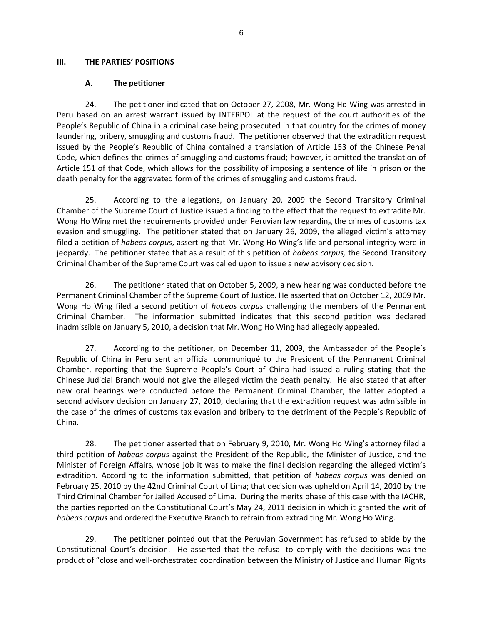### **III. THE PARTIES' POSITIONS**

### **A. The petitioner**

24. The petitioner indicated that on October 27, 2008, Mr. Wong Ho Wing was arrested in Peru based on an arrest warrant issued by INTERPOL at the request of the court authorities of the People's Republic of China in a criminal case being prosecuted in that country for the crimes of money laundering, bribery, smuggling and customs fraud. The petitioner observed that the extradition request issued by the People's Republic of China contained a translation of Article 153 of the Chinese Penal Code, which defines the crimes of smuggling and customs fraud; however, it omitted the translation of Article 151 of that Code, which allows for the possibility of imposing a sentence of life in prison or the death penalty for the aggravated form of the crimes of smuggling and customs fraud.

25. According to the allegations, on January 20, 2009 the Second Transitory Criminal Chamber of the Supreme Court of Justice issued a finding to the effect that the request to extradite Mr. Wong Ho Wing met the requirements provided under Peruvian law regarding the crimes of customs tax evasion and smuggling. The petitioner stated that on January 26, 2009, the alleged victim's attorney filed a petition of *habeas corpus*, asserting that Mr. Wong Ho Wing's life and personal integrity were in jeopardy. The petitioner stated that as a result of this petition of *habeas corpus,* the Second Transitory Criminal Chamber of the Supreme Court was called upon to issue a new advisory decision.

26. The petitioner stated that on October 5, 2009, a new hearing was conducted before the Permanent Criminal Chamber of the Supreme Court of Justice. He asserted that on October 12, 2009 Mr. Wong Ho Wing filed a second petition of *habeas corpus* challenging the members of the Permanent Criminal Chamber. The information submitted indicates that this second petition was declared inadmissible on January 5, 2010, a decision that Mr. Wong Ho Wing had allegedly appealed.

27. According to the petitioner, on December 11, 2009, the Ambassador of the People's Republic of China in Peru sent an official communiqué to the President of the Permanent Criminal Chamber, reporting that the Supreme People's Court of China had issued a ruling stating that the Chinese Judicial Branch would not give the alleged victim the death penalty. He also stated that after new oral hearings were conducted before the Permanent Criminal Chamber, the latter adopted a second advisory decision on January 27, 2010, declaring that the extradition request was admissible in the case of the crimes of customs tax evasion and bribery to the detriment of the People's Republic of China.

28. The petitioner asserted that on February 9, 2010, Mr. Wong Ho Wing's attorney filed a third petition of *habeas corpus* against the President of the Republic, the Minister of Justice, and the Minister of Foreign Affairs, whose job it was to make the final decision regarding the alleged victim's extradition. According to the information submitted, that petition of *habeas corpus* was denied on February 25, 2010 by the 42nd Criminal Court of Lima; that decision was upheld on April 14, 2010 by the Third Criminal Chamber for Jailed Accused of Lima. During the merits phase of this case with the IACHR, the parties reported on the Constitutional Court's May 24, 2011 decision in which it granted the writ of *habeas corpus* and ordered the Executive Branch to refrain from extraditing Mr. Wong Ho Wing.

29. The petitioner pointed out that the Peruvian Government has refused to abide by the Constitutional Court's decision. He asserted that the refusal to comply with the decisions was the product of "close and well-orchestrated coordination between the Ministry of Justice and Human Rights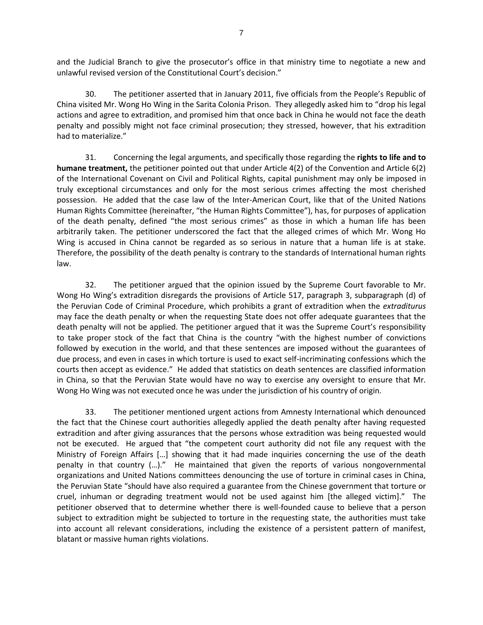and the Judicial Branch to give the prosecutor's office in that ministry time to negotiate a new and unlawful revised version of the Constitutional Court's decision."

30. The petitioner asserted that in January 2011, five officials from the People's Republic of China visited Mr. Wong Ho Wing in the Sarita Colonia Prison. They allegedly asked him to "drop his legal actions and agree to extradition, and promised him that once back in China he would not face the death penalty and possibly might not face criminal prosecution; they stressed, however, that his extradition had to materialize."

31. Concerning the legal arguments, and specifically those regarding the **rights to life and to humane treatment,** the petitioner pointed out that under Article 4(2) of the Convention and Article 6(2) of the International Covenant on Civil and Political Rights, capital punishment may only be imposed in truly exceptional circumstances and only for the most serious crimes affecting the most cherished possession. He added that the case law of the Inter-American Court, like that of the United Nations Human Rights Committee (hereinafter, "the Human Rights Committee"), has, for purposes of application of the death penalty, defined "the most serious crimes" as those in which a human life has been arbitrarily taken. The petitioner underscored the fact that the alleged crimes of which Mr. Wong Ho Wing is accused in China cannot be regarded as so serious in nature that a human life is at stake. Therefore, the possibility of the death penalty is contrary to the standards of International human rights law.

32. The petitioner argued that the opinion issued by the Supreme Court favorable to Mr. Wong Ho Wing's extradition disregards the provisions of Article 517, paragraph 3, subparagraph (d) of the Peruvian Code of Criminal Procedure, which prohibits a grant of extradition when the *extraditurus* may face the death penalty or when the requesting State does not offer adequate guarantees that the death penalty will not be applied. The petitioner argued that it was the Supreme Court's responsibility to take proper stock of the fact that China is the country "with the highest number of convictions followed by execution in the world, and that these sentences are imposed without the guarantees of due process, and even in cases in which torture is used to exact self-incriminating confessions which the courts then accept as evidence." He added that statistics on death sentences are classified information in China, so that the Peruvian State would have no way to exercise any oversight to ensure that Mr. Wong Ho Wing was not executed once he was under the jurisdiction of his country of origin.

33. The petitioner mentioned urgent actions from Amnesty International which denounced the fact that the Chinese court authorities allegedly applied the death penalty after having requested extradition and after giving assurances that the persons whose extradition was being requested would not be executed. He argued that "the competent court authority did not file any request with the Ministry of Foreign Affairs […] showing that it had made inquiries concerning the use of the death penalty in that country (…)." He maintained that given the reports of various nongovernmental organizations and United Nations committees denouncing the use of torture in criminal cases in China, the Peruvian State "should have also required a guarantee from the Chinese government that torture or cruel, inhuman or degrading treatment would not be used against him [the alleged victim]." The petitioner observed that to determine whether there is well-founded cause to believe that a person subject to extradition might be subjected to torture in the requesting state, the authorities must take into account all relevant considerations, including the existence of a persistent pattern of manifest, blatant or massive human rights violations.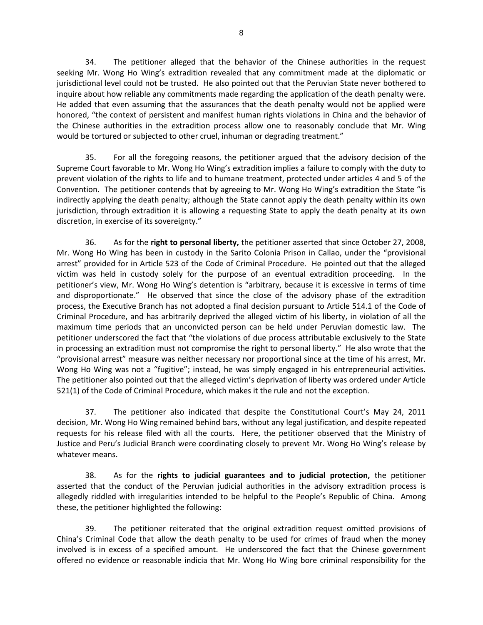34. The petitioner alleged that the behavior of the Chinese authorities in the request seeking Mr. Wong Ho Wing's extradition revealed that any commitment made at the diplomatic or jurisdictional level could not be trusted. He also pointed out that the Peruvian State never bothered to inquire about how reliable any commitments made regarding the application of the death penalty were. He added that even assuming that the assurances that the death penalty would not be applied were honored, "the context of persistent and manifest human rights violations in China and the behavior of the Chinese authorities in the extradition process allow one to reasonably conclude that Mr. Wing would be tortured or subjected to other cruel, inhuman or degrading treatment."

35. For all the foregoing reasons, the petitioner argued that the advisory decision of the Supreme Court favorable to Mr. Wong Ho Wing's extradition implies a failure to comply with the duty to prevent violation of the rights to life and to humane treatment, protected under articles 4 and 5 of the Convention. The petitioner contends that by agreeing to Mr. Wong Ho Wing's extradition the State "is indirectly applying the death penalty; although the State cannot apply the death penalty within its own jurisdiction, through extradition it is allowing a requesting State to apply the death penalty at its own discretion, in exercise of its sovereignty."

36. As for the **right to personal liberty,** the petitioner asserted that since October 27, 2008, Mr. Wong Ho Wing has been in custody in the Sarito Colonia Prison in Callao, under the "provisional arrest" provided for in Article 523 of the Code of Criminal Procedure. He pointed out that the alleged victim was held in custody solely for the purpose of an eventual extradition proceeding. In the petitioner's view, Mr. Wong Ho Wing's detention is "arbitrary, because it is excessive in terms of time and disproportionate." He observed that since the close of the advisory phase of the extradition process, the Executive Branch has not adopted a final decision pursuant to Article 514.1 of the Code of Criminal Procedure, and has arbitrarily deprived the alleged victim of his liberty, in violation of all the maximum time periods that an unconvicted person can be held under Peruvian domestic law. The petitioner underscored the fact that "the violations of due process attributable exclusively to the State in processing an extradition must not compromise the right to personal liberty." He also wrote that the "provisional arrest" measure was neither necessary nor proportional since at the time of his arrest, Mr. Wong Ho Wing was not a "fugitive"; instead, he was simply engaged in his entrepreneurial activities. The petitioner also pointed out that the alleged victim's deprivation of liberty was ordered under Article 521(1) of the Code of Criminal Procedure, which makes it the rule and not the exception.

37. The petitioner also indicated that despite the Constitutional Court's May 24, 2011 decision, Mr. Wong Ho Wing remained behind bars, without any legal justification, and despite repeated requests for his release filed with all the courts. Here, the petitioner observed that the Ministry of Justice and Peru's Judicial Branch were coordinating closely to prevent Mr. Wong Ho Wing's release by whatever means.

38. As for the **rights to judicial guarantees and to judicial protection,** the petitioner asserted that the conduct of the Peruvian judicial authorities in the advisory extradition process is allegedly riddled with irregularities intended to be helpful to the People's Republic of China. Among these, the petitioner highlighted the following:

39. The petitioner reiterated that the original extradition request omitted provisions of China's Criminal Code that allow the death penalty to be used for crimes of fraud when the money involved is in excess of a specified amount. He underscored the fact that the Chinese government offered no evidence or reasonable indicia that Mr. Wong Ho Wing bore criminal responsibility for the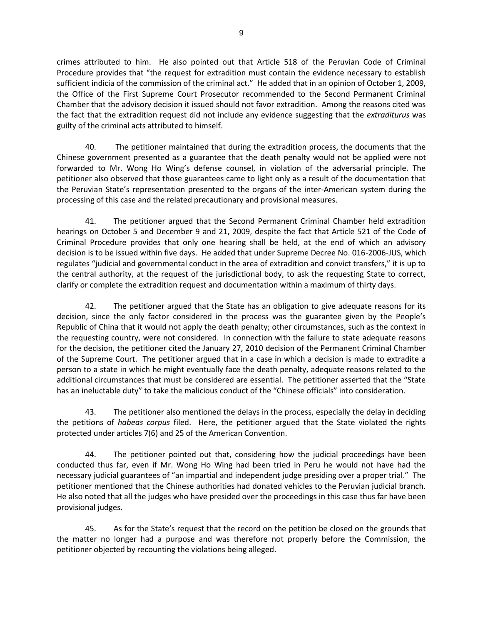crimes attributed to him. He also pointed out that Article 518 of the Peruvian Code of Criminal Procedure provides that "the request for extradition must contain the evidence necessary to establish sufficient indicia of the commission of the criminal act." He added that in an opinion of October 1, 2009, the Office of the First Supreme Court Prosecutor recommended to the Second Permanent Criminal Chamber that the advisory decision it issued should not favor extradition. Among the reasons cited was the fact that the extradition request did not include any evidence suggesting that the *extraditurus* was guilty of the criminal acts attributed to himself.

40. The petitioner maintained that during the extradition process, the documents that the Chinese government presented as a guarantee that the death penalty would not be applied were not forwarded to Mr. Wong Ho Wing's defense counsel, in violation of the adversarial principle. The petitioner also observed that those guarantees came to light only as a result of the documentation that the Peruvian State's representation presented to the organs of the inter-American system during the processing of this case and the related precautionary and provisional measures.

41. The petitioner argued that the Second Permanent Criminal Chamber held extradition hearings on October 5 and December 9 and 21, 2009, despite the fact that Article 521 of the Code of Criminal Procedure provides that only one hearing shall be held, at the end of which an advisory decision is to be issued within five days. He added that under Supreme Decree No. 016-2006-JUS, which regulates "judicial and governmental conduct in the area of extradition and convict transfers," it is up to the central authority, at the request of the jurisdictional body, to ask the requesting State to correct, clarify or complete the extradition request and documentation within a maximum of thirty days.

42. The petitioner argued that the State has an obligation to give adequate reasons for its decision, since the only factor considered in the process was the guarantee given by the People's Republic of China that it would not apply the death penalty; other circumstances, such as the context in the requesting country, were not considered. In connection with the failure to state adequate reasons for the decision, the petitioner cited the January 27, 2010 decision of the Permanent Criminal Chamber of the Supreme Court. The petitioner argued that in a case in which a decision is made to extradite a person to a state in which he might eventually face the death penalty, adequate reasons related to the additional circumstances that must be considered are essential. The petitioner asserted that the "State has an ineluctable duty" to take the malicious conduct of the "Chinese officials" into consideration.

43. The petitioner also mentioned the delays in the process, especially the delay in deciding the petitions of *habeas corpus* filed. Here, the petitioner argued that the State violated the rights protected under articles 7(6) and 25 of the American Convention.

44. The petitioner pointed out that, considering how the judicial proceedings have been conducted thus far, even if Mr. Wong Ho Wing had been tried in Peru he would not have had the necessary judicial guarantees of "an impartial and independent judge presiding over a proper trial." The petitioner mentioned that the Chinese authorities had donated vehicles to the Peruvian judicial branch. He also noted that all the judges who have presided over the proceedings in this case thus far have been provisional judges.

45. As for the State's request that the record on the petition be closed on the grounds that the matter no longer had a purpose and was therefore not properly before the Commission, the petitioner objected by recounting the violations being alleged.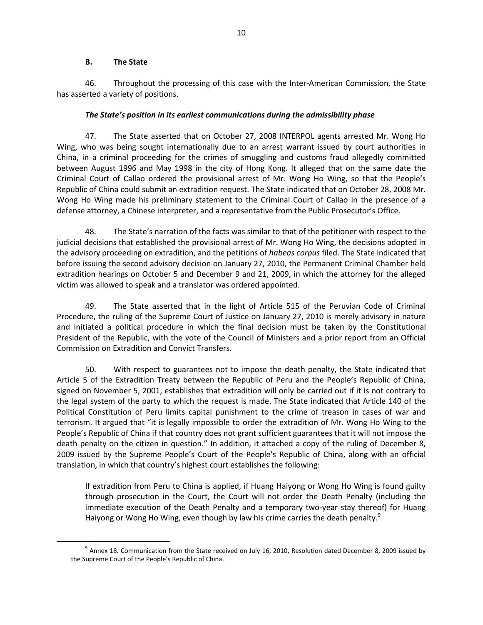## **B. The State**

 $\overline{a}$ 

46. Throughout the processing of this case with the Inter-American Commission, the State has asserted a variety of positions.

# *The State's position in its earliest communications during the admissibility phase*

47. The State asserted that on October 27, 2008 INTERPOL agents arrested Mr. Wong Ho Wing, who was being sought internationally due to an arrest warrant issued by court authorities in China, in a criminal proceeding for the crimes of smuggling and customs fraud allegedly committed between August 1996 and May 1998 in the city of Hong Kong. It alleged that on the same date the Criminal Court of Callao ordered the provisional arrest of Mr. Wong Ho Wing, so that the People's Republic of China could submit an extradition request. The State indicated that on October 28, 2008 Mr. Wong Ho Wing made his preliminary statement to the Criminal Court of Callao in the presence of a defense attorney, a Chinese interpreter, and a representative from the Public Prosecutor's Office.

48. The State's narration of the facts was similar to that of the petitioner with respect to the judicial decisions that established the provisional arrest of Mr. Wong Ho Wing, the decisions adopted in the advisory proceeding on extradition, and the petitions of *habeas corpus* filed. The State indicated that before issuing the second advisory decision on January 27, 2010, the Permanent Criminal Chamber held extradition hearings on October 5 and December 9 and 21, 2009, in which the attorney for the alleged victim was allowed to speak and a translator was ordered appointed.

49. The State asserted that in the light of Article 515 of the Peruvian Code of Criminal Procedure, the ruling of the Supreme Court of Justice on January 27, 2010 is merely advisory in nature and initiated a political procedure in which the final decision must be taken by the Constitutional President of the Republic, with the vote of the Council of Ministers and a prior report from an Official Commission on Extradition and Convict Transfers.

50. With respect to guarantees not to impose the death penalty, the State indicated that Article 5 of the Extradition Treaty between the Republic of Peru and the People's Republic of China, signed on November 5, 2001, establishes that extradition will only be carried out if it is not contrary to the legal system of the party to which the request is made. The State indicated that Article 140 of the Political Constitution of Peru limits capital punishment to the crime of treason in cases of war and terrorism. It argued that "it is legally impossible to order the extradition of Mr. Wong Ho Wing to the People's Republic of China if that country does not grant sufficient guarantees that it will not impose the death penalty on the citizen in question." In addition, it attached a copy of the ruling of December 8, 2009 issued by the Supreme People's Court of the People's Republic of China, along with an official translation, in which that country's highest court establishes the following:

If extradition from Peru to China is applied, if Huang Haiyong or Wong Ho Wing is found guilty through prosecution in the Court, the Court will not order the Death Penalty (including the immediate execution of the Death Penalty and a temporary two-year stay thereof) for Huang Haiyong or Wong Ho Wing, even though by law his crime carries the death penalty.<sup>9</sup>

 $^9$  Annex 18. Communication from the State received on July 16, 2010, Resolution dated December 8, 2009 issued by the Supreme Court of the People's Republic of China.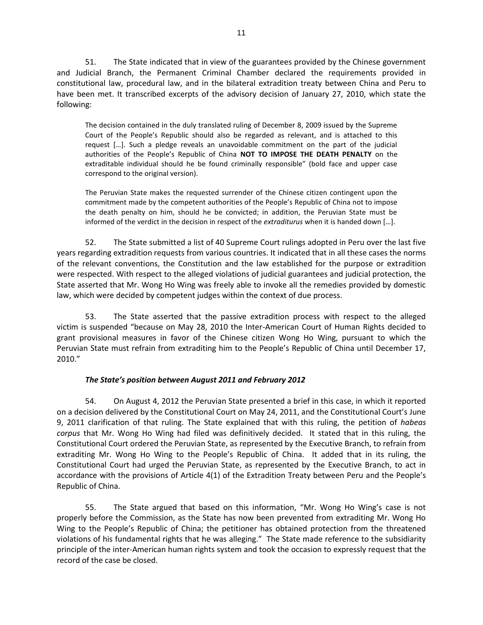51. The State indicated that in view of the guarantees provided by the Chinese government and Judicial Branch, the Permanent Criminal Chamber declared the requirements provided in constitutional law, procedural law, and in the bilateral extradition treaty between China and Peru to have been met. It transcribed excerpts of the advisory decision of January 27, 2010, which state the following:

The decision contained in the duly translated ruling of December 8, 2009 issued by the Supreme Court of the People's Republic should also be regarded as relevant, and is attached to this request […]. Such a pledge reveals an unavoidable commitment on the part of the judicial authorities of the People's Republic of China **NOT TO IMPOSE THE DEATH PENALTY** on the extraditable individual should he be found criminally responsible" (bold face and upper case correspond to the original version).

The Peruvian State makes the requested surrender of the Chinese citizen contingent upon the commitment made by the competent authorities of the People's Republic of China not to impose the death penalty on him, should he be convicted; in addition, the Peruvian State must be informed of the verdict in the decision in respect of the *extraditurus* when it is handed down […].

52. The State submitted a list of 40 Supreme Court rulings adopted in Peru over the last five years regarding extradition requests from various countries. It indicated that in all these cases the norms of the relevant conventions, the Constitution and the law established for the purpose or extradition were respected. With respect to the alleged violations of judicial guarantees and judicial protection, the State asserted that Mr. Wong Ho Wing was freely able to invoke all the remedies provided by domestic law, which were decided by competent judges within the context of due process.

53. The State asserted that the passive extradition process with respect to the alleged victim is suspended "because on May 28, 2010 the Inter-American Court of Human Rights decided to grant provisional measures in favor of the Chinese citizen Wong Ho Wing, pursuant to which the Peruvian State must refrain from extraditing him to the People's Republic of China until December 17, 2010."

# *The State's position between August 2011 and February 2012*

54. On August 4, 2012 the Peruvian State presented a brief in this case, in which it reported on a decision delivered by the Constitutional Court on May 24, 2011, and the Constitutional Court's June 9, 2011 clarification of that ruling. The State explained that with this ruling, the petition of *habeas corpus* that Mr. Wong Ho Wing had filed was definitively decided. It stated that in this ruling, the Constitutional Court ordered the Peruvian State, as represented by the Executive Branch, to refrain from extraditing Mr. Wong Ho Wing to the People's Republic of China. It added that in its ruling, the Constitutional Court had urged the Peruvian State, as represented by the Executive Branch, to act in accordance with the provisions of Article 4(1) of the Extradition Treaty between Peru and the People's Republic of China.

55. The State argued that based on this information, "Mr. Wong Ho Wing's case is not properly before the Commission, as the State has now been prevented from extraditing Mr. Wong Ho Wing to the People's Republic of China; the petitioner has obtained protection from the threatened violations of his fundamental rights that he was alleging." The State made reference to the subsidiarity principle of the inter-American human rights system and took the occasion to expressly request that the record of the case be closed.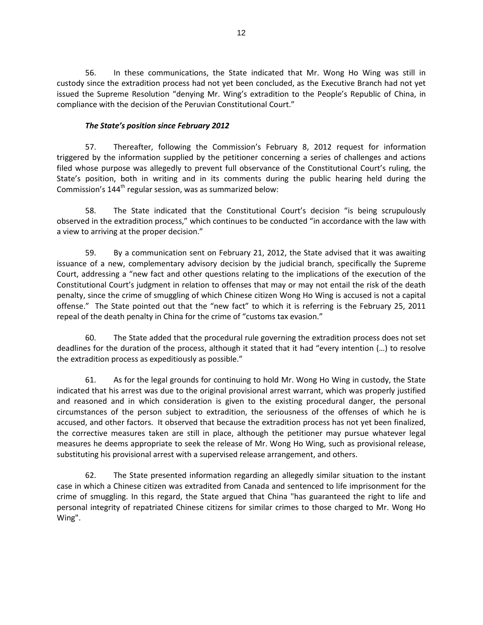56. In these communications, the State indicated that Mr. Wong Ho Wing was still in custody since the extradition process had not yet been concluded, as the Executive Branch had not yet issued the Supreme Resolution "denying Mr. Wing's extradition to the People's Republic of China, in compliance with the decision of the Peruvian Constitutional Court."

# *The State's position since February 2012*

57. Thereafter, following the Commission's February 8, 2012 request for information triggered by the information supplied by the petitioner concerning a series of challenges and actions filed whose purpose was allegedly to prevent full observance of the Constitutional Court's ruling, the State's position, both in writing and in its comments during the public hearing held during the Commission's 144<sup>th</sup> regular session, was as summarized below:

58. The State indicated that the Constitutional Court's decision "is being scrupulously observed in the extradition process," which continues to be conducted "in accordance with the law with a view to arriving at the proper decision."

59. By a communication sent on February 21, 2012, the State advised that it was awaiting issuance of a new, complementary advisory decision by the judicial branch, specifically the Supreme Court, addressing a "new fact and other questions relating to the implications of the execution of the Constitutional Court's judgment in relation to offenses that may or may not entail the risk of the death penalty, since the crime of smuggling of which Chinese citizen Wong Ho Wing is accused is not a capital offense." The State pointed out that the "new fact" to which it is referring is the February 25, 2011 repeal of the death penalty in China for the crime of "customs tax evasion."

60. The State added that the procedural rule governing the extradition process does not set deadlines for the duration of the process, although it stated that it had "every intention (…) to resolve the extradition process as expeditiously as possible."

61. As for the legal grounds for continuing to hold Mr. Wong Ho Wing in custody, the State indicated that his arrest was due to the original provisional arrest warrant, which was properly justified and reasoned and in which consideration is given to the existing procedural danger, the personal circumstances of the person subject to extradition, the seriousness of the offenses of which he is accused, and other factors. It observed that because the extradition process has not yet been finalized, the corrective measures taken are still in place, although the petitioner may pursue whatever legal measures he deems appropriate to seek the release of Mr. Wong Ho Wing, such as provisional release, substituting his provisional arrest with a supervised release arrangement, and others.

62. The State presented information regarding an allegedly similar situation to the instant case in which a Chinese citizen was extradited from Canada and sentenced to life imprisonment for the crime of smuggling. In this regard, the State argued that China "has guaranteed the right to life and personal integrity of repatriated Chinese citizens for similar crimes to those charged to Mr. Wong Ho Wing".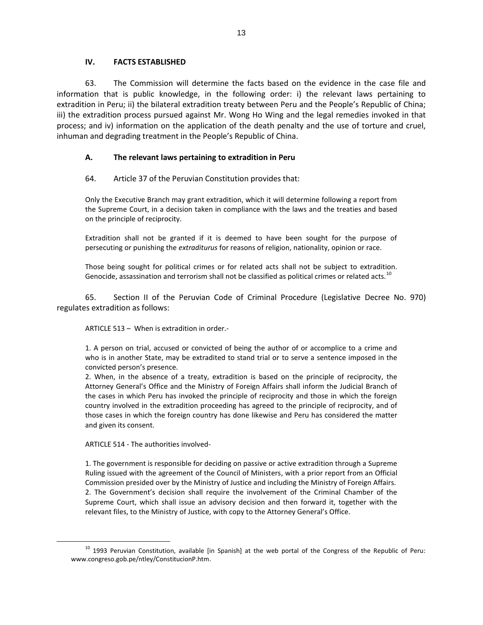### **IV. FACTS ESTABLISHED**

63. The Commission will determine the facts based on the evidence in the case file and information that is public knowledge, in the following order: i) the relevant laws pertaining to extradition in Peru; ii) the bilateral extradition treaty between Peru and the People's Republic of China; iii) the extradition process pursued against Mr. Wong Ho Wing and the legal remedies invoked in that process; and iv) information on the application of the death penalty and the use of torture and cruel, inhuman and degrading treatment in the People's Republic of China.

# **A. The relevant laws pertaining to extradition in Peru**

# 64. Article 37 of the Peruvian Constitution provides that:

Only the Executive Branch may grant extradition, which it will determine following a report from the Supreme Court, in a decision taken in compliance with the laws and the treaties and based on the principle of reciprocity.

Extradition shall not be granted if it is deemed to have been sought for the purpose of persecuting or punishing the *extraditurus* for reasons of religion, nationality, opinion or race.

Those being sought for political crimes or for related acts shall not be subject to extradition. Genocide, assassination and terrorism shall not be classified as political crimes or related acts.<sup>10</sup>

65. Section II of the Peruvian Code of Criminal Procedure (Legislative Decree No. 970) regulates extradition as follows:

ARTICLE 513 – When is extradition in order.-

1. A person on trial, accused or convicted of being the author of or accomplice to a crime and who is in another State, may be extradited to stand trial or to serve a sentence imposed in the convicted person's presence*.*

2. When, in the absence of a treaty, extradition is based on the principle of reciprocity, the Attorney General's Office and the Ministry of Foreign Affairs shall inform the Judicial Branch of the cases in which Peru has invoked the principle of reciprocity and those in which the foreign country involved in the extradition proceeding has agreed to the principle of reciprocity, and of those cases in which the foreign country has done likewise and Peru has considered the matter and given its consent.

ARTICLE 514 - The authorities involved-

 $\overline{a}$ 

1. The government is responsible for deciding on passive or active extradition through a Supreme Ruling issued with the agreement of the Council of Ministers, with a prior report from an Official Commission presided over by the Ministry of Justice and including the Ministry of Foreign Affairs. 2. The Government's decision shall require the involvement of the Criminal Chamber of the Supreme Court, which shall issue an advisory decision and then forward it, together with the relevant files, to the Ministry of Justice, with copy to the Attorney General's Office.

<sup>&</sup>lt;sup>10</sup> 1993 Peruvian Constitution, available [in Spanish] at the web portal of the Congress of the Republic of Peru: www.congreso.gob.pe/ntley/ConstitucionP.htm.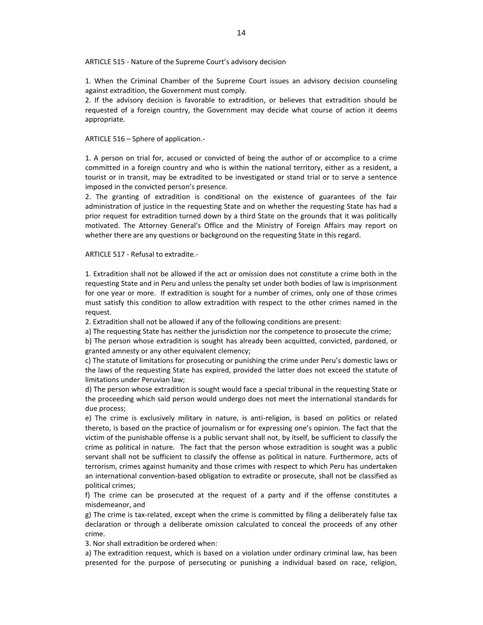ARTICLE 515 - Nature of the Supreme Court's advisory decision

1. When the Criminal Chamber of the Supreme Court issues an advisory decision counseling against extradition, the Government must comply.

2. If the advisory decision is favorable to extradition, or believes that extradition should be requested of a foreign country, the Government may decide what course of action it deems appropriate.

ARTICLE 516 – Sphere of application.-

1. A person on trial for, accused or convicted of being the author of or accomplice to a crime committed in a foreign country and who is within the national territory, either as a resident, a tourist or in transit, may be extradited to be investigated or stand trial or to serve a sentence imposed in the convicted person's presence.

2. The granting of extradition is conditional on the existence of guarantees of the fair administration of justice in the requesting State and on whether the requesting State has had a prior request for extradition turned down by a third State on the grounds that it was politically motivated. The Attorney General's Office and the Ministry of Foreign Affairs may report on whether there are any questions or background on the requesting State in this regard.

ARTICLE 517 - Refusal to extradite.-

1. Extradition shall not be allowed if the act or omission does not constitute a crime both in the requesting State and in Peru and unless the penalty set under both bodies of law is imprisonment for one year or more. If extradition is sought for a number of crimes, only one of those crimes must satisfy this condition to allow extradition with respect to the other crimes named in the request.

2. Extradition shall not be allowed if any of the following conditions are present:

a) The requesting State has neither the jurisdiction nor the competence to prosecute the crime;

b) The person whose extradition is sought has already been acquitted, convicted, pardoned, or granted amnesty or any other equivalent clemency;

c) The statute of limitations for prosecuting or punishing the crime under Peru's domestic laws or the laws of the requesting State has expired, provided the latter does not exceed the statute of limitations under Peruvian law;

d) The person whose extradition is sought would face a special tribunal in the requesting State or the proceeding which said person would undergo does not meet the international standards for due process;

e) The crime is exclusively military in nature, is anti-religion, is based on politics or related thereto, is based on the practice of journalism or for expressing one's opinion. The fact that the victim of the punishable offense is a public servant shall not, by itself, be sufficient to classify the crime as political in nature. The fact that the person whose extradition is sought was a public servant shall not be sufficient to classify the offense as political in nature. Furthermore, acts of terrorism, crimes against humanity and those crimes with respect to which Peru has undertaken an international convention-based obligation to extradite or prosecute, shall not be classified as political crimes;

f) The crime can be prosecuted at the request of a party and if the offense constitutes a misdemeanor, and

g) The crime is tax-related, except when the crime is committed by filing a deliberately false tax declaration or through a deliberate omission calculated to conceal the proceeds of any other crime.

3. Nor shall extradition be ordered when:

a) The extradition request, which is based on a violation under ordinary criminal law, has been presented for the purpose of persecuting or punishing a individual based on race, religion,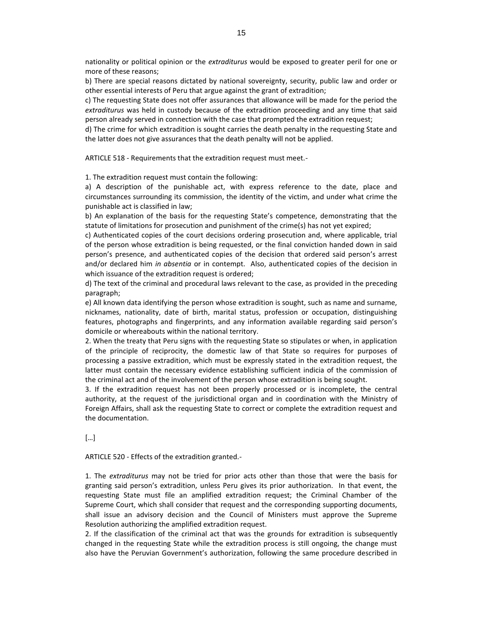nationality or political opinion or the *extraditurus* would be exposed to greater peril for one or more of these reasons;

b) There are special reasons dictated by national sovereignty, security, public law and order or other essential interests of Peru that argue against the grant of extradition;

c) The requesting State does not offer assurances that allowance will be made for the period the *extraditurus* was held in custody because of the extradition proceeding and any time that said person already served in connection with the case that prompted the extradition request;

d) The crime for which extradition is sought carries the death penalty in the requesting State and the latter does not give assurances that the death penalty will not be applied.

ARTICLE 518 - Requirements that the extradition request must meet.-

1. The extradition request must contain the following:

a) A description of the punishable act, with express reference to the date, place and circumstances surrounding its commission, the identity of the victim, and under what crime the punishable act is classified in law;

b) An explanation of the basis for the requesting State's competence, demonstrating that the statute of limitations for prosecution and punishment of the crime(s) has not yet expired;

c) Authenticated copies of the court decisions ordering prosecution and, where applicable, trial of the person whose extradition is being requested, or the final conviction handed down in said person's presence, and authenticated copies of the decision that ordered said person's arrest and/or declared him *in absentia* or in contempt. Also, authenticated copies of the decision in which issuance of the extradition request is ordered;

d) The text of the criminal and procedural laws relevant to the case, as provided in the preceding paragraph;

e) All known data identifying the person whose extradition is sought, such as name and surname, nicknames, nationality, date of birth, marital status, profession or occupation, distinguishing features, photographs and fingerprints, and any information available regarding said person's domicile or whereabouts within the national territory.

2. When the treaty that Peru signs with the requesting State so stipulates or when, in application of the principle of reciprocity, the domestic law of that State so requires for purposes of processing a passive extradition, which must be expressly stated in the extradition request, the latter must contain the necessary evidence establishing sufficient indicia of the commission of the criminal act and of the involvement of the person whose extradition is being sought.

3. If the extradition request has not been properly processed or is incomplete, the central authority, at the request of the jurisdictional organ and in coordination with the Ministry of Foreign Affairs, shall ask the requesting State to correct or complete the extradition request and the documentation.

[…]

ARTICLE 520 - Effects of the extradition granted.-

1. The *extraditurus* may not be tried for prior acts other than those that were the basis for granting said person's extradition, unless Peru gives its prior authorization. In that event, the requesting State must file an amplified extradition request; the Criminal Chamber of the Supreme Court, which shall consider that request and the corresponding supporting documents, shall issue an advisory decision and the Council of Ministers must approve the Supreme Resolution authorizing the amplified extradition request.

2. If the classification of the criminal act that was the grounds for extradition is subsequently changed in the requesting State while the extradition process is still ongoing, the change must also have the Peruvian Government's authorization, following the same procedure described in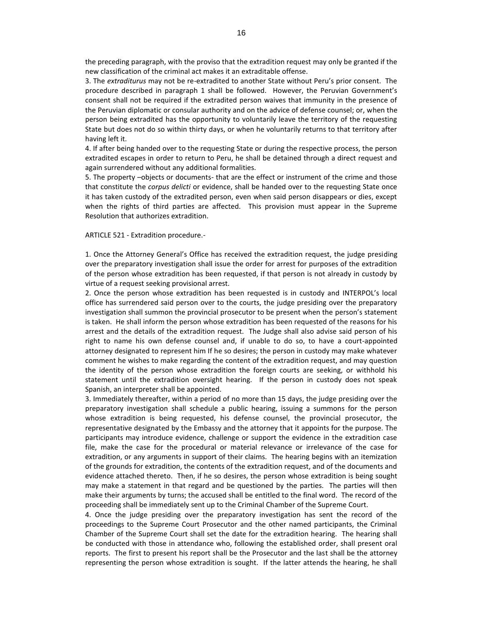the preceding paragraph, with the proviso that the extradition request may only be granted if the new classification of the criminal act makes it an extraditable offense.

3. The *extraditurus* may not be re-extradited to another State without Peru's prior consent. The procedure described in paragraph 1 shall be followed. However, the Peruvian Government's consent shall not be required if the extradited person waives that immunity in the presence of the Peruvian diplomatic or consular authority and on the advice of defense counsel; or, when the person being extradited has the opportunity to voluntarily leave the territory of the requesting State but does not do so within thirty days, or when he voluntarily returns to that territory after having left it.

4. If after being handed over to the requesting State or during the respective process, the person extradited escapes in order to return to Peru, he shall be detained through a direct request and again surrendered without any additional formalities.

5. The property –objects or documents- that are the effect or instrument of the crime and those that constitute the *corpus delicti* or evidence, shall be handed over to the requesting State once it has taken custody of the extradited person, even when said person disappears or dies, except when the rights of third parties are affected. This provision must appear in the Supreme Resolution that authorizes extradition.

#### ARTICLE 521 - Extradition procedure.-

1. Once the Attorney General's Office has received the extradition request, the judge presiding over the preparatory investigation shall issue the order for arrest for purposes of the extradition of the person whose extradition has been requested, if that person is not already in custody by virtue of a request seeking provisional arrest.

2. Once the person whose extradition has been requested is in custody and INTERPOL's local office has surrendered said person over to the courts, the judge presiding over the preparatory investigation shall summon the provincial prosecutor to be present when the person's statement is taken. He shall inform the person whose extradition has been requested of the reasons for his arrest and the details of the extradition request. The Judge shall also advise said person of his right to name his own defense counsel and, if unable to do so, to have a court-appointed attorney designated to represent him If he so desires; the person in custody may make whatever comment he wishes to make regarding the content of the extradition request, and may question the identity of the person whose extradition the foreign courts are seeking, or withhold his statement until the extradition oversight hearing. If the person in custody does not speak Spanish, an interpreter shall be appointed.

3. Immediately thereafter, within a period of no more than 15 days, the judge presiding over the preparatory investigation shall schedule a public hearing, issuing a summons for the person whose extradition is being requested, his defense counsel, the provincial prosecutor, the representative designated by the Embassy and the attorney that it appoints for the purpose. The participants may introduce evidence, challenge or support the evidence in the extradition case file, make the case for the procedural or material relevance or irrelevance of the case for extradition, or any arguments in support of their claims. The hearing begins with an itemization of the grounds for extradition, the contents of the extradition request, and of the documents and evidence attached thereto. Then, if he so desires, the person whose extradition is being sought may make a statement in that regard and be questioned by the parties. The parties will then make their arguments by turns; the accused shall be entitled to the final word. The record of the proceeding shall be immediately sent up to the Criminal Chamber of the Supreme Court.

4. Once the judge presiding over the preparatory investigation has sent the record of the proceedings to the Supreme Court Prosecutor and the other named participants, the Criminal Chamber of the Supreme Court shall set the date for the extradition hearing. The hearing shall be conducted with those in attendance who, following the established order, shall present oral reports. The first to present his report shall be the Prosecutor and the last shall be the attorney representing the person whose extradition is sought. If the latter attends the hearing, he shall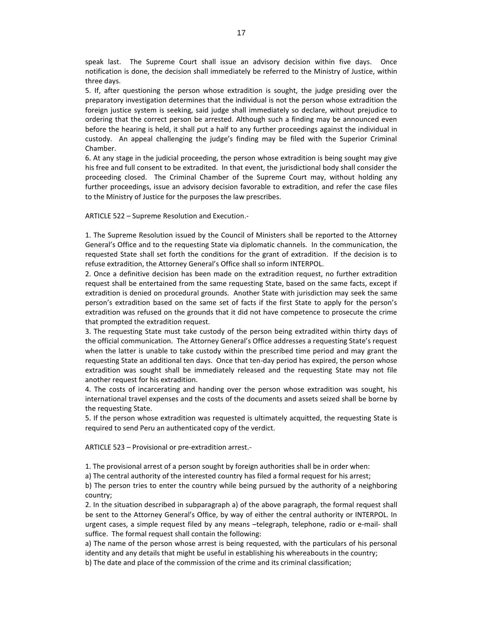speak last. The Supreme Court shall issue an advisory decision within five days. Once notification is done, the decision shall immediately be referred to the Ministry of Justice, within three days.

5. If, after questioning the person whose extradition is sought, the judge presiding over the preparatory investigation determines that the individual is not the person whose extradition the foreign justice system is seeking, said judge shall immediately so declare, without prejudice to ordering that the correct person be arrested. Although such a finding may be announced even before the hearing is held, it shall put a half to any further proceedings against the individual in custody. An appeal challenging the judge's finding may be filed with the Superior Criminal Chamber.

6. At any stage in the judicial proceeding, the person whose extradition is being sought may give his free and full consent to be extradited. In that event, the jurisdictional body shall consider the proceeding closed. The Criminal Chamber of the Supreme Court may, without holding any further proceedings, issue an advisory decision favorable to extradition, and refer the case files to the Ministry of Justice for the purposes the law prescribes.

ARTICLE 522 – Supreme Resolution and Execution.-

1. The Supreme Resolution issued by the Council of Ministers shall be reported to the Attorney General's Office and to the requesting State via diplomatic channels. In the communication, the requested State shall set forth the conditions for the grant of extradition. If the decision is to refuse extradition, the Attorney General's Office shall so inform INTERPOL.

2. Once a definitive decision has been made on the extradition request, no further extradition request shall be entertained from the same requesting State, based on the same facts, except if extradition is denied on procedural grounds. Another State with jurisdiction may seek the same person's extradition based on the same set of facts if the first State to apply for the person's extradition was refused on the grounds that it did not have competence to prosecute the crime that prompted the extradition request.

3. The requesting State must take custody of the person being extradited within thirty days of the official communication. The Attorney General's Office addresses a requesting State's request when the latter is unable to take custody within the prescribed time period and may grant the requesting State an additional ten days. Once that ten-day period has expired, the person whose extradition was sought shall be immediately released and the requesting State may not file another request for his extradition.

4. The costs of incarcerating and handing over the person whose extradition was sought, his international travel expenses and the costs of the documents and assets seized shall be borne by the requesting State.

5. If the person whose extradition was requested is ultimately acquitted, the requesting State is required to send Peru an authenticated copy of the verdict.

ARTICLE 523 – Provisional or pre-extradition arrest.-

1. The provisional arrest of a person sought by foreign authorities shall be in order when:

a) The central authority of the interested country has filed a formal request for his arrest;

b) The person tries to enter the country while being pursued by the authority of a neighboring country;

2. In the situation described in subparagraph a) of the above paragraph, the formal request shall be sent to the Attorney General's Office, by way of either the central authority or INTERPOL. In urgent cases, a simple request filed by any means –telegraph, telephone, radio or e-mail- shall suffice. The formal request shall contain the following:

a) The name of the person whose arrest is being requested, with the particulars of his personal identity and any details that might be useful in establishing his whereabouts in the country; b) The date and place of the commission of the crime and its criminal classification;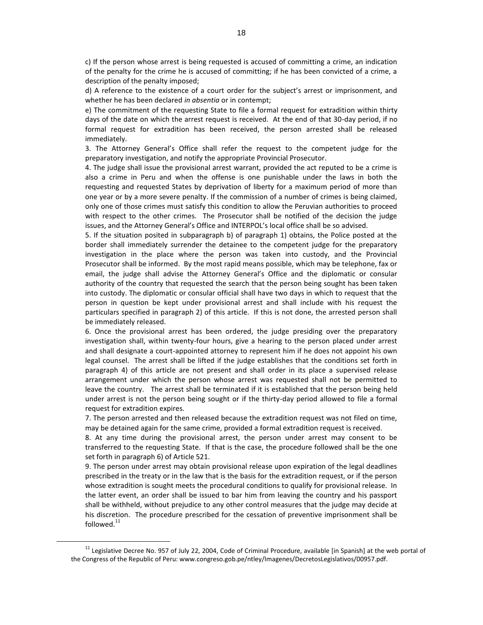c) If the person whose arrest is being requested is accused of committing a crime, an indication of the penalty for the crime he is accused of committing; if he has been convicted of a crime, a description of the penalty imposed;

d) A reference to the existence of a court order for the subject's arrest or imprisonment, and whether he has been declared *in absentia* or in contempt;

e) The commitment of the requesting State to file a formal request for extradition within thirty days of the date on which the arrest request is received. At the end of that 30-day period, if no formal request for extradition has been received, the person arrested shall be released immediately.

3. The Attorney General's Office shall refer the request to the competent judge for the preparatory investigation, and notify the appropriate Provincial Prosecutor.

4. The judge shall issue the provisional arrest warrant, provided the act reputed to be a crime is also a crime in Peru and when the offense is one punishable under the laws in both the requesting and requested States by deprivation of liberty for a maximum period of more than one year or by a more severe penalty. If the commission of a number of crimes is being claimed, only one of those crimes must satisfy this condition to allow the Peruvian authorities to proceed with respect to the other crimes. The Prosecutor shall be notified of the decision the judge issues, and the Attorney General's Office and INTERPOL's local office shall be so advised.

5. If the situation posited in subparagraph b) of paragraph 1) obtains, the Police posted at the border shall immediately surrender the detainee to the competent judge for the preparatory investigation in the place where the person was taken into custody, and the Provincial Prosecutor shall be informed. By the most rapid means possible, which may be telephone, fax or email, the judge shall advise the Attorney General's Office and the diplomatic or consular authority of the country that requested the search that the person being sought has been taken into custody. The diplomatic or consular official shall have two days in which to request that the person in question be kept under provisional arrest and shall include with his request the particulars specified in paragraph 2) of this article. If this is not done, the arrested person shall be immediately released.

6. Once the provisional arrest has been ordered, the judge presiding over the preparatory investigation shall, within twenty-four hours, give a hearing to the person placed under arrest and shall designate a court-appointed attorney to represent him if he does not appoint his own legal counsel. The arrest shall be lifted if the judge establishes that the conditions set forth in paragraph 4) of this article are not present and shall order in its place a supervised release arrangement under which the person whose arrest was requested shall not be permitted to leave the country. The arrest shall be terminated if it is established that the person being held under arrest is not the person being sought or if the thirty-day period allowed to file a formal request for extradition expires.

7. The person arrested and then released because the extradition request was not filed on time, may be detained again for the same crime, provided a formal extradition request is received.

8. At any time during the provisional arrest, the person under arrest may consent to be transferred to the requesting State. If that is the case, the procedure followed shall be the one set forth in paragraph 6) of Article 521.

9. The person under arrest may obtain provisional release upon expiration of the legal deadlines prescribed in the treaty or in the law that is the basis for the extradition request, or if the person whose extradition is sought meets the procedural conditions to qualify for provisional release. In the latter event, an order shall be issued to bar him from leaving the country and his passport shall be withheld, without prejudice to any other control measures that the judge may decide at his discretion. The procedure prescribed for the cessation of preventive imprisonment shall be followed.<sup>11</sup>

 $11$  Legislative Decree No. 957 of July 22, 2004, Code of Criminal Procedure, available [in Spanish] at the web portal of the Congress of the Republic of Peru: www.congreso.gob.pe/ntley/Imagenes/DecretosLegislativos/00957.pdf.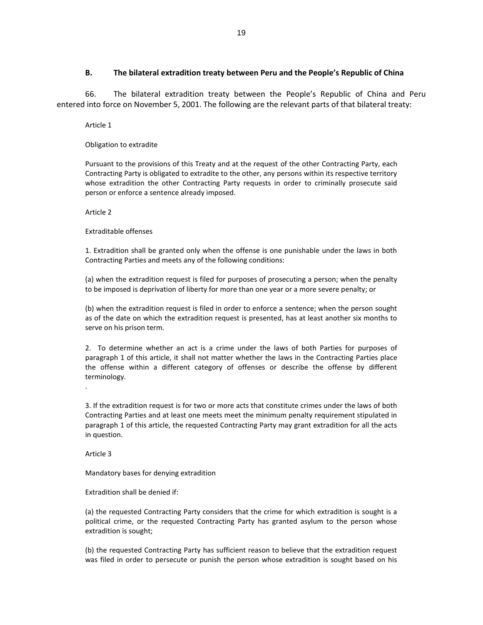### **B. The bilateral extradition treaty between Peru and the People's Republic of China**

66. The bilateral extradition treaty between the People's Republic of China and Peru entered into force on November 5, 2001. The following are the relevant parts of that bilateral treaty:

Article 1

Obligation to extradite

Pursuant to the provisions of this Treaty and at the request of the other Contracting Party, each Contracting Party is obligated to extradite to the other, any persons within its respective territory whose extradition the other Contracting Party requests in order to criminally prosecute said person or enforce a sentence already imposed.

Article 2

Extraditable offenses

1. Extradition shall be granted only when the offense is one punishable under the laws in both Contracting Parties and meets any of the following conditions:

(a) when the extradition request is filed for purposes of prosecuting a person; when the penalty to be imposed is deprivation of liberty for more than one year or a more severe penalty; or

(b) when the extradition request is filed in order to enforce a sentence; when the person sought as of the date on which the extradition request is presented, has at least another six months to serve on his prison term.

2. To determine whether an act is a crime under the laws of both Parties for purposes of paragraph 1 of this article, it shall not matter whether the laws in the Contracting Parties place the offense within a different category of offenses or describe the offense by different terminology.

3. If the extradition request is for two or more acts that constitute crimes under the laws of both Contracting Parties and at least one meets meet the minimum penalty requirement stipulated in paragraph 1 of this article, the requested Contracting Party may grant extradition for all the acts in question.

Article 3

.

Mandatory bases for denying extradition

Extradition shall be denied if:

(a) the requested Contracting Party considers that the crime for which extradition is sought is a political crime, or the requested Contracting Party has granted asylum to the person whose extradition is sought;

(b) the requested Contracting Party has sufficient reason to believe that the extradition request was filed in order to persecute or punish the person whose extradition is sought based on his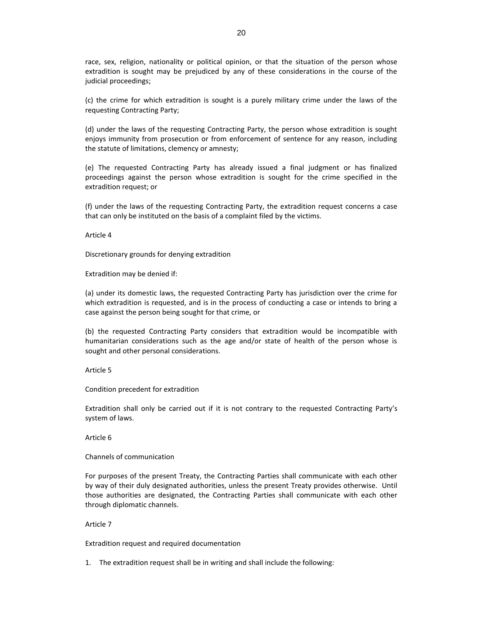race, sex, religion, nationality or political opinion, or that the situation of the person whose extradition is sought may be prejudiced by any of these considerations in the course of the judicial proceedings;

(c) the crime for which extradition is sought is a purely military crime under the laws of the requesting Contracting Party;

(d) under the laws of the requesting Contracting Party, the person whose extradition is sought enjoys immunity from prosecution or from enforcement of sentence for any reason, including the statute of limitations, clemency or amnesty;

(e) The requested Contracting Party has already issued a final judgment or has finalized proceedings against the person whose extradition is sought for the crime specified in the extradition request; or

(f) under the laws of the requesting Contracting Party, the extradition request concerns a case that can only be instituted on the basis of a complaint filed by the victims.

Article 4

Discretionary grounds for denying extradition

Extradition may be denied if:

(a) under its domestic laws, the requested Contracting Party has jurisdiction over the crime for which extradition is requested, and is in the process of conducting a case or intends to bring a case against the person being sought for that crime, or

(b) the requested Contracting Party considers that extradition would be incompatible with humanitarian considerations such as the age and/or state of health of the person whose is sought and other personal considerations.

Article 5

Condition precedent for extradition

Extradition shall only be carried out if it is not contrary to the requested Contracting Party's system of laws.

Article 6

Channels of communication

For purposes of the present Treaty, the Contracting Parties shall communicate with each other by way of their duly designated authorities, unless the present Treaty provides otherwise. Until those authorities are designated, the Contracting Parties shall communicate with each other through diplomatic channels.

#### Article 7

Extradition request and required documentation

1. The extradition request shall be in writing and shall include the following: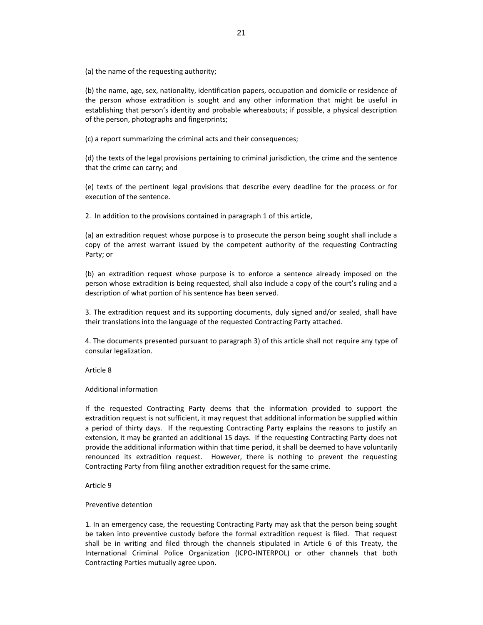(a) the name of the requesting authority;

(b) the name, age, sex, nationality, identification papers, occupation and domicile or residence of the person whose extradition is sought and any other information that might be useful in establishing that person's identity and probable whereabouts; if possible, a physical description of the person, photographs and fingerprints;

(c) a report summarizing the criminal acts and their consequences;

(d) the texts of the legal provisions pertaining to criminal jurisdiction, the crime and the sentence that the crime can carry; and

(e) texts of the pertinent legal provisions that describe every deadline for the process or for execution of the sentence.

2. In addition to the provisions contained in paragraph 1 of this article,

(a) an extradition request whose purpose is to prosecute the person being sought shall include a copy of the arrest warrant issued by the competent authority of the requesting Contracting Party; or

(b) an extradition request whose purpose is to enforce a sentence already imposed on the person whose extradition is being requested, shall also include a copy of the court's ruling and a description of what portion of his sentence has been served.

3. The extradition request and its supporting documents, duly signed and/or sealed, shall have their translations into the language of the requested Contracting Party attached.

4. The documents presented pursuant to paragraph 3) of this article shall not require any type of consular legalization.

Article 8

Additional information

If the requested Contracting Party deems that the information provided to support the extradition request is not sufficient, it may request that additional information be supplied within a period of thirty days. If the requesting Contracting Party explains the reasons to justify an extension, it may be granted an additional 15 days. If the requesting Contracting Party does not provide the additional information within that time period, it shall be deemed to have voluntarily renounced its extradition request. However, there is nothing to prevent the requesting Contracting Party from filing another extradition request for the same crime.

Article 9

#### Preventive detention

1. In an emergency case, the requesting Contracting Party may ask that the person being sought be taken into preventive custody before the formal extradition request is filed. That request shall be in writing and filed through the channels stipulated in Article 6 of this Treaty, the International Criminal Police Organization (ICPO-INTERPOL) or other channels that both Contracting Parties mutually agree upon.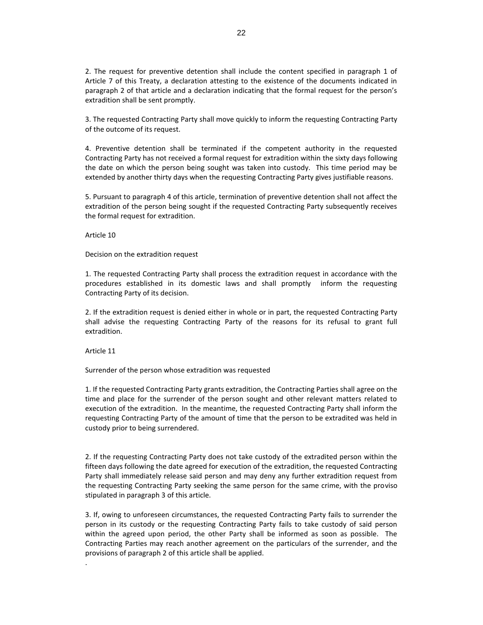2. The request for preventive detention shall include the content specified in paragraph 1 of Article 7 of this Treaty, a declaration attesting to the existence of the documents indicated in paragraph 2 of that article and a declaration indicating that the formal request for the person's extradition shall be sent promptly.

3. The requested Contracting Party shall move quickly to inform the requesting Contracting Party of the outcome of its request.

4. Preventive detention shall be terminated if the competent authority in the requested Contracting Party has not received a formal request for extradition within the sixty days following the date on which the person being sought was taken into custody. This time period may be extended by another thirty days when the requesting Contracting Party gives justifiable reasons.

5. Pursuant to paragraph 4 of this article, termination of preventive detention shall not affect the extradition of the person being sought if the requested Contracting Party subsequently receives the formal request for extradition.

Article 10

Decision on the extradition request

1. The requested Contracting Party shall process the extradition request in accordance with the procedures established in its domestic laws and shall promptly inform the requesting Contracting Party of its decision.

2. If the extradition request is denied either in whole or in part, the requested Contracting Party shall advise the requesting Contracting Party of the reasons for its refusal to grant full extradition.

Article 11

.

Surrender of the person whose extradition was requested

1. If the requested Contracting Party grants extradition, the Contracting Parties shall agree on the time and place for the surrender of the person sought and other relevant matters related to execution of the extradition. In the meantime, the requested Contracting Party shall inform the requesting Contracting Party of the amount of time that the person to be extradited was held in custody prior to being surrendered.

2. If the requesting Contracting Party does not take custody of the extradited person within the fifteen days following the date agreed for execution of the extradition, the requested Contracting Party shall immediately release said person and may deny any further extradition request from the requesting Contracting Party seeking the same person for the same crime, with the proviso stipulated in paragraph 3 of this article.

3. If, owing to unforeseen circumstances, the requested Contracting Party fails to surrender the person in its custody or the requesting Contracting Party fails to take custody of said person within the agreed upon period, the other Party shall be informed as soon as possible. The Contracting Parties may reach another agreement on the particulars of the surrender, and the provisions of paragraph 2 of this article shall be applied.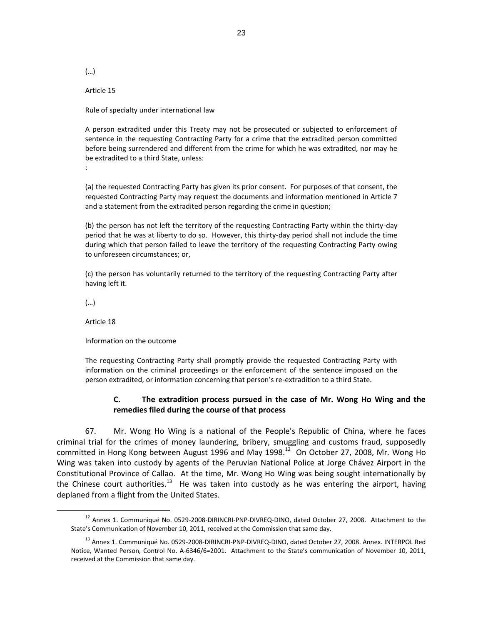(…)

Article 15

Rule of specialty under international law

A person extradited under this Treaty may not be prosecuted or subjected to enforcement of sentence in the requesting Contracting Party for a crime that the extradited person committed before being surrendered and different from the crime for which he was extradited, nor may he be extradited to a third State, unless:

:

(a) the requested Contracting Party has given its prior consent. For purposes of that consent, the requested Contracting Party may request the documents and information mentioned in Article 7 and a statement from the extradited person regarding the crime in question;

(b) the person has not left the territory of the requesting Contracting Party within the thirty-day period that he was at liberty to do so. However, this thirty-day period shall not include the time during which that person failed to leave the territory of the requesting Contracting Party owing to unforeseen circumstances; or,

(c) the person has voluntarily returned to the territory of the requesting Contracting Party after having left it.

(…)

 $\overline{a}$ 

Article 18

Information on the outcome

The requesting Contracting Party shall promptly provide the requested Contracting Party with information on the criminal proceedings or the enforcement of the sentence imposed on the person extradited, or information concerning that person's re-extradition to a third State.

# **C. The extradition process pursued in the case of Mr. Wong Ho Wing and the remedies filed during the course of that process**

67. Mr. Wong Ho Wing is a national of the People's Republic of China, where he faces criminal trial for the crimes of money laundering, bribery, smuggling and customs fraud, supposedly committed in Hong Kong between August 1996 and May 1998. $^{12}$  On October 27, 2008, Mr. Wong Ho Wing was taken into custody by agents of the Peruvian National Police at Jorge Chávez Airport in the Constitutional Province of Callao. At the time, Mr. Wong Ho Wing was being sought internationally by the Chinese court authorities.<sup>13</sup> He was taken into custody as he was entering the airport, having deplaned from a flight from the United States.

<sup>&</sup>lt;sup>12</sup> Annex 1. Communiqué No. 0529-2008-DIRINCRI-PNP-DIVREQ-DINO, dated October 27, 2008. Attachment to the State's Communication of November 10, 2011, received at the Commission that same day.

<sup>&</sup>lt;sup>13</sup> Annex 1. Communiqué No. 0529-2008-DIRINCRI-PNP-DIVREQ-DINO, dated October 27, 2008. Annex. INTERPOL Red Notice, Wanted Person, Control No. A-6346/6=2001. Attachment to the State's communication of November 10, 2011, received at the Commission that same day.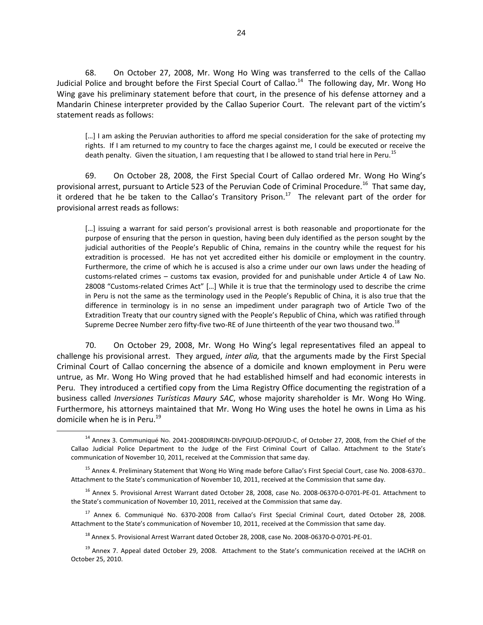68. On October 27, 2008, Mr. Wong Ho Wing was transferred to the cells of the Callao Judicial Police and brought before the First Special Court of Callao.<sup>14</sup> The following day, Mr. Wong Ho Wing gave his preliminary statement before that court, in the presence of his defense attorney and a Mandarin Chinese interpreter provided by the Callao Superior Court. The relevant part of the victim's statement reads as follows:

[...] I am asking the Peruvian authorities to afford me special consideration for the sake of protecting my rights. If I am returned to my country to face the charges against me, I could be executed or receive the death penalty. Given the situation, I am requesting that I be allowed to stand trial here in Peru.<sup>15</sup>

69. On October 28, 2008, the First Special Court of Callao ordered Mr. Wong Ho Wing's provisional arrest, pursuant to Article 523 of the Peruvian Code of Criminal Procedure.<sup>16</sup> That same day, it ordered that he be taken to the Callao's Transitory Prison. $^{17}$  The relevant part of the order for provisional arrest reads as follows:

[...] issuing a warrant for said person's provisional arrest is both reasonable and proportionate for the purpose of ensuring that the person in question, having been duly identified as the person sought by the judicial authorities of the People's Republic of China, remains in the country while the request for his extradition is processed. He has not yet accredited either his domicile or employment in the country. Furthermore, the crime of which he is accused is also a crime under our own laws under the heading of customs-related crimes – customs tax evasion, provided for and punishable under Article 4 of Law No. 28008 "Customs-related Crimes Act" […] While it is true that the terminology used to describe the crime in Peru is not the same as the terminology used in the People's Republic of China, it is also true that the difference in terminology is in no sense an impediment under paragraph two of Article Two of the Extradition Treaty that our country signed with the People's Republic of China, which was ratified through Supreme Decree Number zero fifty-five two-RE of June thirteenth of the year two thousand two.<sup>18</sup>

70. On October 29, 2008, Mr. Wong Ho Wing's legal representatives filed an appeal to challenge his provisional arrest. They argued, *inter alia,* that the arguments made by the First Special Criminal Court of Callao concerning the absence of a domicile and known employment in Peru were untrue, as Mr. Wong Ho Wing proved that he had established himself and had economic interests in Peru. They introduced a certified copy from the Lima Registry Office documenting the registration of a business called *Inversiones Turísticas Maury SAC*, whose majority shareholder is Mr. Wong Ho Wing. Furthermore, his attorneys maintained that Mr. Wong Ho Wing uses the hotel he owns in Lima as his domicile when he is in Peru.<sup>19</sup>

<sup>&</sup>lt;sup>14</sup> Annex 3. Communiqué No. 2041-2008DIRINCRI-DIVPOJUD-DEPOJUD-C, of October 27, 2008, from the Chief of the Callao Judicial Police Department to the Judge of the First Criminal Court of Callao. Attachment to the State's communication of November 10, 2011, received at the Commission that same day.

<sup>&</sup>lt;sup>15</sup> Annex 4. Preliminary Statement that Wong Ho Wing made before Callao's First Special Court, case No. 2008-6370.. Attachment to the State's communication of November 10, 2011, received at the Commission that same day.

<sup>&</sup>lt;sup>16</sup> Annex 5. Provisional Arrest Warrant dated October 28, 2008, case No. 2008-06370-0-0701-PE-01. Attachment to the State's communication of November 10, 2011, received at the Commission that same day.

<sup>&</sup>lt;sup>17</sup> Annex 6. Communiqué No. 6370-2008 from Callao's First Special Criminal Court, dated October 28, 2008. Attachment to the State's communication of November 10, 2011, received at the Commission that same day.

<sup>18</sup> Annex 5. Provisional Arrest Warrant dated October 28, 2008, case No. 2008-06370-0-0701-PE-01.

<sup>&</sup>lt;sup>19</sup> Annex 7. Appeal dated October 29, 2008. Attachment to the State's communication received at the IACHR on October 25, 2010.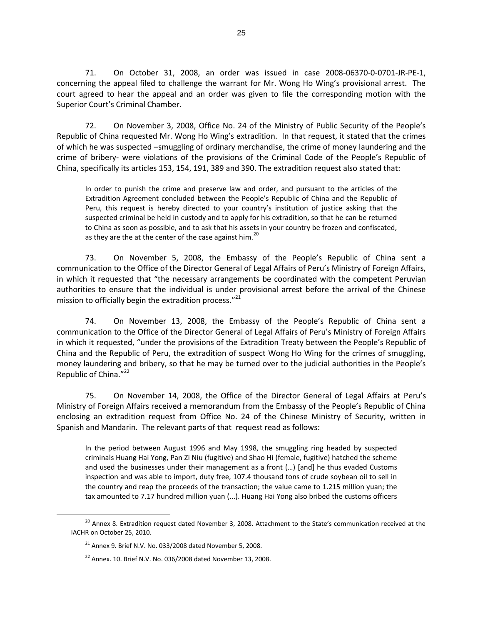71. On October 31, 2008, an order was issued in case 2008-06370-0-0701-JR-PE-1, concerning the appeal filed to challenge the warrant for Mr. Wong Ho Wing's provisional arrest. The court agreed to hear the appeal and an order was given to file the corresponding motion with the Superior Court's Criminal Chamber.

72. On November 3, 2008, Office No. 24 of the Ministry of Public Security of the People's Republic of China requested Mr. Wong Ho Wing's extradition. In that request, it stated that the crimes of which he was suspected –smuggling of ordinary merchandise, the crime of money laundering and the crime of bribery- were violations of the provisions of the Criminal Code of the People's Republic of China, specifically its articles 153, 154, 191, 389 and 390. The extradition request also stated that:

In order to punish the crime and preserve law and order, and pursuant to the articles of the Extradition Agreement concluded between the People's Republic of China and the Republic of Peru, this request is hereby directed to your country's institution of justice asking that the suspected criminal be held in custody and to apply for his extradition, so that he can be returned to China as soon as possible, and to ask that his assets in your country be frozen and confiscated, as they are the at the center of the case against him.<sup>20</sup>

73. On November 5, 2008, the Embassy of the People's Republic of China sent a communication to the Office of the Director General of Legal Affairs of Peru's Ministry of Foreign Affairs, in which it requested that "the necessary arrangements be coordinated with the competent Peruvian authorities to ensure that the individual is under provisional arrest before the arrival of the Chinese mission to officially begin the extradition process."<sup>21</sup>

74. On November 13, 2008, the Embassy of the People's Republic of China sent a communication to the Office of the Director General of Legal Affairs of Peru's Ministry of Foreign Affairs in which it requested, "under the provisions of the Extradition Treaty between the People's Republic of China and the Republic of Peru, the extradition of suspect Wong Ho Wing for the crimes of smuggling, money laundering and bribery, so that he may be turned over to the judicial authorities in the People's Republic of China."<sup>22</sup>

75. On November 14, 2008, the Office of the Director General of Legal Affairs at Peru's Ministry of Foreign Affairs received a memorandum from the Embassy of the People's Republic of China enclosing an extradition request from Office No. 24 of the Chinese Ministry of Security, written in Spanish and Mandarin. The relevant parts of that request read as follows:

In the period between August 1996 and May 1998, the smuggling ring headed by suspected criminals Huang Hai Yong, Pan Zi Niu (fugitive) and Shao Hi (female, fugitive) hatched the scheme and used the businesses under their management as a front (…) [and] he thus evaded Customs inspection and was able to import, duty free, 107.4 thousand tons of crude soybean oil to sell in the country and reap the proceeds of the transaction; the value came to 1.215 million yuan; the tax amounted to 7.17 hundred million yuan (...). Huang Hai Yong also bribed the customs officers

<sup>&</sup>lt;sup>20</sup> Annex 8. Extradition request dated November 3, 2008. Attachment to the State's communication received at the IACHR on October 25, 2010.

 $21$  Annex 9. Brief N.V. No. 033/2008 dated November 5, 2008.

 $22$  Annex. 10. Brief N.V. No. 036/2008 dated November 13, 2008.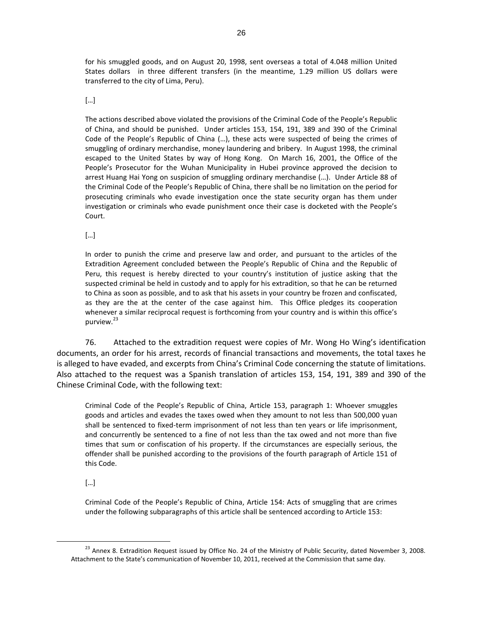for his smuggled goods, and on August 20, 1998, sent overseas a total of 4.048 million United States dollars in three different transfers (in the meantime, 1.29 million US dollars were transferred to the city of Lima, Peru).

### […]

The actions described above violated the provisions of the Criminal Code of the People's Republic of China, and should be punished. Under articles 153, 154, 191, 389 and 390 of the Criminal Code of the People's Republic of China (…), these acts were suspected of being the crimes of smuggling of ordinary merchandise, money laundering and bribery. In August 1998, the criminal escaped to the United States by way of Hong Kong. On March 16, 2001, the Office of the People's Prosecutor for the Wuhan Municipality in Hubei province approved the decision to arrest Huang Hai Yong on suspicion of smuggling ordinary merchandise (…). Under Article 88 of the Criminal Code of the People's Republic of China, there shall be no limitation on the period for prosecuting criminals who evade investigation once the state security organ has them under investigation or criminals who evade punishment once their case is docketed with the People's Court.

[…]

In order to punish the crime and preserve law and order, and pursuant to the articles of the Extradition Agreement concluded between the People's Republic of China and the Republic of Peru, this request is hereby directed to your country's institution of justice asking that the suspected criminal be held in custody and to apply for his extradition, so that he can be returned to China as soon as possible, and to ask that his assets in your country be frozen and confiscated, as they are the at the center of the case against him. This Office pledges its cooperation whenever a similar reciprocal request is forthcoming from your country and is within this office's purview.<sup>23</sup>

76. Attached to the extradition request were copies of Mr. Wong Ho Wing's identification documents, an order for his arrest, records of financial transactions and movements, the total taxes he is alleged to have evaded, and excerpts from China's Criminal Code concerning the statute of limitations. Also attached to the request was a Spanish translation of articles 153, 154, 191, 389 and 390 of the Chinese Criminal Code, with the following text:

Criminal Code of the People's Republic of China, Article 153, paragraph 1: Whoever smuggles goods and articles and evades the taxes owed when they amount to not less than 500,000 yuan shall be sentenced to fixed-term imprisonment of not less than ten years or life imprisonment, and concurrently be sentenced to a fine of not less than the tax owed and not more than five times that sum or confiscation of his property. If the circumstances are especially serious, the offender shall be punished according to the provisions of the fourth paragraph of Article 151 of this Code.

[…]

 $\overline{a}$ 

Criminal Code of the People's Republic of China, Article 154: Acts of smuggling that are crimes under the following subparagraphs of this article shall be sentenced according to Article 153:

 $23$  Annex 8. Extradition Request issued by Office No. 24 of the Ministry of Public Security, dated November 3, 2008. Attachment to the State's communication of November 10, 2011, received at the Commission that same day.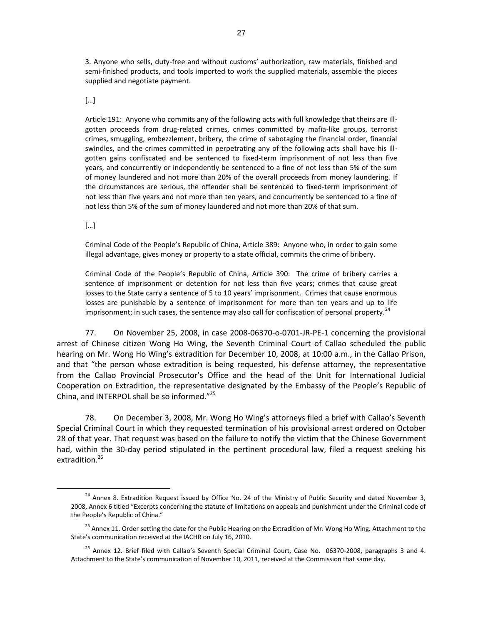3. Anyone who sells, duty-free and without customs' authorization, raw materials, finished and semi-finished products, and tools imported to work the supplied materials, assemble the pieces supplied and negotiate payment.

[…]

Article 191: Anyone who commits any of the following acts with full knowledge that theirs are illgotten proceeds from drug-related crimes, crimes committed by mafia-like groups, terrorist crimes, smuggling, embezzlement, bribery, the crime of sabotaging the financial order, financial swindles, and the crimes committed in perpetrating any of the following acts shall have his illgotten gains confiscated and be sentenced to fixed-term imprisonment of not less than five years, and concurrently or independently be sentenced to a fine of not less than 5% of the sum of money laundered and not more than 20% of the overall proceeds from money laundering. If the circumstances are serious, the offender shall be sentenced to fixed-term imprisonment of not less than five years and not more than ten years, and concurrently be sentenced to a fine of not less than 5% of the sum of money laundered and not more than 20% of that sum.

[…]

 $\overline{a}$ 

Criminal Code of the People's Republic of China, Article 389: Anyone who, in order to gain some illegal advantage, gives money or property to a state official, commits the crime of bribery.

Criminal Code of the People's Republic of China, Article 390: The crime of bribery carries a sentence of imprisonment or detention for not less than five years; crimes that cause great losses to the State carry a sentence of 5 to 10 years' imprisonment. Crimes that cause enormous losses are punishable by a sentence of imprisonment for more than ten years and up to life imprisonment; in such cases, the sentence may also call for confiscation of personal property.<sup>24</sup>

77. On November 25, 2008, in case 2008-06370-o-0701-JR-PE-1 concerning the provisional arrest of Chinese citizen Wong Ho Wing, the Seventh Criminal Court of Callao scheduled the public hearing on Mr. Wong Ho Wing's extradition for December 10, 2008, at 10:00 a.m., in the Callao Prison, and that "the person whose extradition is being requested, his defense attorney, the representative from the Callao Provincial Prosecutor's Office and the head of the Unit for International Judicial Cooperation on Extradition, the representative designated by the Embassy of the People's Republic of China, and INTERPOL shall be so informed."<sup>25</sup>

78. On December 3, 2008, Mr. Wong Ho Wing's attorneys filed a brief with Callao's Seventh Special Criminal Court in which they requested termination of his provisional arrest ordered on October 28 of that year. That request was based on the failure to notify the victim that the Chinese Government had, within the 30-day period stipulated in the pertinent procedural law, filed a request seeking his extradition.<sup>26</sup>

<sup>&</sup>lt;sup>24</sup> Annex 8. Extradition Request issued by Office No. 24 of the Ministry of Public Security and dated November 3, 2008, Annex 6 titled "Excerpts concerning the statute of limitations on appeals and punishment under the Criminal code of the People's Republic of China."

<sup>&</sup>lt;sup>25</sup> Annex 11. Order setting the date for the Public Hearing on the Extradition of Mr. Wong Ho Wing. Attachment to the State's communication received at the IACHR on July 16, 2010.

<sup>&</sup>lt;sup>26</sup> Annex 12. Brief filed with Callao's Seventh Special Criminal Court, Case No. 06370-2008, paragraphs 3 and 4. Attachment to the State's communication of November 10, 2011, received at the Commission that same day.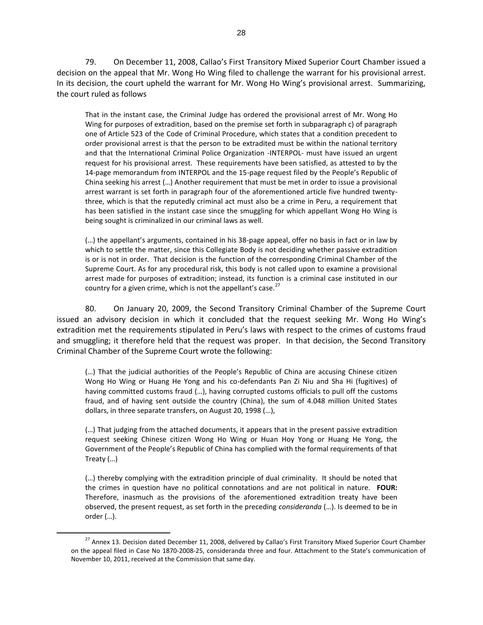79. On December 11, 2008, Callao's First Transitory Mixed Superior Court Chamber issued a decision on the appeal that Mr. Wong Ho Wing filed to challenge the warrant for his provisional arrest. In its decision, the court upheld the warrant for Mr. Wong Ho Wing's provisional arrest. Summarizing, the court ruled as follows

That in the instant case, the Criminal Judge has ordered the provisional arrest of Mr. Wong Ho Wing for purposes of extradition, based on the premise set forth in subparagraph c) of paragraph one of Article 523 of the Code of Criminal Procedure, which states that a condition precedent to order provisional arrest is that the person to be extradited must be within the national territory and that the International Criminal Police Organization -INTERPOL- must have issued an urgent request for his provisional arrest. These requirements have been satisfied, as attested to by the 14-page memorandum from INTERPOL and the 15-page request filed by the People's Republic of China seeking his arrest (…) Another requirement that must be met in order to issue a provisional arrest warrant is set forth in paragraph four of the aforementioned article five hundred twentythree, which is that the reputedly criminal act must also be a crime in Peru, a requirement that has been satisfied in the instant case since the smuggling for which appellant Wong Ho Wing is being sought is criminalized in our criminal laws as well.

(…) the appellant's arguments, contained in his 38-page appeal, offer no basis in fact or in law by which to settle the matter, since this Collegiate Body is not deciding whether passive extradition is or is not in order. That decision is the function of the corresponding Criminal Chamber of the Supreme Court. As for any procedural risk, this body is not called upon to examine a provisional arrest made for purposes of extradition; instead, its function is a criminal case instituted in our country for a given crime, which is not the appellant's case. $27$ 

80. On January 20, 2009, the Second Transitory Criminal Chamber of the Supreme Court issued an advisory decision in which it concluded that the request seeking Mr. Wong Ho Wing's extradition met the requirements stipulated in Peru's laws with respect to the crimes of customs fraud and smuggling; it therefore held that the request was proper. In that decision, the Second Transitory Criminal Chamber of the Supreme Court wrote the following:

(…) That the judicial authorities of the People's Republic of China are accusing Chinese citizen Wong Ho Wing or Huang He Yong and his co-defendants Pan Zi Niu and Sha Hi (fugitives) of having committed customs fraud (…), having corrupted customs officials to pull off the customs fraud, and of having sent outside the country (China), the sum of 4.048 million United States dollars, in three separate transfers, on August 20, 1998 (…),

(…) That judging from the attached documents, it appears that in the present passive extradition request seeking Chinese citizen Wong Ho Wing or Huan Hoy Yong or Huang He Yong, the Government of the People's Republic of China has complied with the formal requirements of that Treaty (…)

(…) thereby complying with the extradition principle of dual criminality. It should be noted that the crimes in question have no political connotations and are not political in nature. **FOUR:**  Therefore, inasmuch as the provisions of the aforementioned extradition treaty have been observed, the present request, as set forth in the preceding *consideranda* (…). Is deemed to be in order (…).

<sup>&</sup>lt;sup>27</sup> Annex 13. Decision dated December 11, 2008, delivered by Callao's First Transitory Mixed Superior Court Chamber on the appeal filed in Case No 1870-2008-25, consideranda three and four. Attachment to the State's communication of November 10, 2011, received at the Commission that same day.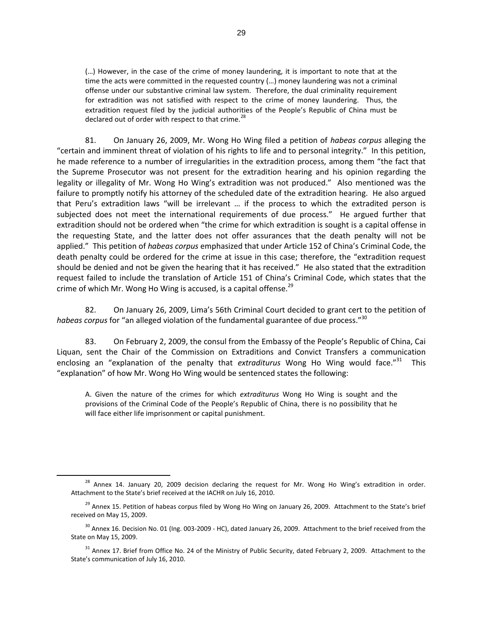(…) However, in the case of the crime of money laundering, it is important to note that at the time the acts were committed in the requested country (…) money laundering was not a criminal offense under our substantive criminal law system. Therefore, the dual criminality requirement for extradition was not satisfied with respect to the crime of money laundering. Thus, the extradition request filed by the judicial authorities of the People's Republic of China must be declared out of order with respect to that crime. $^{28}$ 

81. On January 26, 2009, Mr. Wong Ho Wing filed a petition of *habeas corpus* alleging the "certain and imminent threat of violation of his rights to life and to personal integrity." In this petition, he made reference to a number of irregularities in the extradition process, among them "the fact that the Supreme Prosecutor was not present for the extradition hearing and his opinion regarding the legality or illegality of Mr. Wong Ho Wing's extradition was not produced." Also mentioned was the failure to promptly notify his attorney of the scheduled date of the extradition hearing. He also argued that Peru's extradition laws "will be irrelevant … if the process to which the extradited person is subjected does not meet the international requirements of due process." He argued further that extradition should not be ordered when "the crime for which extradition is sought is a capital offense in the requesting State, and the latter does not offer assurances that the death penalty will not be applied." This petition of *habeas corpus* emphasized that under Article 152 of China's Criminal Code, the death penalty could be ordered for the crime at issue in this case; therefore, the "extradition request should be denied and not be given the hearing that it has received." He also stated that the extradition request failed to include the translation of Article 151 of China's Criminal Code, which states that the crime of which Mr. Wong Ho Wing is accused, is a capital offense. $^{29}$ 

82. On January 26, 2009, Lima's 56th Criminal Court decided to grant cert to the petition of habeas corpus for "an alleged violation of the fundamental guarantee of due process."<sup>30</sup>

83. On February 2, 2009, the consul from the Embassy of the People's Republic of China, Cai Liquan, sent the Chair of the Commission on Extraditions and Convict Transfers a communication enclosing an "explanation of the penalty that extraditurus Wong Ho Wing would face."<sup>31</sup> This "explanation" of how Mr. Wong Ho Wing would be sentenced states the following:

A. Given the nature of the crimes for which *extraditurus* Wong Ho Wing is sought and the provisions of the Criminal Code of the People's Republic of China, there is no possibility that he will face either life imprisonment or capital punishment.

<sup>&</sup>lt;sup>28</sup> Annex 14. January 20, 2009 decision declaring the request for Mr. Wong Ho Wing's extradition in order. Attachment to the State's brief received at the IACHR on July 16, 2010.

<sup>&</sup>lt;sup>29</sup> Annex 15. Petition of habeas corpus filed by Wong Ho Wing on January 26, 2009. Attachment to the State's brief received on May 15, 2009.

<sup>&</sup>lt;sup>30</sup> Annex 16. Decision No. 01 (Ing. 003-2009 - HC), dated January 26, 2009. Attachment to the brief received from the State on May 15, 2009.

 $31$  Annex 17. Brief from Office No. 24 of the Ministry of Public Security, dated February 2, 2009. Attachment to the State's communication of July 16, 2010.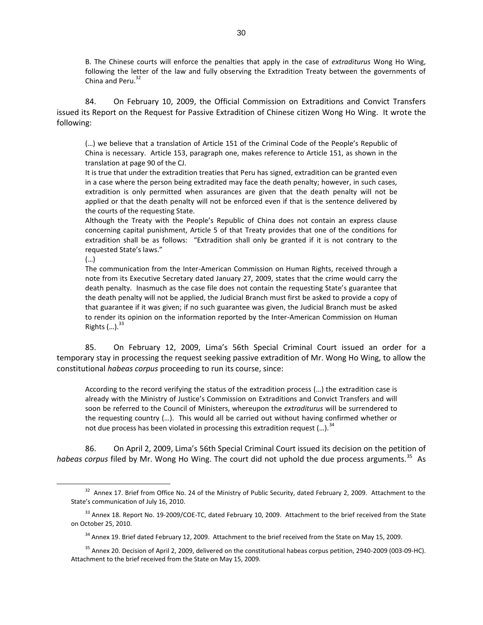B. The Chinese courts will enforce the penalties that apply in the case of *extraditurus* Wong Ho Wing, following the letter of the law and fully observing the Extradition Treaty between the governments of China and Peru. $32$ 

84. On February 10, 2009, the Official Commission on Extraditions and Convict Transfers issued its Report on the Request for Passive Extradition of Chinese citizen Wong Ho Wing. It wrote the following:

(…) we believe that a translation of Article 151 of the Criminal Code of the People's Republic of China is necessary. Article 153, paragraph one, makes reference to Article 151, as shown in the translation at page 90 of the CJ.

It is true that under the extradition treaties that Peru has signed, extradition can be granted even in a case where the person being extradited may face the death penalty; however, in such cases, extradition is only permitted when assurances are given that the death penalty will not be applied or that the death penalty will not be enforced even if that is the sentence delivered by the courts of the requesting State.

Although the Treaty with the People's Republic of China does not contain an express clause concerning capital punishment, Article 5 of that Treaty provides that one of the conditions for extradition shall be as follows: "Extradition shall only be granted if it is not contrary to the requested State's laws."

(…)

 $\overline{a}$ 

The communication from the Inter-American Commission on Human Rights, received through a note from its Executive Secretary dated January 27, 2009, states that the crime would carry the death penalty. Inasmuch as the case file does not contain the requesting State's guarantee that the death penalty will not be applied, the Judicial Branch must first be asked to provide a copy of that guarantee if it was given; if no such guarantee was given, the Judicial Branch must be asked to render its opinion on the information reported by the Inter-American Commission on Human Rights  $(...).$ <sup>33</sup>

85. On February 12, 2009, Lima's 56th Special Criminal Court issued an order for a temporary stay in processing the request seeking passive extradition of Mr. Wong Ho Wing, to allow the constitutional *habeas corpus* proceeding to run its course, since:

According to the record verifying the status of the extradition process (…) the extradition case is already with the Ministry of Justice's Commission on Extraditions and Convict Transfers and will soon be referred to the Council of Ministers, whereupon the *extraditurus* will be surrendered to the requesting country (…). This would all be carried out without having confirmed whether or not due process has been violated in processing this extradition request  $(...).$ <sup>34</sup>

86. On April 2, 2009, Lima's 56th Special Criminal Court issued its decision on the petition of habeas corpus filed by Mr. Wong Ho Wing. The court did not uphold the due process arguments.<sup>35</sup> As

 $32$  Annex 17. Brief from Office No. 24 of the Ministry of Public Security, dated February 2, 2009. Attachment to the State's communication of July 16, 2010.

 $33$  Annex 18. Report No. 19-2009/COE-TC, dated February 10, 2009. Attachment to the brief received from the State on October 25, 2010.

<sup>&</sup>lt;sup>34</sup> Annex 19. Brief dated February 12, 2009. Attachment to the brief received from the State on May 15, 2009.

<sup>&</sup>lt;sup>35</sup> Annex 20. Decision of April 2, 2009, delivered on the constitutional habeas corpus petition, 2940-2009 (003-09-HC). Attachment to the brief received from the State on May 15, 2009.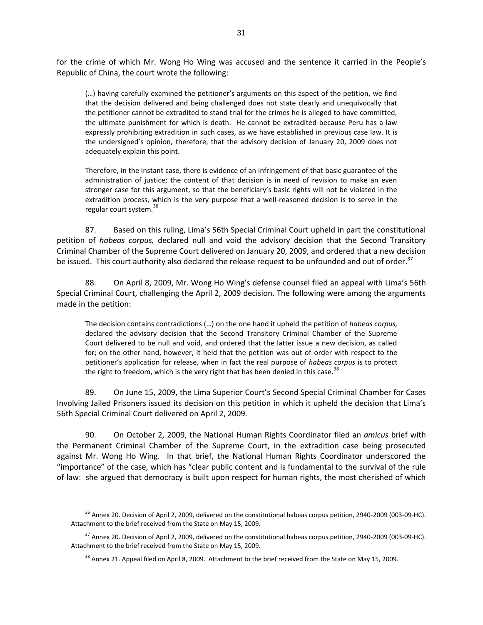for the crime of which Mr. Wong Ho Wing was accused and the sentence it carried in the People's Republic of China, the court wrote the following:

(…) having carefully examined the petitioner's arguments on this aspect of the petition, we find that the decision delivered and being challenged does not state clearly and unequivocally that the petitioner cannot be extradited to stand trial for the crimes he is alleged to have committed, the ultimate punishment for which is death. He cannot be extradited because Peru has a law expressly prohibiting extradition in such cases, as we have established in previous case law. It is the undersigned's opinion, therefore, that the advisory decision of January 20, 2009 does not adequately explain this point.

Therefore, in the instant case, there is evidence of an infringement of that basic guarantee of the administration of justice; the content of that decision is in need of revision to make an even stronger case for this argument, so that the beneficiary's basic rights will not be violated in the extradition process, which is the very purpose that a well-reasoned decision is to serve in the regular court system.<sup>36</sup>

87. Based on this ruling, Lima's 56th Special Criminal Court upheld in part the constitutional petition of *habeas corpus,* declared null and void the advisory decision that the Second Transitory Criminal Chamber of the Supreme Court delivered on January 20, 2009, and ordered that a new decision be issued. This court authority also declared the release request to be unfounded and out of order.<sup>37</sup>

88. On April 8, 2009, Mr. Wong Ho Wing's defense counsel filed an appeal with Lima's 56th Special Criminal Court, challenging the April 2, 2009 decision. The following were among the arguments made in the petition:

The decision contains contradictions (…) on the one hand it upheld the petition of *habeas corpus,*  declared the advisory decision that the Second Transitory Criminal Chamber of the Supreme Court delivered to be null and void, and ordered that the latter issue a new decision, as called for; on the other hand, however, it held that the petition was out of order with respect to the petitioner's application for release, when in fact the real purpose of *habeas corpus* is to protect the right to freedom, which is the very right that has been denied in this case.<sup>38</sup>

89. On June 15, 2009, the Lima Superior Court's Second Special Criminal Chamber for Cases Involving Jailed Prisoners issued its decision on this petition in which it upheld the decision that Lima's 56th Special Criminal Court delivered on April 2, 2009.

90. On October 2, 2009, the National Human Rights Coordinator filed an *amicus* brief with the Permanent Criminal Chamber of the Supreme Court, in the extradition case being prosecuted against Mr. Wong Ho Wing. In that brief, the National Human Rights Coordinator underscored the "importance" of the case, which has "clear public content and is fundamental to the survival of the rule of law: she argued that democracy is built upon respect for human rights, the most cherished of which

<sup>&</sup>lt;sup>36</sup> Annex 20. Decision of April 2, 2009, delivered on the constitutional habeas corpus petition, 2940-2009 (003-09-HC). Attachment to the brief received from the State on May 15, 2009.

 $37$  Annex 20. Decision of April 2, 2009, delivered on the constitutional habeas corpus petition, 2940-2009 (003-09-HC). Attachment to the brief received from the State on May 15, 2009.

<sup>&</sup>lt;sup>38</sup> Annex 21. Appeal filed on April 8, 2009. Attachment to the brief received from the State on May 15, 2009.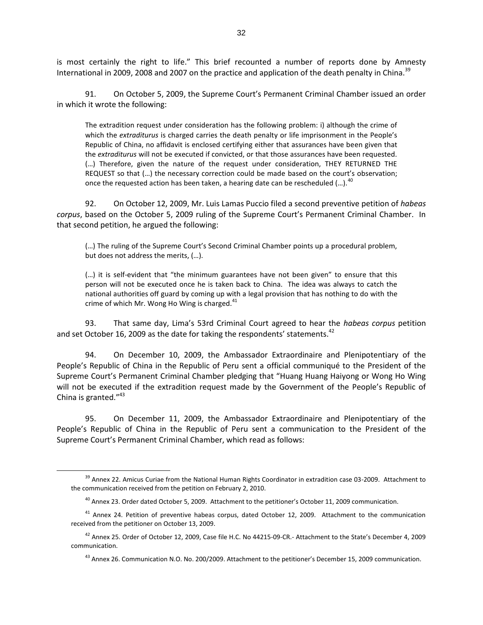is most certainly the right to life." This brief recounted a number of reports done by Amnesty International in 2009, 2008 and 2007 on the practice and application of the death penalty in China.<sup>39</sup>

91. On October 5, 2009, the Supreme Court's Permanent Criminal Chamber issued an order in which it wrote the following:

The extradition request under consideration has the following problem: i) although the crime of which the *extraditurus* is charged carries the death penalty or life imprisonment in the People's Republic of China, no affidavit is enclosed certifying either that assurances have been given that the *extraditurus* will not be executed if convicted, or that those assurances have been requested. (…) Therefore, given the nature of the request under consideration, THEY RETURNED THE REQUEST so that (…) the necessary correction could be made based on the court's observation; once the requested action has been taken, a hearing date can be rescheduled  $(...).$ <sup>40</sup>

92. On October 12, 2009, Mr. Luis Lamas Puccio filed a second preventive petition of *habeas corpus*, based on the October 5, 2009 ruling of the Supreme Court's Permanent Criminal Chamber. In that second petition, he argued the following:

(…) The ruling of the Supreme Court's Second Criminal Chamber points up a procedural problem, but does not address the merits, (…).

(…) it is self-evident that "the minimum guarantees have not been given" to ensure that this person will not be executed once he is taken back to China. The idea was always to catch the national authorities off guard by coming up with a legal provision that has nothing to do with the crime of which Mr. Wong Ho Wing is charged. $41$ 

93. That same day, Lima's 53rd Criminal Court agreed to hear the *habeas corpus* petition and set October 16, 2009 as the date for taking the respondents' statements.<sup>42</sup>

94. On December 10, 2009, the Ambassador Extraordinaire and Plenipotentiary of the People's Republic of China in the Republic of Peru sent a official communiqué to the President of the Supreme Court's Permanent Criminal Chamber pledging that "Huang Huang Haiyong or Wong Ho Wing will not be executed if the extradition request made by the Government of the People's Republic of China is granted."<sup>43</sup>

95. On December 11, 2009, the Ambassador Extraordinaire and Plenipotentiary of the People's Republic of China in the Republic of Peru sent a communication to the President of the Supreme Court's Permanent Criminal Chamber, which read as follows:

<sup>&</sup>lt;sup>39</sup> Annex 22. Amicus Curiae from the National Human Rights Coordinator in extradition case 03-2009. Attachment to the communication received from the petition on February 2, 2010.

<sup>&</sup>lt;sup>40</sup> Annex 23. Order dated October 5, 2009. Attachment to the petitioner's October 11, 2009 communication.

 $41$  Annex 24. Petition of preventive habeas corpus, dated October 12, 2009. Attachment to the communication received from the petitioner on October 13, 2009.

<sup>42</sup> Annex 25. Order of October 12, 2009, Case file H.C. No 44215-09-CR.- Attachment to the State's December 4, 2009 communication.

<sup>&</sup>lt;sup>43</sup> Annex 26. Communication N.O. No. 200/2009. Attachment to the petitioner's December 15, 2009 communication.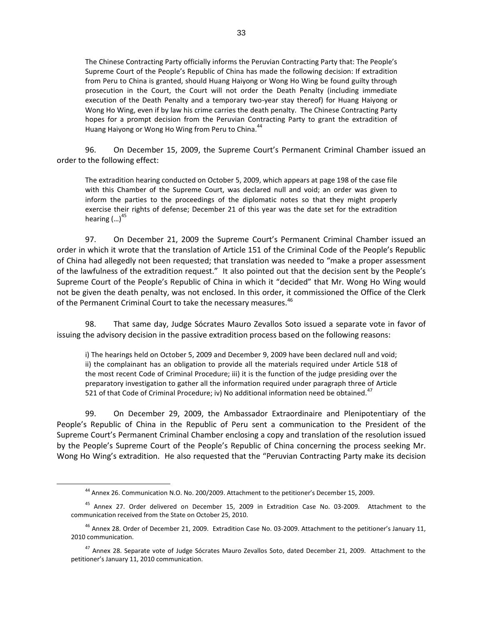The Chinese Contracting Party officially informs the Peruvian Contracting Party that: The People's Supreme Court of the People's Republic of China has made the following decision: If extradition from Peru to China is granted, should Huang Haiyong or Wong Ho Wing be found guilty through prosecution in the Court, the Court will not order the Death Penalty (including immediate execution of the Death Penalty and a temporary two-year stay thereof) for Huang Haiyong or Wong Ho Wing, even if by law his crime carries the death penalty. The Chinese Contracting Party hopes for a prompt decision from the Peruvian Contracting Party to grant the extradition of Huang Haiyong or Wong Ho Wing from Peru to China.<sup>44</sup>

96. On December 15, 2009, the Supreme Court's Permanent Criminal Chamber issued an order to the following effect:

The extradition hearing conducted on October 5, 2009, which appears at page 198 of the case file with this Chamber of the Supreme Court, was declared null and void; an order was given to inform the parties to the proceedings of the diplomatic notes so that they might properly exercise their rights of defense; December 21 of this year was the date set for the extradition hearing  $(...)^{45}$ 

97. On December 21, 2009 the Supreme Court's Permanent Criminal Chamber issued an order in which it wrote that the translation of Article 151 of the Criminal Code of the People's Republic of China had allegedly not been requested; that translation was needed to "make a proper assessment of the lawfulness of the extradition request." It also pointed out that the decision sent by the People's Supreme Court of the People's Republic of China in which it "decided" that Mr. Wong Ho Wing would not be given the death penalty, was not enclosed. In this order, it commissioned the Office of the Clerk of the Permanent Criminal Court to take the necessary measures.<sup>46</sup>

98. That same day, Judge Sócrates Mauro Zevallos Soto issued a separate vote in favor of issuing the advisory decision in the passive extradition process based on the following reasons:

i) The hearings held on October 5, 2009 and December 9, 2009 have been declared null and void; ii) the complainant has an obligation to provide all the materials required under Article 518 of the most recent Code of Criminal Procedure; iii) it is the function of the judge presiding over the preparatory investigation to gather all the information required under paragraph three of Article 521 of that Code of Criminal Procedure; iv) No additional information need be obtained.<sup>47</sup>

99. On December 29, 2009, the Ambassador Extraordinaire and Plenipotentiary of the People's Republic of China in the Republic of Peru sent a communication to the President of the Supreme Court's Permanent Criminal Chamber enclosing a copy and translation of the resolution issued by the People's Supreme Court of the People's Republic of China concerning the process seeking Mr. Wong Ho Wing's extradition. He also requested that the "Peruvian Contracting Party make its decision

<sup>44</sup> Annex 26. Communication N.O. No. 200/2009. Attachment to the petitioner's December 15, 2009.

<sup>&</sup>lt;sup>45</sup> Annex 27. Order delivered on December 15, 2009 in Extradition Case No. 03-2009. Attachment to the communication received from the State on October 25, 2010.

<sup>&</sup>lt;sup>46</sup> Annex 28. Order of December 21, 2009. Extradition Case No. 03-2009. Attachment to the petitioner's January 11, 2010 communication.

<sup>&</sup>lt;sup>47</sup> Annex 28. Separate vote of Judge Sócrates Mauro Zevallos Soto, dated December 21, 2009. Attachment to the petitioner's January 11, 2010 communication.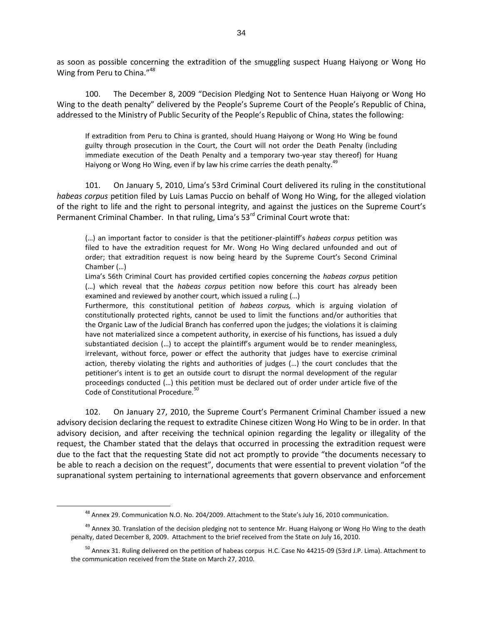as soon as possible concerning the extradition of the smuggling suspect Huang Haiyong or Wong Ho Wing from Peru to China."<sup>48</sup>

100. The December 8, 2009 "Decision Pledging Not to Sentence Huan Haiyong or Wong Ho Wing to the death penalty" delivered by the People's Supreme Court of the People's Republic of China, addressed to the Ministry of Public Security of the People's Republic of China, states the following:

If extradition from Peru to China is granted, should Huang Haiyong or Wong Ho Wing be found guilty through prosecution in the Court, the Court will not order the Death Penalty (including immediate execution of the Death Penalty and a temporary two-year stay thereof) for Huang Haiyong or Wong Ho Wing, even if by law his crime carries the death penalty.<sup>4</sup>

101. On January 5, 2010, Lima's 53rd Criminal Court delivered its ruling in the constitutional *habeas corpus* petition filed by Luis Lamas Puccio on behalf of Wong Ho Wing, for the alleged violation of the right to life and the right to personal integrity, and against the justices on the Supreme Court's Permanent Criminal Chamber. In that ruling, Lima's  $53<sup>rd</sup>$  Criminal Court wrote that:

(…) an important factor to consider is that the petitioner-plaintiff's *habeas corpus* petition was filed to have the extradition request for Mr. Wong Ho Wing declared unfounded and out of order; that extradition request is now being heard by the Supreme Court's Second Criminal Chamber (…)

Lima's 56th Criminal Court has provided certified copies concerning the *habeas corpus* petition (…) which reveal that the *habeas corpus* petition now before this court has already been examined and reviewed by another court, which issued a ruling (…)

Furthermore, this constitutional petition of *habeas corpus,* which is arguing violation of constitutionally protected rights, cannot be used to limit the functions and/or authorities that the Organic Law of the Judicial Branch has conferred upon the judges; the violations it is claiming have not materialized since a competent authority, in exercise of his functions, has issued a duly substantiated decision (…) to accept the plaintiff's argument would be to render meaningless, irrelevant, without force, power or effect the authority that judges have to exercise criminal action, thereby violating the rights and authorities of judges (…) the court concludes that the petitioner's intent is to get an outside court to disrupt the normal development of the regular proceedings conducted (…) this petition must be declared out of order under article five of the Code of Constitutional Procedure.<sup>50</sup>

102. On January 27, 2010, the Supreme Court's Permanent Criminal Chamber issued a new advisory decision declaring the request to extradite Chinese citizen Wong Ho Wing to be in order. In that advisory decision, and after receiving the technical opinion regarding the legality or illegality of the request, the Chamber stated that the delays that occurred in processing the extradition request were due to the fact that the requesting State did not act promptly to provide "the documents necessary to be able to reach a decision on the request", documents that were essential to prevent violation "of the supranational system pertaining to international agreements that govern observance and enforcement

<sup>&</sup>lt;sup>48</sup> Annex 29. Communication N.O. No. 204/2009. Attachment to the State's July 16, 2010 communication.

<sup>&</sup>lt;sup>49</sup> Annex 30. Translation of the decision pledging not to sentence Mr. Huang Haiyong or Wong Ho Wing to the death penalty, dated December 8, 2009. Attachment to the brief received from the State on July 16, 2010.

 $^{50}$  Annex 31. Ruling delivered on the petition of habeas corpus H.C. Case No 44215-09 (53rd J.P. Lima). Attachment to the communication received from the State on March 27, 2010.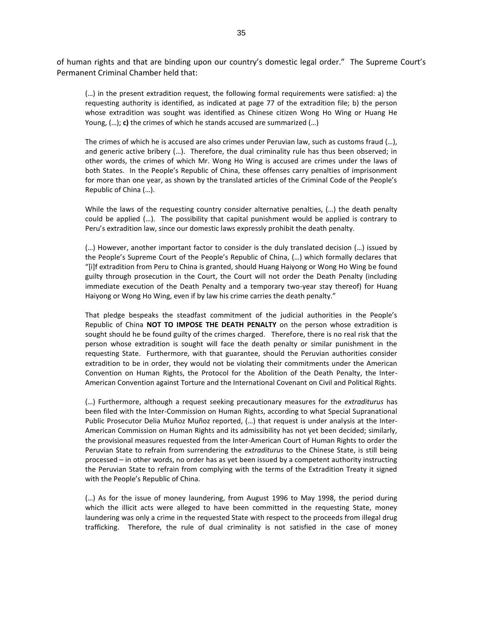of human rights and that are binding upon our country's domestic legal order." The Supreme Court's Permanent Criminal Chamber held that:

(…) in the present extradition request, the following formal requirements were satisfied: a) the requesting authority is identified, as indicated at page 77 of the extradition file; b) the person whose extradition was sought was identified as Chinese citizen Wong Ho Wing or Huang He Young, (…); **c)** the crimes of which he stands accused are summarized (…)

The crimes of which he is accused are also crimes under Peruvian law, such as customs fraud (…), and generic active bribery (…). Therefore, the dual criminality rule has thus been observed; in other words, the crimes of which Mr. Wong Ho Wing is accused are crimes under the laws of both States. In the People's Republic of China, these offenses carry penalties of imprisonment for more than one year, as shown by the translated articles of the Criminal Code of the People's Republic of China (…).

While the laws of the requesting country consider alternative penalties, (…) the death penalty could be applied (…). The possibility that capital punishment would be applied is contrary to Peru's extradition law, since our domestic laws expressly prohibit the death penalty.

(…) However, another important factor to consider is the duly translated decision (…) issued by the People's Supreme Court of the People's Republic of China, (…) which formally declares that "[i]f extradition from Peru to China is granted, should Huang Haiyong or Wong Ho Wing be found guilty through prosecution in the Court, the Court will not order the Death Penalty (including immediate execution of the Death Penalty and a temporary two-year stay thereof) for Huang Haiyong or Wong Ho Wing, even if by law his crime carries the death penalty."

That pledge bespeaks the steadfast commitment of the judicial authorities in the People's Republic of China **NOT TO IMPOSE THE DEATH PENALTY** on the person whose extradition is sought should he be found guilty of the crimes charged. Therefore, there is no real risk that the person whose extradition is sought will face the death penalty or similar punishment in the requesting State. Furthermore, with that guarantee, should the Peruvian authorities consider extradition to be in order, they would not be violating their commitments under the American Convention on Human Rights, the Protocol for the Abolition of the Death Penalty, the Inter-American Convention against Torture and the International Covenant on Civil and Political Rights.

(…) Furthermore, although a request seeking precautionary measures for the *extraditurus* has been filed with the Inter-Commission on Human Rights, according to what Special Supranational Public Prosecutor Delia Muñoz Muñoz reported, (…) that request is under analysis at the Inter-American Commission on Human Rights and its admissibility has not yet been decided; similarly, the provisional measures requested from the Inter-American Court of Human Rights to order the Peruvian State to refrain from surrendering the *extraditurus* to the Chinese State, is still being processed – in other words, no order has as yet been issued by a competent authority instructing the Peruvian State to refrain from complying with the terms of the Extradition Treaty it signed with the People's Republic of China.

(…) As for the issue of money laundering, from August 1996 to May 1998, the period during which the illicit acts were alleged to have been committed in the requesting State, money laundering was only a crime in the requested State with respect to the proceeds from illegal drug trafficking. Therefore, the rule of dual criminality is not satisfied in the case of money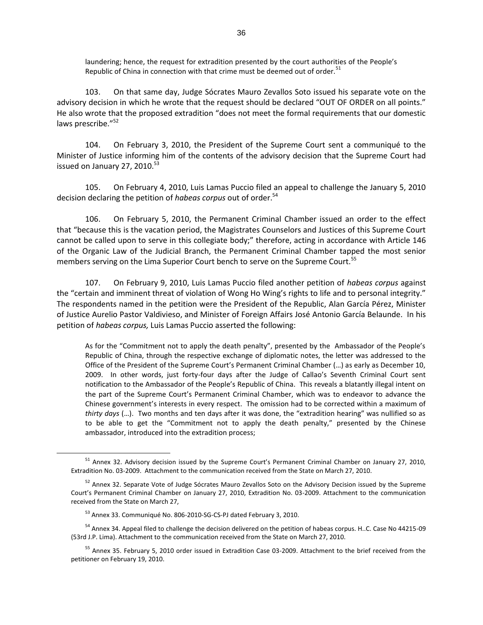laundering; hence, the request for extradition presented by the court authorities of the People's Republic of China in connection with that crime must be deemed out of order.<sup>51</sup>

103. On that same day, Judge Sócrates Mauro Zevallos Soto issued his separate vote on the advisory decision in which he wrote that the request should be declared "OUT OF ORDER on all points." He also wrote that the proposed extradition "does not meet the formal requirements that our domestic laws prescribe."<sup>52</sup>

104. On February 3, 2010, the President of the Supreme Court sent a communiqué to the Minister of Justice informing him of the contents of the advisory decision that the Supreme Court had issued on January 27, 2010.<sup>53</sup>

105. On February 4, 2010, Luis Lamas Puccio filed an appeal to challenge the January 5, 2010 decision declaring the petition of *habeas corpus* out of order.<sup>54</sup>

106. On February 5, 2010, the Permanent Criminal Chamber issued an order to the effect that "because this is the vacation period, the Magistrates Counselors and Justices of this Supreme Court cannot be called upon to serve in this collegiate body;" therefore, acting in accordance with Article 146 of the Organic Law of the Judicial Branch, the Permanent Criminal Chamber tapped the most senior members serving on the Lima Superior Court bench to serve on the Supreme Court.<sup>55</sup>

107. On February 9, 2010, Luis Lamas Puccio filed another petition of *habeas corpus* against the "certain and imminent threat of violation of Wong Ho Wing's rights to life and to personal integrity." The respondents named in the petition were the President of the Republic, Alan García Pérez, Minister of Justice Aurelio Pastor Valdivieso, and Minister of Foreign Affairs José Antonio García Belaunde. In his petition of *habeas corpus,* Luis Lamas Puccio asserted the following:

As for the "Commitment not to apply the death penalty", presented by the Ambassador of the People's Republic of China, through the respective exchange of diplomatic notes, the letter was addressed to the Office of the President of the Supreme Court's Permanent Criminal Chamber (…) as early as December 10, 2009. In other words, just forty-four days after the Judge of Callao's Seventh Criminal Court sent notification to the Ambassador of the People's Republic of China. This reveals a blatantly illegal intent on the part of the Supreme Court's Permanent Criminal Chamber, which was to endeavor to advance the Chinese government's interests in every respect. The omission had to be corrected within a maximum of *thirty days* (…). Two months and ten days after it was done, the "extradition hearing" was nullified so as to be able to get the "Commitment not to apply the death penalty," presented by the Chinese ambassador, introduced into the extradition process;

<sup>51</sup> Annex 32. Advisory decision issued by the Supreme Court's Permanent Criminal Chamber on January 27, 2010, Extradition No. 03-2009. Attachment to the communication received from the State on March 27, 2010.

<sup>&</sup>lt;sup>52</sup> Annex 32. Separate Vote of Judge Sócrates Mauro Zevallos Soto on the Advisory Decision issued by the Supreme Court's Permanent Criminal Chamber on January 27, 2010, Extradition No. 03-2009. Attachment to the communication received from the State on March 27,

<sup>&</sup>lt;sup>53</sup> Annex 33. Communiqué No. 806-2010-SG-CS-PJ dated February 3, 2010.

<sup>&</sup>lt;sup>54</sup> Annex 34. Appeal filed to challenge the decision delivered on the petition of habeas corpus. H..C. Case No 44215-09 (53rd J.P. Lima). Attachment to the communication received from the State on March 27, 2010.

<sup>&</sup>lt;sup>55</sup> Annex 35. February 5, 2010 order issued in Extradition Case 03-2009. Attachment to the brief received from the petitioner on February 19, 2010.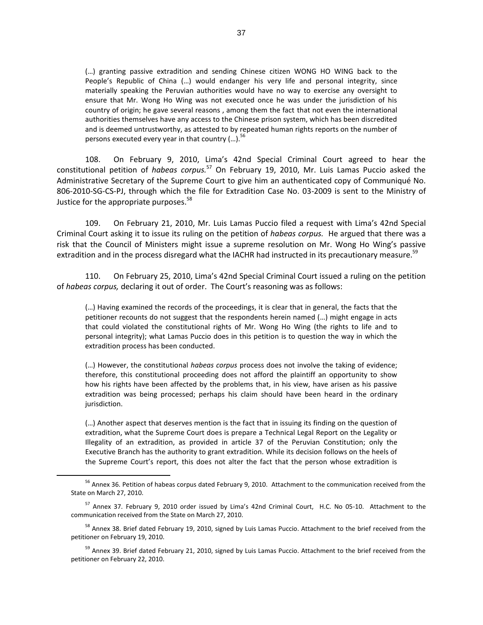(…) granting passive extradition and sending Chinese citizen WONG HO WING back to the People's Republic of China (…) would endanger his very life and personal integrity, since materially speaking the Peruvian authorities would have no way to exercise any oversight to ensure that Mr. Wong Ho Wing was not executed once he was under the jurisdiction of his country of origin; he gave several reasons , among them the fact that not even the international authorities themselves have any access to the Chinese prison system, which has been discredited and is deemed untrustworthy, as attested to by repeated human rights reports on the number of persons executed every year in that country  $(...)^{5}$ 

108. On February 9, 2010, Lima's 42nd Special Criminal Court agreed to hear the constitutional petition of *habeas corpus.*<sup>57</sup> On February 19, 2010, Mr. Luis Lamas Puccio asked the Administrative Secretary of the Supreme Court to give him an authenticated copy of Communiqué No. 806-2010-SG-CS-PJ, through which the file for Extradition Case No. 03-2009 is sent to the Ministry of Justice for the appropriate purposes.<sup>58</sup>

109. On February 21, 2010, Mr. Luis Lamas Puccio filed a request with Lima's 42nd Special Criminal Court asking it to issue its ruling on the petition of *habeas corpus.* He argued that there was a risk that the Council of Ministers might issue a supreme resolution on Mr. Wong Ho Wing's passive extradition and in the process disregard what the IACHR had instructed in its precautionary measure.<sup>59</sup>

110. On February 25, 2010, Lima's 42nd Special Criminal Court issued a ruling on the petition of *habeas corpus,* declaring it out of order. The Court's reasoning was as follows:

(…) Having examined the records of the proceedings, it is clear that in general, the facts that the petitioner recounts do not suggest that the respondents herein named (…) might engage in acts that could violated the constitutional rights of Mr. Wong Ho Wing (the rights to life and to personal integrity); what Lamas Puccio does in this petition is to question the way in which the extradition process has been conducted.

(…) However, the constitutional *habeas corpus* process does not involve the taking of evidence; therefore, this constitutional proceeding does not afford the plaintiff an opportunity to show how his rights have been affected by the problems that, in his view, have arisen as his passive extradition was being processed; perhaps his claim should have been heard in the ordinary jurisdiction.

(…) Another aspect that deserves mention is the fact that in issuing its finding on the question of extradition, what the Supreme Court does is prepare a Technical Legal Report on the Legality or Illegality of an extradition, as provided in article 37 of the Peruvian Constitution; only the Executive Branch has the authority to grant extradition. While its decision follows on the heels of the Supreme Court's report, this does not alter the fact that the person whose extradition is

<sup>&</sup>lt;sup>56</sup> Annex 36. Petition of habeas corpus dated February 9, 2010. Attachment to the communication received from the State on March 27, 2010.

<sup>&</sup>lt;sup>57</sup> Annex 37. February 9, 2010 order issued by Lima's 42nd Criminal Court, H.C. No 05-10. Attachment to the communication received from the State on March 27, 2010.

<sup>&</sup>lt;sup>58</sup> Annex 38. Brief dated February 19, 2010, signed by Luis Lamas Puccio. Attachment to the brief received from the petitioner on February 19, 2010.

<sup>&</sup>lt;sup>59</sup> Annex 39. Brief dated February 21, 2010, signed by Luis Lamas Puccio. Attachment to the brief received from the petitioner on February 22, 2010.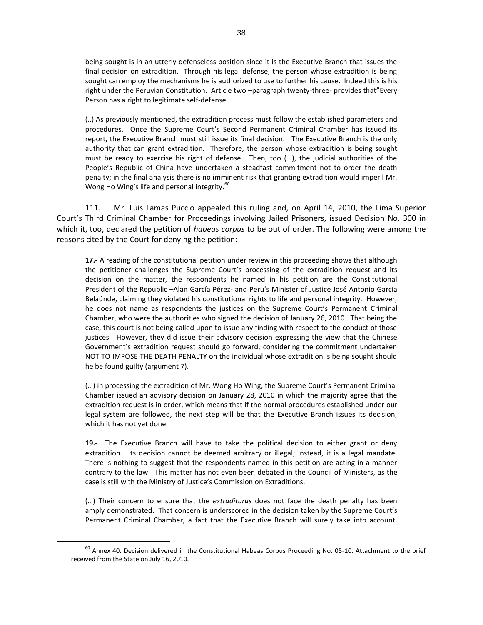being sought is in an utterly defenseless position since it is the Executive Branch that issues the final decision on extradition. Through his legal defense, the person whose extradition is being sought can employ the mechanisms he is authorized to use to further his cause. Indeed this is his right under the Peruvian Constitution. Article two –paragraph twenty-three- provides that"Every Person has a right to legitimate self-defense.

(..) As previously mentioned, the extradition process must follow the established parameters and procedures. Once the Supreme Court's Second Permanent Criminal Chamber has issued its report, the Executive Branch must still issue its final decision. The Executive Branch is the only authority that can grant extradition. Therefore, the person whose extradition is being sought must be ready to exercise his right of defense. Then, too (…), the judicial authorities of the People's Republic of China have undertaken a steadfast commitment not to order the death penalty; in the final analysis there is no imminent risk that granting extradition would imperil Mr. Wong Ho Wing's life and personal integrity.<sup>60</sup>

111. Mr. Luis Lamas Puccio appealed this ruling and, on April 14, 2010, the Lima Superior Court's Third Criminal Chamber for Proceedings involving Jailed Prisoners, issued Decision No. 300 in which it, too, declared the petition of *habeas corpus* to be out of order. The following were among the reasons cited by the Court for denying the petition:

**17.-** A reading of the constitutional petition under review in this proceeding shows that although the petitioner challenges the Supreme Court's processing of the extradition request and its decision on the matter, the respondents he named in his petition are the Constitutional President of the Republic –Alan García Pérez- and Peru's Minister of Justice José Antonio García Belaúnde, claiming they violated his constitutional rights to life and personal integrity. However, he does not name as respondents the justices on the Supreme Court's Permanent Criminal Chamber, who were the authorities who signed the decision of January 26, 2010. That being the case, this court is not being called upon to issue any finding with respect to the conduct of those justices. However, they did issue their advisory decision expressing the view that the Chinese Government's extradition request should go forward, considering the commitment undertaken NOT TO IMPOSE THE DEATH PENALTY on the individual whose extradition is being sought should he be found guilty (argument 7).

(…) in processing the extradition of Mr. Wong Ho Wing, the Supreme Court's Permanent Criminal Chamber issued an advisory decision on January 28, 2010 in which the majority agree that the extradition request is in order, which means that if the normal procedures established under our legal system are followed, the next step will be that the Executive Branch issues its decision, which it has not yet done.

**19.-** The Executive Branch will have to take the political decision to either grant or deny extradition. Its decision cannot be deemed arbitrary or illegal; instead, it is a legal mandate. There is nothing to suggest that the respondents named in this petition are acting in a manner contrary to the law. This matter has not even been debated in the Council of Ministers, as the case is still with the Ministry of Justice's Commission on Extraditions.

(…) Their concern to ensure that the *extraditurus* does not face the death penalty has been amply demonstrated. That concern is underscored in the decision taken by the Supreme Court's Permanent Criminal Chamber, a fact that the Executive Branch will surely take into account.

 $^{60}$  Annex 40. Decision delivered in the Constitutional Habeas Corpus Proceeding No. 05-10. Attachment to the brief received from the State on July 16, 2010.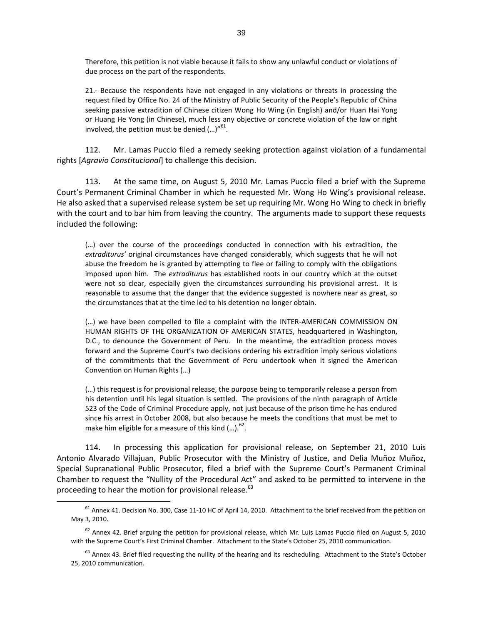Therefore, this petition is not viable because it fails to show any unlawful conduct or violations of due process on the part of the respondents.

21.- Because the respondents have not engaged in any violations or threats in processing the request filed by Office No. 24 of the Ministry of Public Security of the People's Republic of China seeking passive extradition of Chinese citizen Wong Ho Wing (in English) and/or Huan Hai Yong or Huang He Yong (in Chinese), much less any objective or concrete violation of the law or right involved, the petition must be denied  $(...)''^{61}.$ 

112. Mr. Lamas Puccio filed a remedy seeking protection against violation of a fundamental rights [*Agravio Constitucional*] to challenge this decision.

113. At the same time, on August 5, 2010 Mr. Lamas Puccio filed a brief with the Supreme Court's Permanent Criminal Chamber in which he requested Mr. Wong Ho Wing's provisional release. He also asked that a supervised release system be set up requiring Mr. Wong Ho Wing to check in briefly with the court and to bar him from leaving the country. The arguments made to support these requests included the following:

(…) over the course of the proceedings conducted in connection with his extradition, the *extraditurus'* original circumstances have changed considerably, which suggests that he will not abuse the freedom he is granted by attempting to flee or failing to comply with the obligations imposed upon him. The *extraditurus* has established roots in our country which at the outset were not so clear, especially given the circumstances surrounding his provisional arrest. It is reasonable to assume that the danger that the evidence suggested is nowhere near as great, so the circumstances that at the time led to his detention no longer obtain.

(…) we have been compelled to file a complaint with the INTER-AMERICAN COMMISSION ON HUMAN RIGHTS OF THE ORGANIZATION OF AMERICAN STATES, headquartered in Washington, D.C., to denounce the Government of Peru. In the meantime, the extradition process moves forward and the Supreme Court's two decisions ordering his extradition imply serious violations of the commitments that the Government of Peru undertook when it signed the American Convention on Human Rights (…)

(…) this request is for provisional release, the purpose being to temporarily release a person from his detention until his legal situation is settled. The provisions of the ninth paragraph of Article 523 of the Code of Criminal Procedure apply, not just because of the prison time he has endured since his arrest in October 2008, but also because he meets the conditions that must be met to make him eligible for a measure of this kind  $(...)$ .<sup>62</sup>.

114. In processing this application for provisional release, on September 21, 2010 Luis Antonio Alvarado Villajuan, Public Prosecutor with the Ministry of Justice, and Delia Muñoz Muñoz, Special Supranational Public Prosecutor, filed a brief with the Supreme Court's Permanent Criminal Chamber to request the "Nullity of the Procedural Act" and asked to be permitted to intervene in the proceeding to hear the motion for provisional release.<sup>63</sup>

<sup>&</sup>lt;sup>61</sup> Annex 41. Decision No. 300, Case 11-10 HC of April 14, 2010. Attachment to the brief received from the petition on May 3, 2010.

 $62$  Annex 42. Brief arguing the petition for provisional release, which Mr. Luis Lamas Puccio filed on August 5, 2010 with the Supreme Court's First Criminal Chamber. Attachment to the State's October 25, 2010 communication.

<sup>&</sup>lt;sup>63</sup> Annex 43. Brief filed requesting the nullity of the hearing and its rescheduling. Attachment to the State's October 25, 2010 communication.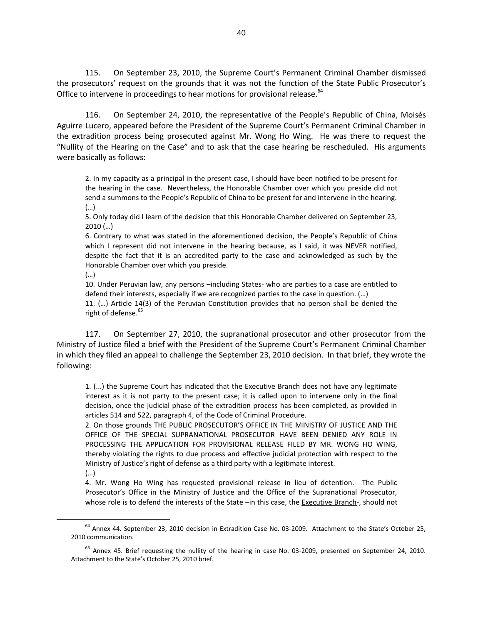115. On September 23, 2010, the Supreme Court's Permanent Criminal Chamber dismissed the prosecutors' request on the grounds that it was not the function of the State Public Prosecutor's Office to intervene in proceedings to hear motions for provisional release.<sup>64</sup>

116. On September 24, 2010, the representative of the People's Republic of China, Moisés Aguirre Lucero, appeared before the President of the Supreme Court's Permanent Criminal Chamber in the extradition process being prosecuted against Mr. Wong Ho Wing. He was there to request the "Nullity of the Hearing on the Case" and to ask that the case hearing be rescheduled. His arguments were basically as follows:

2. In my capacity as a principal in the present case, I should have been notified to be present for the hearing in the case. Nevertheless, the Honorable Chamber over which you preside did not send a summons to the People's Republic of China to be present for and intervene in the hearing. (…)

5. Only today did I learn of the decision that this Honorable Chamber delivered on September 23, 2010 (…)

6. Contrary to what was stated in the aforementioned decision, the People's Republic of China which I represent did not intervene in the hearing because, as I said, it was NEVER notified, despite the fact that it is an accredited party to the case and acknowledged as such by the Honorable Chamber over which you preside.

(…)

10. Under Peruvian law, any persons –including States- who are parties to a case are entitled to defend their interests, especially if we are recognized parties to the case in question. (…) 11. (…) Article 14(3) of the Peruvian Constitution provides that no person shall be denied the right of defense.<sup>65</sup>

117. On September 27, 2010, the supranational prosecutor and other prosecutor from the Ministry of Justice filed a brief with the President of the Supreme Court's Permanent Criminal Chamber in which they filed an appeal to challenge the September 23, 2010 decision. In that brief, they wrote the following:

1. (...) the Supreme Court has indicated that the Executive Branch does not have any legitimate interest as it is not party to the present case; it is called upon to intervene only in the final decision, once the judicial phase of the extradition process has been completed, as provided in articles 514 and 522, paragraph 4, of the Code of Criminal Procedure.

2. On those grounds THE PUBLIC PROSECUTOR'S OFFICE IN THE MINISTRY OF JUSTICE AND THE OFFICE OF THE SPECIAL SUPRANATIONAL PROSECUTOR HAVE BEEN DENIED ANY ROLE IN PROCESSING THE APPLICATION FOR PROVISIONAL RELEASE FILED BY MR. WONG HO WING, thereby violating the rights to due process and effective judicial protection with respect to the Ministry of Justice's right of defense as a third party with a legitimate interest.

(…)

 $\overline{a}$ 

4. Mr. Wong Ho Wing has requested provisional release in lieu of detention. The Public Prosecutor's Office in the Ministry of Justice and the Office of the Supranational Prosecutor, whose role is to defend the interests of the State –in this case, the Executive Branch-, should not

<sup>64</sup> Annex 44. September 23, 2010 decision in Extradition Case No. 03-2009. Attachment to the State's October 25, 2010 communication.

<sup>&</sup>lt;sup>65</sup> Annex 45. Brief requesting the nullity of the hearing in case No. 03-2009, presented on September 24, 2010. Attachment to the State's October 25, 2010 brief.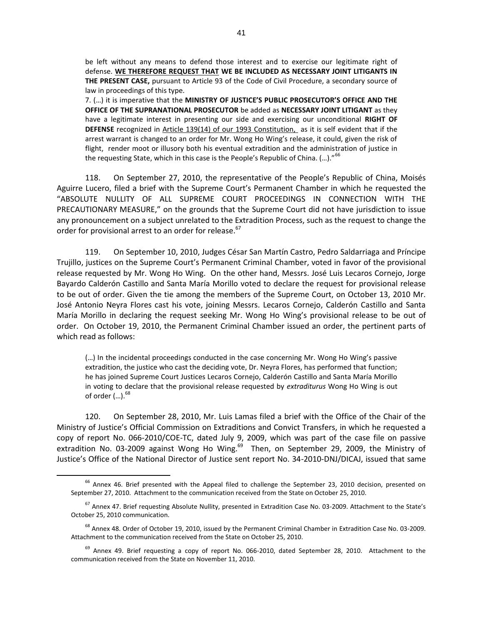be left without any means to defend those interest and to exercise our legitimate right of defense. **WE THEREFORE REQUEST THAT WE BE INCLUDED AS NECESSARY JOINT LITIGANTS IN THE PRESENT CASE,** pursuant to Article 93 of the Code of Civil Procedure, a secondary source of law in proceedings of this type.

7. (…) it is imperative that the **MINISTRY OF JUSTICE'S PUBLIC PROSECUTOR'S OFFICE AND THE OFFICE OF THE SUPRANATIONAL PROSECUTOR** be added as **NECESSARY JOINT LITIGANT** as they have a legitimate interest in presenting our side and exercising our unconditional **RIGHT OF DEFENSE** recognized in Article 139(14) of our 1993 Constitution, as it is self evident that if the arrest warrant is changed to an order for Mr. Wong Ho Wing's release, it could, given the risk of flight, render moot or illusory both his eventual extradition and the administration of justice in the requesting State, which in this case is the People's Republic of China. (...)."<sup>66</sup>

118. On September 27, 2010, the representative of the People's Republic of China, Moisés Aguirre Lucero, filed a brief with the Supreme Court's Permanent Chamber in which he requested the "ABSOLUTE NULLITY OF ALL SUPREME COURT PROCEEDINGS IN CONNECTION WITH THE PRECAUTIONARY MEASURE," on the grounds that the Supreme Court did not have jurisdiction to issue any pronouncement on a subject unrelated to the Extradition Process, such as the request to change the order for provisional arrest to an order for release.<sup>67</sup>

119. On September 10, 2010, Judges César San Martín Castro, Pedro Saldarriaga and Príncipe Trujillo, justices on the Supreme Court's Permanent Criminal Chamber, voted in favor of the provisional release requested by Mr. Wong Ho Wing. On the other hand, Messrs. José Luis Lecaros Cornejo, Jorge Bayardo Calderón Castillo and Santa María Morillo voted to declare the request for provisional release to be out of order. Given the tie among the members of the Supreme Court, on October 13, 2010 Mr. José Antonio Neyra Flores cast his vote, joining Messrs. Lecaros Cornejo, Calderón Castillo and Santa María Morillo in declaring the request seeking Mr. Wong Ho Wing's provisional release to be out of order. On October 19, 2010, the Permanent Criminal Chamber issued an order, the pertinent parts of which read as follows:

(…) In the incidental proceedings conducted in the case concerning Mr. Wong Ho Wing's passive extradition, the justice who cast the deciding vote, Dr. Neyra Flores, has performed that function; he has joined Supreme Court Justices Lecaros Cornejo, Calderón Castillo and Santa María Morillo in voting to declare that the provisional release requested by *extraditurus* Wong Ho Wing is out of order  $(...)$ .  $^{68}$ 

120. On September 28, 2010, Mr. Luis Lamas filed a brief with the Office of the Chair of the Ministry of Justice's Official Commission on Extraditions and Convict Transfers, in which he requested a copy of report No. 066-2010/COE-TC, dated July 9, 2009, which was part of the case file on passive extradition No. 03-2009 against Wong Ho Wing.<sup>69</sup> Then, on September 29, 2009, the Ministry of Justice's Office of the National Director of Justice sent report No. 34-2010-DNJ/DICAJ, issued that same

 $^{66}$  Annex 46. Brief presented with the Appeal filed to challenge the September 23, 2010 decision, presented on September 27, 2010. Attachment to the communication received from the State on October 25, 2010.

<sup>&</sup>lt;sup>67</sup> Annex 47. Brief requesting Absolute Nullity, presented in Extradition Case No. 03-2009. Attachment to the State's October 25, 2010 communication.

<sup>&</sup>lt;sup>68</sup> Annex 48. Order of October 19, 2010, issued by the Permanent Criminal Chamber in Extradition Case No. 03-2009. Attachment to the communication received from the State on October 25, 2010.

 $69$  Annex 49. Brief requesting a copy of report No. 066-2010, dated September 28, 2010. Attachment to the communication received from the State on November 11, 2010.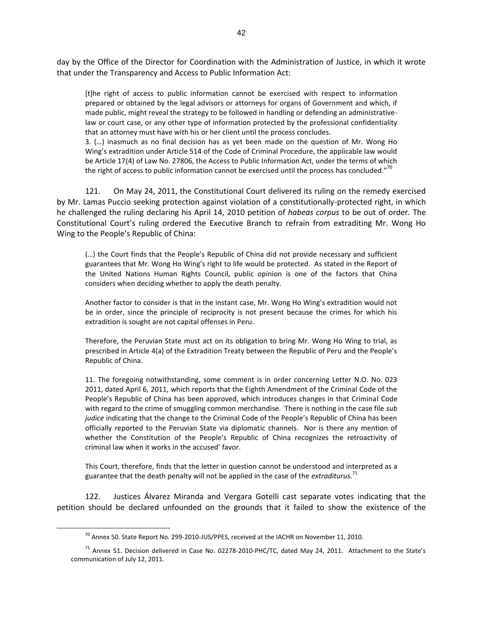day by the Office of the Director for Coordination with the Administration of Justice, in which it wrote that under the Transparency and Access to Public Information Act:

[t]he right of access to public information cannot be exercised with respect to information prepared or obtained by the legal advisors or attorneys for organs of Government and which, if made public, might reveal the strategy to be followed in handling or defending an administrativelaw or court case, or any other type of information protected by the professional confidentiality that an attorney must have with his or her client until the process concludes.

3. (…) inasmuch as no final decision has as yet been made on the question of Mr. Wong Ho Wing's extradition under Article 514 of the Code of Criminal Procedure, the applicable law would be Article 17(4) of Law No. 27806, the Access to Public Information Act, under the terms of which the right of access to public information cannot be exercised until the process has concluded."<sup>70</sup>

121. On May 24, 2011, the Constitutional Court delivered its ruling on the remedy exercised by Mr. Lamas Puccio seeking protection against violation of a constitutionally-protected right, in which he challenged the ruling declaring his April 14, 2010 petition of *habeas corpus* to be out of order*.* The Constitutional Court's ruling ordered the Executive Branch to refrain from extraditing Mr. Wong Ho Wing to the People's Republic of China:

(…) the Court finds that the People's Republic of China did not provide necessary and sufficient guarantees that Mr. Wong Ho Wing's right to life would be protected. As stated in the Report of the United Nations Human Rights Council, public opinion is one of the factors that China considers when deciding whether to apply the death penalty.

Another factor to consider is that in the instant case, Mr. Wong Ho Wing's extradition would not be in order, since the principle of reciprocity is not present because the crimes for which his extradition is sought are not capital offenses in Peru.

Therefore, the Peruvian State must act on its obligation to bring Mr. Wong Ho Wing to trial, as prescribed in Article 4(a) of the Extradition Treaty between the Republic of Peru and the People's Republic of China.

11. The foregoing notwithstanding, some comment is in order concerning Letter N.O. No. 023 2011, dated April 6, 2011, which reports that the Eighth Amendment of the Criminal Code of the People's Republic of China has been approved, which introduces changes in that Criminal Code with regard to the crime of smuggling common merchandise. There is nothing in the case file *sub judice* indicating that the change to the Criminal Code of the People's Republic of China has been officially reported to the Peruvian State via diplomatic channels. Nor is there any mention of whether the Constitution of the People's Republic of China recognizes the retroactivity of criminal law when it works in the accused' favor.

This Court, therefore, finds that the letter in question cannot be understood and interpreted as a guarantee that the death penalty will not be applied in the case of the *extraditurus.*<sup>71</sup>

122. Justices Álvarez Miranda and Vergara Gotelli cast separate votes indicating that the petition should be declared unfounded on the grounds that it failed to show the existence of the

 $^{70}$  Annex 50. State Report No. 299-2010-JUS/PPES, received at the IACHR on November 11, 2010.

<sup>&</sup>lt;sup>71</sup> Annex 51. Decision delivered in Case No. 02278-2010-PHC/TC, dated May 24, 2011. Attachment to the State's communication of July 12, 2011.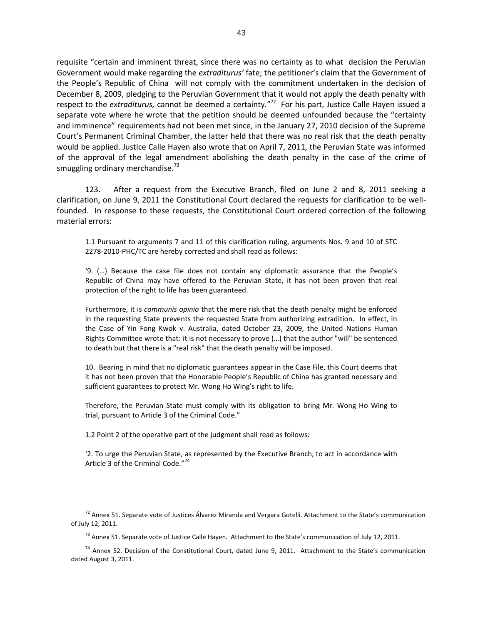requisite "certain and imminent threat, since there was no certainty as to what decision the Peruvian Government would make regarding the *extraditurus'* fate; the petitioner's claim that the Government of the People's Republic of China will not comply with the commitment undertaken in the decision of December 8, 2009, pledging to the Peruvian Government that it would not apply the death penalty with respect to the *extraditurus,* cannot be deemed a certainty*.*" 72 For his part, Justice Calle Hayen issued a separate vote where he wrote that the petition should be deemed unfounded because the "certainty and imminence" requirements had not been met since, in the January 27, 2010 decision of the Supreme Court's Permanent Criminal Chamber, the latter held that there was no real risk that the death penalty would be applied. Justice Calle Hayen also wrote that on April 7, 2011, the Peruvian State was informed of the approval of the legal amendment abolishing the death penalty in the case of the crime of smuggling ordinary merchandise. $^{73}$ 

123. After a request from the Executive Branch, filed on June 2 and 8, 2011 seeking a clarification, on June 9, 2011 the Constitutional Court declared the requests for clarification to be wellfounded. In response to these requests, the Constitutional Court ordered correction of the following material errors:

1.1 Pursuant to arguments 7 and 11 of this clarification ruling, arguments Nos. 9 and 10 of STC 2278-2010-PHC/TC are hereby corrected and shall read as follows:

'9. (…) Because the case file does not contain any diplomatic assurance that the People's Republic of China may have offered to the Peruvian State, it has not been proven that real protection of the right to life has been guaranteed.

Furthermore, it is *communis opinio* that the mere risk that the death penalty might be enforced in the requesting State prevents the requested State from authorizing extradition. In effect, in the Case of Yin Fong Kwok v. Australia, dated October 23, 2009, the United Nations Human Rights Committee wrote that: it is not necessary to prove (…) that the author "will" be sentenced to death but that there is a "real risk" that the death penalty will be imposed.

10. Bearing in mind that no diplomatic guarantees appear in the Case File, this Court deems that it has not been proven that the Honorable People's Republic of China has granted necessary and sufficient guarantees to protect Mr. Wong Ho Wing's right to life.

Therefore, the Peruvian State must comply with its obligation to bring Mr. Wong Ho Wing to trial, pursuant to Article 3 of the Criminal Code."

1.2 Point 2 of the operative part of the judgment shall read as follows:

 $\overline{a}$ 

'2. To urge the Peruvian State, as represented by the Executive Branch, to act in accordance with Article 3 of the Criminal Code."<sup>74</sup>

 $72$  Annex 51. Separate vote of Justices Álvarez Miranda and Vergara Gotelli. Attachment to the State's communication of July 12, 2011.

<sup>&</sup>lt;sup>73</sup> Annex 51. Separate vote of Justice Calle Hayen. Attachment to the State's communication of July 12, 2011.

<sup>&</sup>lt;sup>74</sup> Annex 52. Decision of the Constitutional Court, dated June 9, 2011. Attachment to the State's communication dated August 3, 2011.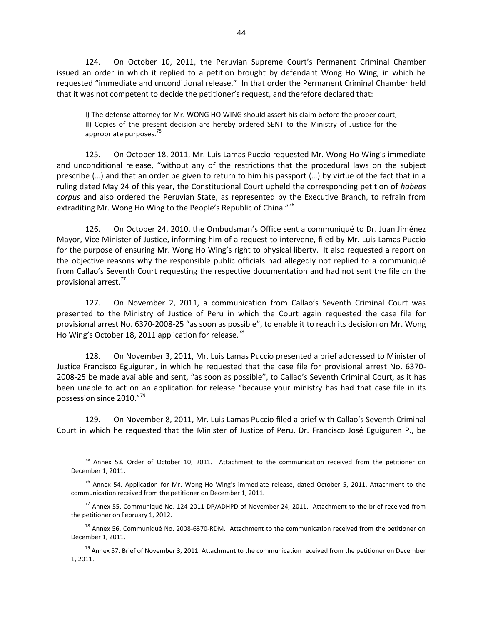124. On October 10, 2011, the Peruvian Supreme Court's Permanent Criminal Chamber issued an order in which it replied to a petition brought by defendant Wong Ho Wing, in which he requested "immediate and unconditional release." In that order the Permanent Criminal Chamber held that it was not competent to decide the petitioner's request, and therefore declared that:

I) The defense attorney for Mr. WONG HO WING should assert his claim before the proper court; II) Copies of the present decision are hereby ordered SENT to the Ministry of Justice for the appropriate purposes.<sup>75</sup>

125. On October 18, 2011, Mr. Luis Lamas Puccio requested Mr. Wong Ho Wing's immediate and unconditional release, "without any of the restrictions that the procedural laws on the subject prescribe (…) and that an order be given to return to him his passport (…) by virtue of the fact that in a ruling dated May 24 of this year, the Constitutional Court upheld the corresponding petition of *habeas corpus* and also ordered the Peruvian State, as represented by the Executive Branch, to refrain from extraditing Mr. Wong Ho Wing to the People's Republic of China."<sup>76</sup>

126. On October 24, 2010, the Ombudsman's Office sent a communiqué to Dr. Juan Jiménez Mayor, Vice Minister of Justice, informing him of a request to intervene, filed by Mr. Luis Lamas Puccio for the purpose of ensuring Mr. Wong Ho Wing's right to physical liberty. It also requested a report on the objective reasons why the responsible public officials had allegedly not replied to a communiqué from Callao's Seventh Court requesting the respective documentation and had not sent the file on the provisional arrest.<sup>77</sup>

127. On November 2, 2011, a communication from Callao's Seventh Criminal Court was presented to the Ministry of Justice of Peru in which the Court again requested the case file for provisional arrest No. 6370-2008-25 "as soon as possible", to enable it to reach its decision on Mr. Wong Ho Wing's October 18, 2011 application for release.<sup>78</sup>

128. On November 3, 2011, Mr. Luis Lamas Puccio presented a brief addressed to Minister of Justice Francisco Eguiguren, in which he requested that the case file for provisional arrest No. 6370- 2008-25 be made available and sent, "as soon as possible", to Callao's Seventh Criminal Court, as it has been unable to act on an application for release "because your ministry has had that case file in its possession since 2010."<sup>9</sup>

129. On November 8, 2011, Mr. Luis Lamas Puccio filed a brief with Callao's Seventh Criminal Court in which he requested that the Minister of Justice of Peru, Dr. Francisco José Eguiguren P., be

<sup>&</sup>lt;sup>75</sup> Annex 53. Order of October 10, 2011. Attachment to the communication received from the petitioner on December 1, 2011.

 $76$  Annex 54. Application for Mr. Wong Ho Wing's immediate release, dated October 5, 2011. Attachment to the communication received from the petitioner on December 1, 2011.

<sup>77</sup> Annex 55. Communiqué No. 124-2011-DP/ADHPD of November 24, 2011. Attachment to the brief received from the petitioner on February 1, 2012.

<sup>&</sup>lt;sup>78</sup> Annex 56. Communiqué No. 2008-6370-RDM. Attachment to the communication received from the petitioner on December 1, 2011.

 $79$  Annex 57. Brief of November 3, 2011. Attachment to the communication received from the petitioner on December 1, 2011.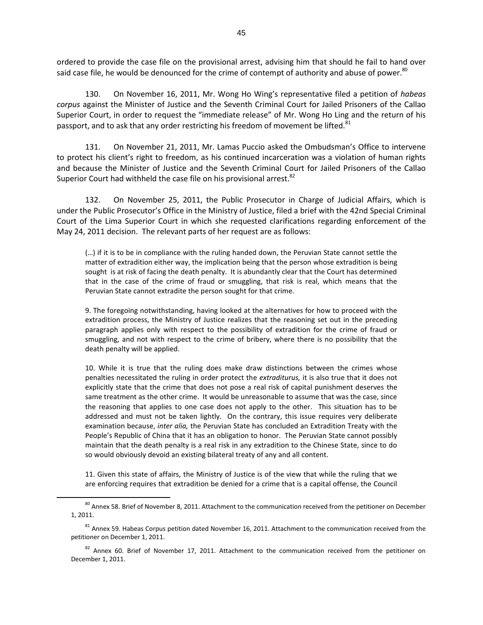ordered to provide the case file on the provisional arrest, advising him that should he fail to hand over said case file, he would be denounced for the crime of contempt of authority and abuse of power.<sup>80</sup>

130. On November 16, 2011, Mr. Wong Ho Wing's representative filed a petition of *habeas corpus* against the Minister of Justice and the Seventh Criminal Court for Jailed Prisoners of the Callao Superior Court, in order to request the "immediate release" of Mr. Wong Ho Ling and the return of his passport, and to ask that any order restricting his freedom of movement be lifted.<sup>81</sup>

131. On November 21, 2011, Mr. Lamas Puccio asked the Ombudsman's Office to intervene to protect his client's right to freedom, as his continued incarceration was a violation of human rights and because the Minister of Justice and the Seventh Criminal Court for Jailed Prisoners of the Callao Superior Court had withheld the case file on his provisional arrest.<sup>82</sup>

132. On November 25, 2011, the Public Prosecutor in Charge of Judicial Affairs, which is under the Public Prosecutor's Office in the Ministry of Justice, filed a brief with the 42nd Special Criminal Court of the Lima Superior Court in which she requested clarifications regarding enforcement of the May 24, 2011 decision. The relevant parts of her request are as follows:

(…) if it is to be in compliance with the ruling handed down, the Peruvian State cannot settle the matter of extradition either way, the implication being that the person whose extradition is being sought is at risk of facing the death penalty. It is abundantly clear that the Court has determined that in the case of the crime of fraud or smuggling, that risk is real, which means that the Peruvian State cannot extradite the person sought for that crime.

9. The foregoing notwithstanding, having looked at the alternatives for how to proceed with the extradition process, the Ministry of Justice realizes that the reasoning set out in the preceding paragraph applies only with respect to the possibility of extradition for the crime of fraud or smuggling, and not with respect to the crime of bribery, where there is no possibility that the death penalty will be applied.

10. While it is true that the ruling does make draw distinctions between the crimes whose penalties necessitated the ruling in order protect the *extraditurus,* it is also true that it does not explicitly state that the crime that does not pose a real risk of capital punishment deserves the same treatment as the other crime. It would be unreasonable to assume that was the case, since the reasoning that applies to one case does not apply to the other. This situation has to be addressed and must not be taken lightly. On the contrary, this issue requires very deliberate examination because, *inter alia,* the Peruvian State has concluded an Extradition Treaty with the People's Republic of China that it has an obligation to honor. The Peruvian State cannot possibly maintain that the death penalty is a real risk in any extradition to the Chinese State, since to do so would obviously devoid an existing bilateral treaty of any and all content.

11. Given this state of affairs, the Ministry of Justice is of the view that while the ruling that we are enforcing requires that extradition be denied for a crime that is a capital offense, the Council

<sup>&</sup>lt;sup>80</sup> Annex 58. Brief of November 8, 2011. Attachment to the communication received from the petitioner on December 1, 2011.

<sup>&</sup>lt;sup>81</sup> Annex 59. Habeas Corpus petition dated November 16, 2011. Attachment to the communication received from the petitioner on December 1, 2011.

 $82$  Annex 60. Brief of November 17, 2011. Attachment to the communication received from the petitioner on December 1, 2011.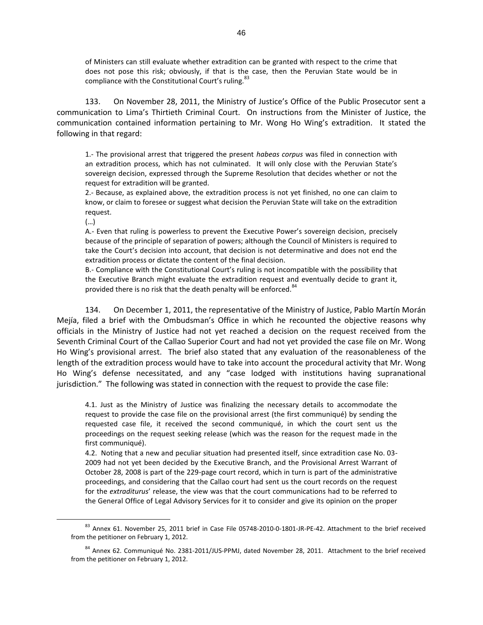of Ministers can still evaluate whether extradition can be granted with respect to the crime that does not pose this risk; obviously, if that is the case, then the Peruvian State would be in compliance with the Constitutional Court's ruling.<sup>83</sup>

133. On November 28, 2011, the Ministry of Justice's Office of the Public Prosecutor sent a communication to Lima's Thirtieth Criminal Court. On instructions from the Minister of Justice, the communication contained information pertaining to Mr. Wong Ho Wing's extradition. It stated the following in that regard:

1.- The provisional arrest that triggered the present *habeas corpus* was filed in connection with an extradition process, which has not culminated. It will only close with the Peruvian State's sovereign decision, expressed through the Supreme Resolution that decides whether or not the request for extradition will be granted.

2.- Because, as explained above, the extradition process is not yet finished, no one can claim to know, or claim to foresee or suggest what decision the Peruvian State will take on the extradition request.

(…)

 $\overline{a}$ 

A.- Even that ruling is powerless to prevent the Executive Power's sovereign decision, precisely because of the principle of separation of powers; although the Council of Ministers is required to take the Court's decision into account, that decision is not determinative and does not end the extradition process or dictate the content of the final decision.

B.- Compliance with the Constitutional Court's ruling is not incompatible with the possibility that the Executive Branch might evaluate the extradition request and eventually decide to grant it, provided there is no risk that the death penalty will be enforced.<sup>84</sup>

134. On December 1, 2011, the representative of the Ministry of Justice, Pablo Martín Morán Mejía, filed a brief with the Ombudsman's Office in which he recounted the objective reasons why officials in the Ministry of Justice had not yet reached a decision on the request received from the Seventh Criminal Court of the Callao Superior Court and had not yet provided the case file on Mr. Wong Ho Wing's provisional arrest. The brief also stated that any evaluation of the reasonableness of the length of the extradition process would have to take into account the procedural activity that Mr. Wong Ho Wing's defense necessitated, and any "case lodged with institutions having supranational jurisdiction." The following was stated in connection with the request to provide the case file:

4.1. Just as the Ministry of Justice was finalizing the necessary details to accommodate the request to provide the case file on the provisional arrest (the first communiqué) by sending the requested case file, it received the second communiqué, in which the court sent us the proceedings on the request seeking release (which was the reason for the request made in the first communiqué).

4.2. Noting that a new and peculiar situation had presented itself, since extradition case No. 03- 2009 had not yet been decided by the Executive Branch, and the Provisional Arrest Warrant of October 28, 2008 is part of the 229-page court record, which in turn is part of the administrative proceedings, and considering that the Callao court had sent us the court records on the request for the *extraditurus*' release, the view was that the court communications had to be referred to the General Office of Legal Advisory Services for it to consider and give its opinion on the proper

<sup>83</sup> Annex 61. November 25, 2011 brief in Case File 05748-2010-0-1801-JR-PE-42. Attachment to the brief received from the petitioner on February 1, 2012.

<sup>84</sup> Annex 62. Communiqué No. 2381-2011/JUS-PPMJ, dated November 28, 2011. Attachment to the brief received from the petitioner on February 1, 2012.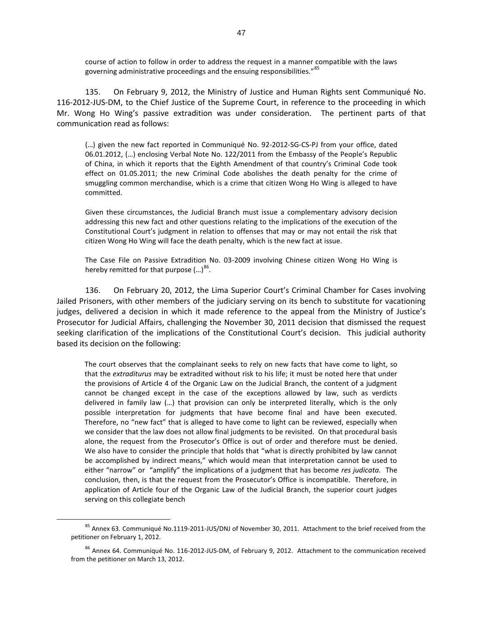course of action to follow in order to address the request in a manner compatible with the laws governing administrative proceedings and the ensuing responsibilities."<sup>85</sup>

135. On February 9, 2012, the Ministry of Justice and Human Rights sent Communiqué No. 116-2012-JUS-DM, to the Chief Justice of the Supreme Court, in reference to the proceeding in which Mr. Wong Ho Wing's passive extradition was under consideration. The pertinent parts of that communication read as follows:

(…) given the new fact reported in Communiqué No. 92-2012-SG-CS-PJ from your office, dated 06.01.2012, (…) enclosing Verbal Note No. 122/2011 from the Embassy of the People's Republic of China, in which it reports that the Eighth Amendment of that country's Criminal Code took effect on 01.05.2011; the new Criminal Code abolishes the death penalty for the crime of smuggling common merchandise, which is a crime that citizen Wong Ho Wing is alleged to have committed.

Given these circumstances, the Judicial Branch must issue a complementary advisory decision addressing this new fact and other questions relating to the implications of the execution of the Constitutional Court's judgment in relation to offenses that may or may not entail the risk that citizen Wong Ho Wing will face the death penalty, which is the new fact at issue.

The Case File on Passive Extradition No. 03-2009 involving Chinese citizen Wong Ho Wing is hereby remitted for that purpose  $(...)^{86}$ .

136. On February 20, 2012, the Lima Superior Court's Criminal Chamber for Cases involving Jailed Prisoners, with other members of the judiciary serving on its bench to substitute for vacationing judges, delivered a decision in which it made reference to the appeal from the Ministry of Justice's Prosecutor for Judicial Affairs, challenging the November 30, 2011 decision that dismissed the request seeking clarification of the implications of the Constitutional Court's decision. This judicial authority based its decision on the following:

The court observes that the complainant seeks to rely on new facts that have come to light, so that the *extraditurus* may be extradited without risk to his life; it must be noted here that under the provisions of Article 4 of the Organic Law on the Judicial Branch, the content of a judgment cannot be changed except in the case of the exceptions allowed by law, such as verdicts delivered in family law (…) that provision can only be interpreted literally, which is the only possible interpretation for judgments that have become final and have been executed. Therefore, no "new fact" that is alleged to have come to light can be reviewed, especially when we consider that the law does not allow final judgments to be revisited. On that procedural basis alone, the request from the Prosecutor's Office is out of order and therefore must be denied. We also have to consider the principle that holds that "what is directly prohibited by law cannot be accomplished by indirect means," which would mean that interpretation cannot be used to either "narrow" or "amplify" the implications of a judgment that has become *res judicata.* The conclusion, then, is that the request from the Prosecutor's Office is incompatible. Therefore, in application of Article four of the Organic Law of the Judicial Branch, the superior court judges serving on this collegiate bench

<sup>85</sup> Annex 63. Communiqué No.1119-2011-JUS/DNJ of November 30, 2011. Attachment to the brief received from the petitioner on February 1, 2012.

<sup>&</sup>lt;sup>86</sup> Annex 64. Communiqué No. 116-2012-JUS-DM, of February 9, 2012. Attachment to the communication received from the petitioner on March 13, 2012.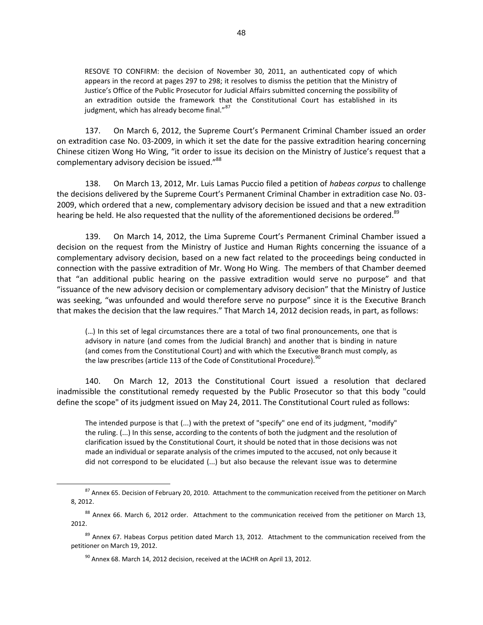RESOVE TO CONFIRM: the decision of November 30, 2011, an authenticated copy of which appears in the record at pages 297 to 298; it resolves to dismiss the petition that the Ministry of Justice's Office of the Public Prosecutor for Judicial Affairs submitted concerning the possibility of an extradition outside the framework that the Constitutional Court has established in its judgment, which has already become final."<sup>87</sup>

137. On March 6, 2012, the Supreme Court's Permanent Criminal Chamber issued an order on extradition case No. 03-2009, in which it set the date for the passive extradition hearing concerning Chinese citizen Wong Ho Wing, "it order to issue its decision on the Ministry of Justice's request that a complementary advisory decision be issued."<sup>88</sup>

138. On March 13, 2012, Mr. Luis Lamas Puccio filed a petition of *habeas corpus* to challenge the decisions delivered by the Supreme Court's Permanent Criminal Chamber in extradition case No. 03- 2009, which ordered that a new, complementary advisory decision be issued and that a new extradition hearing be held. He also requested that the nullity of the aforementioned decisions be ordered.<sup>89</sup>

139. On March 14, 2012, the Lima Supreme Court's Permanent Criminal Chamber issued a decision on the request from the Ministry of Justice and Human Rights concerning the issuance of a complementary advisory decision, based on a new fact related to the proceedings being conducted in connection with the passive extradition of Mr. Wong Ho Wing. The members of that Chamber deemed that "an additional public hearing on the passive extradition would serve no purpose" and that "issuance of the new advisory decision or complementary advisory decision" that the Ministry of Justice was seeking, "was unfounded and would therefore serve no purpose" since it is the Executive Branch that makes the decision that the law requires." That March 14, 2012 decision reads, in part, as follows:

(…) In this set of legal circumstances there are a total of two final pronouncements, one that is advisory in nature (and comes from the Judicial Branch) and another that is binding in nature (and comes from the Constitutional Court) and with which the Executive Branch must comply, as the law prescribes (article 113 of the Code of Constitutional Procedure).  $90$ 

140. On March 12, 2013 the Constitutional Court issued a resolution that declared inadmissible the constitutional remedy requested by the Public Prosecutor so that this body "could define the scope" of its judgment issued on May 24, 2011. The Constitutional Court ruled as follows:

The intended purpose is that (...) with the pretext of "specify" one end of its judgment, "modify" the ruling. (...) In this sense, according to the contents of both the judgment and the resolution of clarification issued by the Constitutional Court, it should be noted that in those decisions was not made an individual or separate analysis of the crimes imputed to the accused, not only because it did not correspond to be elucidated (...) but also because the relevant issue was to determine

<sup>&</sup>lt;sup>87</sup> Annex 65. Decision of February 20, 2010. Attachment to the communication received from the petitioner on March 8, 2012.

<sup>88</sup> Annex 66. March 6, 2012 order. Attachment to the communication received from the petitioner on March 13, 2012.

<sup>&</sup>lt;sup>89</sup> Annex 67. Habeas Corpus petition dated March 13, 2012. Attachment to the communication received from the petitioner on March 19, 2012.

 $^{90}$  Annex 68. March 14, 2012 decision, received at the IACHR on April 13, 2012.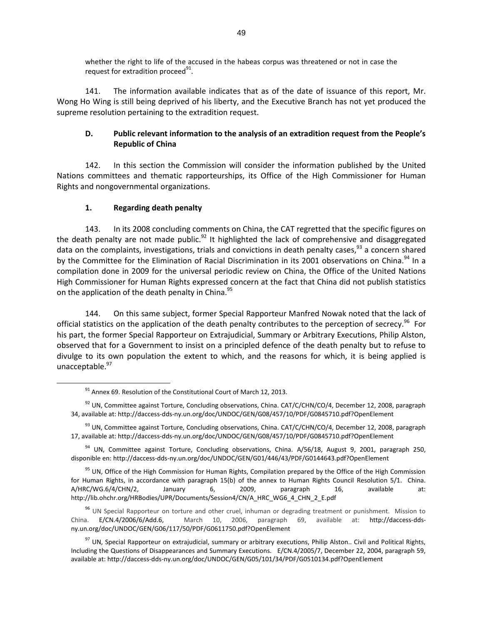whether the right to life of the accused in the habeas corpus was threatened or not in case the request for extradition proceed $91$ .

141. The information available indicates that as of the date of issuance of this report, Mr. Wong Ho Wing is still being deprived of his liberty, and the Executive Branch has not yet produced the supreme resolution pertaining to the extradition request.

# **D. Public relevant information to the analysis of an extradition request from the People's Republic of China**

142. In this section the Commission will consider the information published by the United Nations committees and thematic rapporteurships, its Office of the High Commissioner for Human Rights and nongovernmental organizations.

# **1. Regarding death penalty**

 $\overline{a}$ 

143. In its 2008 concluding comments on China, the CAT regretted that the specific figures on the death penalty are not made public.<sup>92</sup> It highlighted the lack of comprehensive and disaggregated data on the complaints, investigations, trials and convictions in death penalty cases, $93$  a concern shared by the Committee for the Elimination of Racial Discrimination in its 2001 observations on China.<sup>94</sup> In a compilation done in 2009 for the universal periodic review on China, the Office of the United Nations High Commissioner for Human Rights expressed concern at the fact that China did not publish statistics on the application of the death penalty in China.<sup>95</sup>

144. On this same subject, former Special Rapporteur Manfred Nowak noted that the lack of official statistics on the application of the death penalty contributes to the perception of secrecy.<sup>96</sup> For his part, the former Special Rapporteur on Extrajudicial, Summary or Arbitrary Executions, Philip Alston, observed that for a Government to insist on a principled defence of the death penalty but to refuse to divulge to its own population the extent to which, and the reasons for which, it is being applied is unacceptable. <sup>97</sup>

 $91$  Annex 69. Resolution of the Constitutional Court of March 12, 2013.

 $92$  UN, Committee against Torture, Concluding observations, China. CAT/C/CHN/CO/4, December 12, 2008, paragraph 34, available at: http://daccess-dds-ny.un.org/doc/UNDOC/GEN/G08/457/10/PDF/G0845710.pdf?OpenElement

<sup>&</sup>lt;sup>93</sup> UN, Committee against Torture, Concluding observations, China, CAT/C/CHN/CO/4, December 12, 2008, paragraph 17, available at: http://daccess-dds-ny.un.org/doc/UNDOC/GEN/G08/457/10/PDF/G0845710.pdf?OpenElement

<sup>&</sup>lt;sup>94</sup> UN, Committee against Torture, Concluding observations, China. A/56/18, August 9, 2001, paragraph 250, disponible en: http://daccess-dds-ny.un.org/doc/UNDOC/GEN/G01/446/43/PDF/G0144643.pdf?OpenElement

<sup>&</sup>lt;sup>95</sup> UN, Office of the High Commission for Human Rights, Compilation prepared by the Office of the High Commission for Human Rights, in accordance with paragraph 15(b) of the annex to Human Rights Council Resolution 5/1. China. A/HRC/WG.6/4/CHN/2, January 6, 2009, paragraph 16, available at: http://lib.ohchr.org/HRBodies/UPR/Documents/Session4/CN/A\_HRC\_WG6\_4\_CHN\_2\_E.pdf

<sup>&</sup>lt;sup>96</sup> UN Special Rapporteur on torture and other cruel, inhuman or degrading treatment or punishment. Mission to China. E/CN.4/2006/6/Add.6, March 10, 2006, paragraph 69, available at: http://daccess-ddsny.un.org/doc/UNDOC/GEN/G06/117/50/PDF/G0611750.pdf?OpenElement

 $97$  UN, Special Rapporteur on extrajudicial, summary or arbitrary executions, Philip Alston.. Civil and Political Rights, Including the Questions of Disappearances and Summary Executions. E/CN.4/2005/7, December 22, 2004, paragraph 59, available at: http://daccess-dds-ny.un.org/doc/UNDOC/GEN/G05/101/34/PDF/G0510134.pdf?OpenElement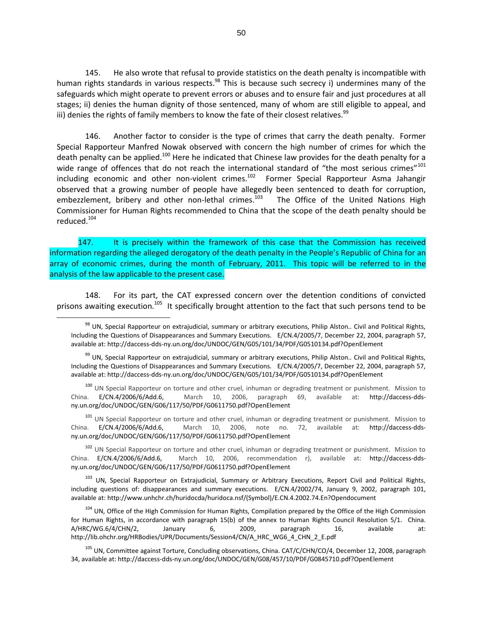145. He also wrote that refusal to provide statistics on the death penalty is incompatible with human rights standards in various respects.<sup>98</sup> This is because such secrecy i) undermines many of the safeguards which might operate to prevent errors or abuses and to ensure fair and just procedures at all stages; ii) denies the human dignity of those sentenced, many of whom are still eligible to appeal, and iii) denies the rights of family members to know the fate of their closest relatives.<sup>99</sup>

146. Another factor to consider is the type of crimes that carry the death penalty. Former Special Rapporteur Manfred Nowak observed with concern the high number of crimes for which the death penalty can be applied.<sup>100</sup> Here he indicated that Chinese law provides for the death penalty for a wide range of offences that do not reach the international standard of "the most serious crimes"<sup>101</sup> including economic and other non-violent crimes.<sup>102</sup> Former Special Rapporteur Asma Jahangir observed that a growing number of people have allegedly been sentenced to death for corruption, embezzlement, bribery and other non-lethal crimes.<sup>103</sup> The Office of the United Nations High Commissioner for Human Rights recommended to China that the scope of the death penalty should be reduced.<sup>104</sup>

147. It is precisely within the framework of this case that the Commission has received information regarding the alleged derogatory of the death penalty in the People's Republic of China for an array of economic crimes, during the month of February, 2011. This topic will be referred to in the analysis of the law applicable to the present case.

148. For its part, the CAT expressed concern over the detention conditions of convicted prisons awaiting execution.<sup>105</sup> It specifically brought attention to the fact that such persons tend to be

 $\overline{a}$ 

<sup>100</sup> UN Special Rapporteur on torture and other cruel, inhuman or degrading treatment or punishment. Mission to China. E/CN.4/2006/6/Add.6, March 10, 2006, paragraph 69, available at: http://daccess-ddsny.un.org/doc/UNDOC/GEN/G06/117/50/PDF/G0611750.pdf?OpenElement

<sup>101</sup> UN Special Rapporteur on torture and other cruel, inhuman or degrading treatment or punishment. Mission to China. E/CN.4/2006/6/Add.6, March 10, 2006, note no. 72, available at: http://daccess-ddsny.un.org/doc/UNDOC/GEN/G06/117/50/PDF/G0611750.pdf?OpenElement

<sup>102</sup> UN Special Rapporteur on torture and other cruel, inhuman or degrading treatment or punishment. Mission to China. E/CN.4/2006/6/Add.6, March 10, 2006, recommendation r), available at: http://daccess-ddsny.un.org/doc/UNDOC/GEN/G06/117/50/PDF/G0611750.pdf?OpenElement

<sup>103</sup> UN, Special Rapporteur on Extrajudicial, Summary or Arbitrary Executions, Report Civil and Political Rights, including questions of: disappearances and summary executions. E/CN.4/2002/74, January 9, 2002, paragraph 101, available at: http://www.unhchr.ch/huridocda/huridoca.nsf/(Symbol)/E.CN.4.2002.74.En?Opendocument

<sup>104</sup> UN, Office of the High Commission for Human Rights, Compilation prepared by the Office of the High Commission for Human Rights, in accordance with paragraph 15(b) of the annex to Human Rights Council Resolution 5/1. China. A/HRC/WG.6/4/CHN/2, January 6, 2009, paragraph 16, available at: http://lib.ohchr.org/HRBodies/UPR/Documents/Session4/CN/A\_HRC\_WG6\_4\_CHN\_2\_E.pdf

<sup>105</sup> UN, Committee against Torture, Concluding observations, China. CAT/C/CHN/CO/4, December 12, 2008, paragraph 34, available at: http://daccess-dds-ny.un.org/doc/UNDOC/GEN/G08/457/10/PDF/G0845710.pdf?OpenElement

 $98$  UN, Special Rapporteur on extrajudicial, summary or arbitrary executions, Philip Alston.. Civil and Political Rights, Including the Questions of Disappearances and Summary Executions. E/CN.4/2005/7, December 22, 2004, paragraph 57, available at: http://daccess-dds-ny.un.org/doc/UNDOC/GEN/G05/101/34/PDF/G0510134.pdf?OpenElement

<sup>&</sup>lt;sup>99</sup> UN, Special Rapporteur on extrajudicial, summary or arbitrary executions, Philip Alston.. Civil and Political Rights, Including the Questions of Disappearances and Summary Executions. E/CN.4/2005/7, December 22, 2004, paragraph 57, available at: http://daccess-dds-ny.un.org/doc/UNDOC/GEN/G05/101/34/PDF/G0510134.pdf?OpenElement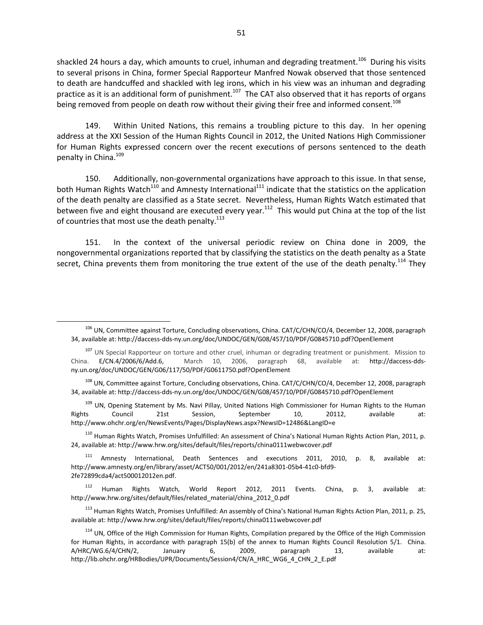shackled 24 hours a day, which amounts to cruel, inhuman and degrading treatment.<sup>106</sup> During his visits to several prisons in China, former Special Rapporteur Manfred Nowak observed that those sentenced to death are handcuffed and shackled with leg irons, which in his view was an inhuman and degrading practice as it is an additional form of punishment.<sup>107</sup> The CAT also observed that it has reports of organs being removed from people on death row without their giving their free and informed consent.<sup>108</sup>

149. Within United Nations, this remains a troubling picture to this day. In her opening address at the XXI Session of the Human Rights Council in 2012, the United Nations High Commissioner for Human Rights expressed concern over the recent executions of persons sentenced to the death penalty in China.<sup>109</sup>

150. Additionally, non-governmental organizations have approach to this issue. In that sense, both Human Rights Watch<sup>110</sup> and Amnesty International<sup>111</sup> indicate that the statistics on the application of the death penalty are classified as a State secret. Nevertheless, Human Rights Watch estimated that between five and eight thousand are executed every year.<sup>112</sup> This would put China at the top of the list of countries that most use the death penalty. $^{113}$ 

151. In the context of the universal periodic review on China done in 2009, the nongovernmental organizations reported that by classifying the statistics on the death penalty as a State secret, China prevents them from monitoring the true extent of the use of the death penalty.<sup>114</sup> They

 $\overline{a}$ 

109 UN, Opening Statement by Ms. Navi Pillay, United Nations High Commissioner for Human Rights to the Human Rights Council 21st Session, September 10, 20112, available at: http://www.ohchr.org/en/NewsEvents/Pages/DisplayNews.aspx?NewsID=12486&LangID=e

<sup>110</sup> Human Rights Watch, Promises Unfulfilled: An assessment of China's National Human Rights Action Plan, 2011, p. 24, available at: http://www.hrw.org/sites/default/files/reports/china0111webwcover.pdf

<sup>111</sup> Amnesty International, Death Sentences and executions 2011, 2010, p. 8, available at: http://www.amnesty.org/en/library/asset/ACT50/001/2012/en/241a8301-05b4-41c0-bfd9- 2fe72899cda4/act500012012en.pdf.

<sup>112</sup> Human Rights Watch, World Report 2012, 2011 Events. China, p. 3, available at: http://www.hrw.org/sites/default/files/related\_material/china\_2012\_0.pdf

<sup>113</sup> Human Rights Watch, Promises Unfulfilled: An assembly of China's National Human Rights Action Plan, 2011, p. 25, available at: http://www.hrw.org/sites/default/files/reports/china0111webwcover.pdf

<sup>114</sup> UN, Office of the High Commission for Human Rights, Compilation prepared by the Office of the High Commission for Human Rights, in accordance with paragraph 15(b) of the annex to Human Rights Council Resolution 5/1. China. A/HRC/WG.6/4/CHN/2, January 6, 2009, paragraph 13, available at: http://lib.ohchr.org/HRBodies/UPR/Documents/Session4/CN/A\_HRC\_WG6\_4\_CHN\_2\_E.pdf

<sup>106</sup> UN, Committee against Torture, Concluding observations, China. CAT/C/CHN/CO/4, December 12, 2008, paragraph 34, available at: http://daccess-dds-ny.un.org/doc/UNDOC/GEN/G08/457/10/PDF/G0845710.pdf?OpenElement

<sup>&</sup>lt;sup>107</sup> UN Special Rapporteur on torture and other cruel, inhuman or degrading treatment or punishment. Mission to China. E/CN.4/2006/6/Add.6, March 10, 2006, paragraph 68, available at: http://daccess-ddsny.un.org/doc/UNDOC/GEN/G06/117/50/PDF/G0611750.pdf?OpenElement

<sup>&</sup>lt;sup>108</sup> UN, Committee against Torture, Concluding observations, China. CAT/C/CHN/CO/4, December 12, 2008, paragraph 34, available at: http://daccess-dds-ny.un.org/doc/UNDOC/GEN/G08/457/10/PDF/G0845710.pdf?OpenElement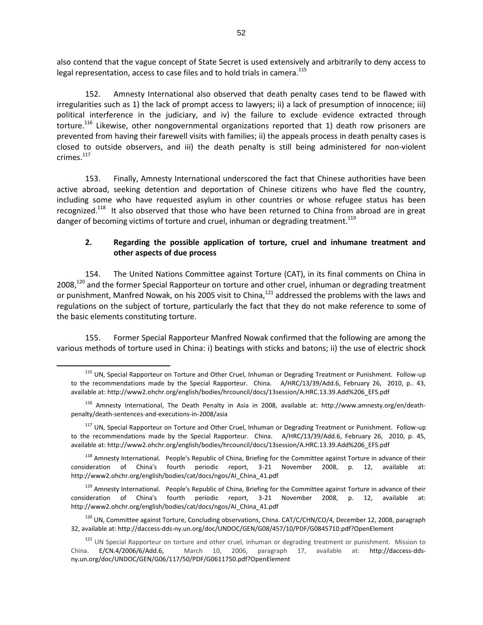also contend that the vague concept of State Secret is used extensively and arbitrarily to deny access to legal representation, access to case files and to hold trials in camera.<sup>115</sup>

152. Amnesty International also observed that death penalty cases tend to be flawed with irregularities such as 1) the lack of prompt access to lawyers; ii) a lack of presumption of innocence; iii) political interference in the judiciary, and iv) the failure to exclude evidence extracted through torture.<sup>116</sup> Likewise, other nongovernmental organizations reported that 1) death row prisoners are prevented from having their farewell visits with families; ii) the appeals process in death penalty cases is closed to outside observers, and iii) the death penalty is still being administered for non-violent crimes. $117$ 

153. Finally, Amnesty International underscored the fact that Chinese authorities have been active abroad, seeking detention and deportation of Chinese citizens who have fled the country, including some who have requested asylum in other countries or whose refugee status has been recognized.<sup>118</sup> It also observed that those who have been returned to China from abroad are in great danger of becoming victims of torture and cruel, inhuman or degrading treatment.<sup>119</sup>

# **2. Regarding the possible application of torture, cruel and inhumane treatment and other aspects of due process**

154. The United Nations Committee against Torture (CAT), in its final comments on China in 2008,<sup>120</sup> and the former Special Rapporteur on torture and other cruel, inhuman or degrading treatment or punishment, Manfred Nowak, on his 2005 visit to China,<sup>121</sup> addressed the problems with the laws and regulations on the subject of torture, particularly the fact that they do not make reference to some of the basic elements constituting torture.

155. Former Special Rapporteur Manfred Nowak confirmed that the following are among the various methods of torture used in China: i) beatings with sticks and batons; ii) the use of electric shock

<sup>&</sup>lt;sup>115</sup> UN, Special Rapporteur on Torture and Other Cruel, Inhuman or Degrading Treatment or Punishment. Follow-up to the recommendations made by the Special Rapporteur. China. A/HRC/13/39/Add.6, February 26, 2010, p.. 43, available at: http://www2.ohchr.org/english/bodies/hrcouncil/docs/13session/A.HRC.13.39.Add%206\_EFS.pdf

<sup>116</sup> Amnesty International, The Death Penalty in Asia in 2008, available at: http://www.amnesty.org/en/deathpenalty/death-sentences-and-executions-in-2008/asia

<sup>&</sup>lt;sup>117</sup> UN. Special Rapporteur on Torture and Other Cruel, Inhuman or Degrading Treatment or Punishment. Follow-up to the recommendations made by the Special Rapporteur. China. A/HRC/13/39/Add.6, February 26, 2010, p. 45, available at: http://www2.ohchr.org/english/bodies/hrcouncil/docs/13session/A.HRC.13.39.Add%206\_EFS.pdf

<sup>&</sup>lt;sup>118</sup> Amnesty International. People's Republic of China, Briefing for the Committee against Torture in advance of their consideration of China's fourth periodic report, 3-21 November 2008, p. 12, available at: http://www2.ohchr.org/english/bodies/cat/docs/ngos/AI\_China\_41.pdf

<sup>&</sup>lt;sup>119</sup> Amnesty International. People's Republic of China, Briefing for the Committee against Torture in advance of their consideration of China's fourth periodic report, 3-21 November 2008, p. 12, available at: http://www2.ohchr.org/english/bodies/cat/docs/ngos/AI\_China\_41.pdf

<sup>&</sup>lt;sup>120</sup> UN, Committee against Torture, Concluding observations, China. CAT/C/CHN/CO/4, December 12, 2008, paragraph 32, available at: http://daccess-dds-ny.un.org/doc/UNDOC/GEN/G08/457/10/PDF/G0845710.pdf?OpenElement

<sup>&</sup>lt;sup>121</sup> UN Special Rapporteur on torture and other cruel, inhuman or degrading treatment or punishment. Mission to China. E/CN.4/2006/6/Add.6, March 10, 2006, paragraph 17, available at: http://daccess-ddsny.un.org/doc/UNDOC/GEN/G06/117/50/PDF/G0611750.pdf?OpenElement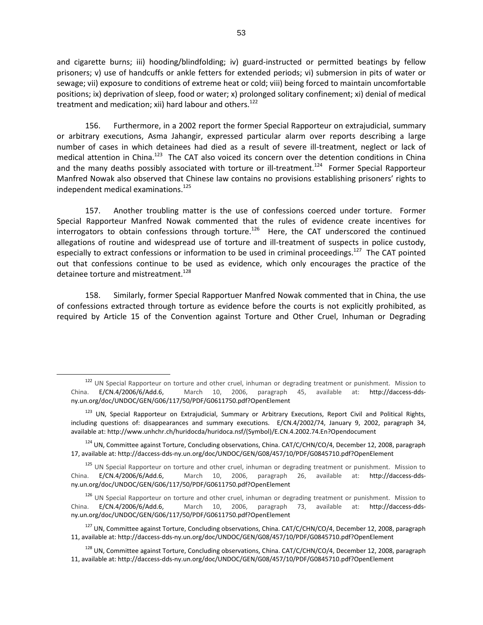and cigarette burns; iii) hooding/blindfolding; iv) guard-instructed or permitted beatings by fellow prisoners; v) use of handcuffs or ankle fetters for extended periods; vi) submersion in pits of water or sewage; vii) exposure to conditions of extreme heat or cold; viii) being forced to maintain uncomfortable positions; ix) deprivation of sleep, food or water; x) prolonged solitary confinement; xi) denial of medical treatment and medication; xii) hard labour and others.<sup>122</sup>

156. Furthermore, in a 2002 report the former Special Rapporteur on extrajudicial, summary or arbitrary executions, Asma Jahangir, expressed particular alarm over reports describing a large number of cases in which detainees had died as a result of severe ill-treatment, neglect or lack of medical attention in China.<sup>123</sup> The CAT also voiced its concern over the detention conditions in China and the many deaths possibly associated with torture or ill-treatment.<sup>124</sup> Former Special Rapporteur Manfred Nowak also observed that Chinese law contains no provisions establishing prisoners' rights to independent medical examinations.<sup>125</sup>

157. Another troubling matter is the use of confessions coerced under torture. Former Special Rapporteur Manfred Nowak commented that the rules of evidence create incentives for interrogators to obtain confessions through torture.<sup>126</sup> Here, the CAT underscored the continued allegations of routine and widespread use of torture and ill-treatment of suspects in police custody, especially to extract confessions or information to be used in criminal proceedings.<sup>127</sup> The CAT pointed out that confessions continue to be used as evidence, which only encourages the practice of the detainee torture and mistreatment.<sup>128</sup>

158. Similarly, former Special Rapportuer Manfred Nowak commented that in China, the use of confessions extracted through torture as evidence before the courts is not explicitly prohibited, as required by Article 15 of the Convention against Torture and Other Cruel, Inhuman or Degrading

<sup>122</sup> UN Special Rapporteur on torture and other cruel, inhuman or degrading treatment or punishment. Mission to China. E/CN.4/2006/6/Add.6, March 10, 2006, paragraph 45, available at: http://daccess-ddsny.un.org/doc/UNDOC/GEN/G06/117/50/PDF/G0611750.pdf?OpenElement

<sup>&</sup>lt;sup>123</sup> UN, Special Rapporteur on Extrajudicial, Summary or Arbitrary Executions, Report Civil and Political Rights, including questions of: disappearances and summary executions. E/CN.4/2002/74, January 9, 2002, paragraph 34, available at: http://www.unhchr.ch/huridocda/huridoca.nsf/(Symbol)/E.CN.4.2002.74.En?Opendocument

<sup>&</sup>lt;sup>124</sup> UN, Committee against Torture, Concluding observations, China. CAT/C/CHN/CO/4, December 12, 2008, paragraph 17, available at: http://daccess-dds-ny.un.org/doc/UNDOC/GEN/G08/457/10/PDF/G0845710.pdf?OpenElement

<sup>&</sup>lt;sup>125</sup> UN Special Rapporteur on torture and other cruel, inhuman or degrading treatment or punishment. Mission to China. E/CN.4/2006/6/Add.6, March 10, 2006, paragraph 26, available at: http://daccess-ddsny.un.org/doc/UNDOC/GEN/G06/117/50/PDF/G0611750.pdf?OpenElement

<sup>&</sup>lt;sup>126</sup> UN Special Rapporteur on torture and other cruel, inhuman or degrading treatment or punishment. Mission to China. E/CN.4/2006/6/Add.6, March 10, 2006, paragraph 73, available at: http://daccess-ddsny.un.org/doc/UNDOC/GEN/G06/117/50/PDF/G0611750.pdf?OpenElement

<sup>&</sup>lt;sup>127</sup> UN, Committee against Torture, Concluding observations, China. CAT/C/CHN/CO/4, December 12, 2008, paragraph 11, available at: http://daccess-dds-ny.un.org/doc/UNDOC/GEN/G08/457/10/PDF/G0845710.pdf?OpenElement

<sup>&</sup>lt;sup>128</sup> UN, Committee against Torture, Concluding observations, China. CAT/C/CHN/CO/4, December 12, 2008, paragraph 11, available at: http://daccess-dds-ny.un.org/doc/UNDOC/GEN/G08/457/10/PDF/G0845710.pdf?OpenElement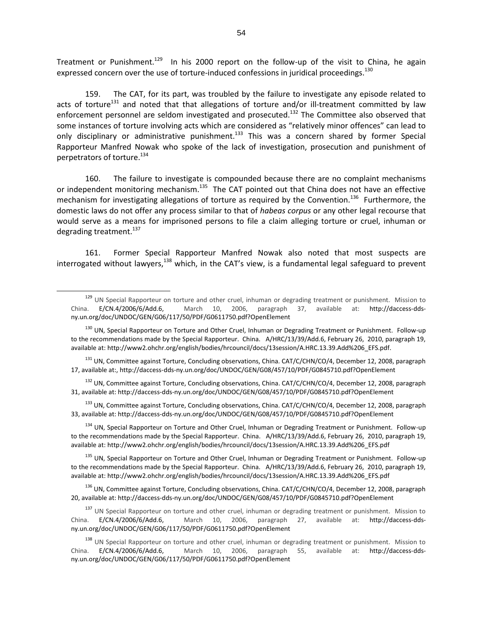Treatment or Punishment.<sup>129</sup> In his 2000 report on the follow-up of the visit to China, he again expressed concern over the use of torture-induced confessions in juridical proceedings.<sup>130</sup>

159. The CAT, for its part, was troubled by the failure to investigate any episode related to acts of torture<sup>131</sup> and noted that that allegations of torture and/or ill-treatment committed by law enforcement personnel are seldom investigated and prosecuted.<sup>132</sup> The Committee also observed that some instances of torture involving acts which are considered as "relatively minor offences" can lead to only disciplinary or administrative punishment.<sup>133</sup> This was a concern shared by former Special Rapporteur Manfred Nowak who spoke of the lack of investigation, prosecution and punishment of perpetrators of torture.<sup>134</sup>

160. The failure to investigate is compounded because there are no complaint mechanisms or independent monitoring mechanism.<sup>135</sup> The CAT pointed out that China does not have an effective mechanism for investigating allegations of torture as required by the Convention.<sup>136</sup> Furthermore, the domestic laws do not offer any process similar to that of *habeas corpus* or any other legal recourse that would serve as a means for imprisoned persons to file a claim alleging torture or cruel, inhuman or degrading treatment.<sup>137</sup>

161. Former Special Rapporteur Manfred Nowak also noted that most suspects are interrogated without lawyers, $138$  which, in the CAT's view, is a fundamental legal safeguard to prevent

 $\overline{a}$ 

<sup>131</sup> UN, Committee against Torture, Concluding observations, China. CAT/C/CHN/CO/4, December 12, 2008, paragraph 17, available at:, http://daccess-dds-ny.un.org/doc/UNDOC/GEN/G08/457/10/PDF/G0845710.pdf?OpenElement

<sup>132</sup> UN, Committee against Torture, Concluding observations, China, CAT/C/CHN/CO/4, December 12, 2008, paragraph 31, available at: http://daccess-dds-ny.un.org/doc/UNDOC/GEN/G08/457/10/PDF/G0845710.pdf?OpenElement

<sup>133</sup> UN, Committee against Torture, Concluding observations, China. CAT/C/CHN/CO/4, December 12, 2008, paragraph 33, available at: http://daccess-dds-ny.un.org/doc/UNDOC/GEN/G08/457/10/PDF/G0845710.pdf?OpenElement

<sup>134</sup> UN, Special Rapporteur on Torture and Other Cruel, Inhuman or Degrading Treatment or Punishment. Follow-up to the recommendations made by the Special Rapporteur. China. A/HRC/13/39/Add.6, February 26, 2010, paragraph 19, available at: http://www2.ohchr.org/english/bodies/hrcouncil/docs/13session/A.HRC.13.39.Add%206\_EFS.pdf

<sup>135</sup> UN, Special Rapporteur on Torture and Other Cruel, Inhuman or Degrading Treatment or Punishment. Follow-up to the recommendations made by the Special Rapporteur. China. A/HRC/13/39/Add.6, February 26, 2010, paragraph 19, available at: http://www2.ohchr.org/english/bodies/hrcouncil/docs/13session/A.HRC.13.39.Add%206\_EFS.pdf

<sup>136</sup> UN, Committee against Torture, Concluding observations, China. CAT/C/CHN/CO/4, December 12, 2008, paragraph 20, available at: http://daccess-dds-ny.un.org/doc/UNDOC/GEN/G08/457/10/PDF/G0845710.pdf?OpenElement

<sup>137</sup> UN Special Rapporteur on torture and other cruel, inhuman or degrading treatment or punishment. Mission to China. E/CN.4/2006/6/Add.6, March 10, 2006, paragraph 27, available at: http://daccess-ddsny.un.org/doc/UNDOC/GEN/G06/117/50/PDF/G0611750.pdf?OpenElement

<sup>138</sup> UN Special Rapporteur on torture and other cruel, inhuman or degrading treatment or punishment. Mission to<br>a. E/CN.4/2006/6/Add.6, March 10, 2006, paragraph 55, available at: http://daccess-dds-China. E/CN.4/2006/6/Add.6, March 10, 2006, paragraph 55, available at: http://daccess-ddsny.un.org/doc/UNDOC/GEN/G06/117/50/PDF/G0611750.pdf?OpenElement

<sup>129</sup> UN Special Rapporteur on torture and other cruel, inhuman or degrading treatment or punishment. Mission to China. E/CN.4/2006/6/Add.6, March 10, 2006, paragraph 37, available at: http://daccess-ddsny.un.org/doc/UNDOC/GEN/G06/117/50/PDF/G0611750.pdf?OpenElement

<sup>&</sup>lt;sup>130</sup> UN, Special Rapporteur on Torture and Other Cruel, Inhuman or Degrading Treatment or Punishment. Follow-up to the recommendations made by the Special Rapporteur. China. A/HRC/13/39/Add.6, February 26, 2010, paragraph 19, available at: http://www2.ohchr.org/english/bodies/hrcouncil/docs/13session/A.HRC.13.39.Add%206\_EFS.pdf.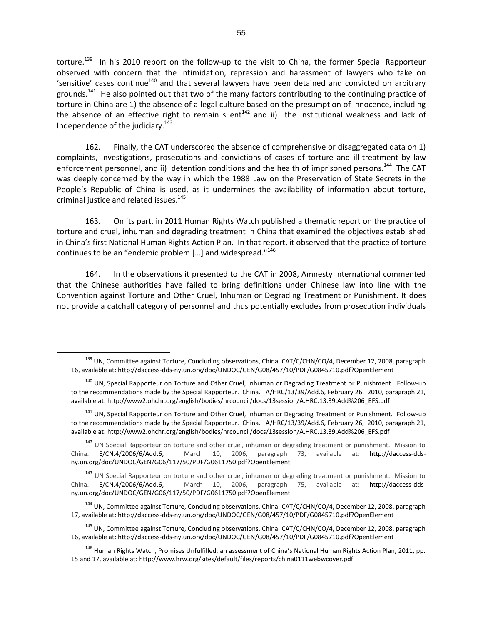torture.<sup>139</sup> In his 2010 report on the follow-up to the visit to China, the former Special Rapporteur observed with concern that the intimidation, repression and harassment of lawyers who take on 'sensitive' cases continue<sup>140</sup> and that several lawyers have been detained and convicted on arbitrary grounds.<sup>141</sup> He also pointed out that two of the many factors contributing to the continuing practice of torture in China are 1) the absence of a legal culture based on the presumption of innocence, including the absence of an effective right to remain silent<sup>142</sup> and ii) the institutional weakness and lack of Independence of the judiciary. $143$ 

162. Finally, the CAT underscored the absence of comprehensive or disaggregated data on 1) complaints, investigations, prosecutions and convictions of cases of torture and ill-treatment by law enforcement personnel, and ii) detention conditions and the health of imprisoned persons.<sup>144</sup> The CAT was deeply concerned by the way in which the 1988 Law on the Preservation of State Secrets in the People's Republic of China is used, as it undermines the availability of information about torture, criminal justice and related issues.<sup>145</sup>

163. On its part, in 2011 Human Rights Watch published a thematic report on the practice of torture and cruel, inhuman and degrading treatment in China that examined the objectives established in China's first National Human Rights Action Plan. In that report, it observed that the practice of torture continues to be an "endemic problem […] and widespread."<sup>146</sup>

164. In the observations it presented to the CAT in 2008, Amnesty International commented that the Chinese authorities have failed to bring definitions under Chinese law into line with the Convention against Torture and Other Cruel, Inhuman or Degrading Treatment or Punishment. It does not provide a catchall category of personnel and thus potentially excludes from prosecution individuals

 $\overline{a}$ 

<sup>141</sup> UN, Special Rapporteur on Torture and Other Cruel, Inhuman or Degrading Treatment or Punishment. Follow-up to the recommendations made by the Special Rapporteur. China. A/HRC/13/39/Add.6, February 26, 2010, paragraph 21, available at: http://www2.ohchr.org/english/bodies/hrcouncil/docs/13session/A.HRC.13.39.Add%206\_EFS.pdf

<sup>142</sup> UN Special Rapporteur on torture and other cruel, inhuman or degrading treatment or punishment. Mission to China. E/CN.4/2006/6/Add.6, March 10, 2006, paragraph 73, available at: http://daccess-ddsny.un.org/doc/UNDOC/GEN/G06/117/50/PDF/G0611750.pdf?OpenElement

<sup>143</sup> UN Special Rapporteur on torture and other cruel, inhuman or degrading treatment or punishment. Mission to China. E/CN.4/2006/6/Add.6, March 10, 2006, paragraph 75, available at: http://daccess-ddsny.un.org/doc/UNDOC/GEN/G06/117/50/PDF/G0611750.pdf?OpenElement

<sup>144</sup> UN, Committee against Torture, Concluding observations, China. CAT/C/CHN/CO/4, December 12, 2008, paragraph 17, available at: http://daccess-dds-ny.un.org/doc/UNDOC/GEN/G08/457/10/PDF/G0845710.pdf?OpenElement

<sup>145</sup> UN, Committee against Torture, Concluding observations, China. CAT/C/CHN/CO/4, December 12, 2008, paragraph 16, available at: http://daccess-dds-ny.un.org/doc/UNDOC/GEN/G08/457/10/PDF/G0845710.pdf?OpenElement

<sup>146</sup> Human Rights Watch, Promises Unfulfilled: an assessment of China's National Human Rights Action Plan, 2011, pp. 15 and 17, available at: http://www.hrw.org/sites/default/files/reports/china0111webwcover.pdf

<sup>&</sup>lt;sup>139</sup> UN, Committee against Torture, Concluding observations, China. CAT/C/CHN/CO/4, December 12, 2008, paragraph 16, available at: http://daccess-dds-ny.un.org/doc/UNDOC/GEN/G08/457/10/PDF/G0845710.pdf?OpenElement

<sup>&</sup>lt;sup>140</sup> UN. Special Rapporteur on Torture and Other Cruel, Inhuman or Degrading Treatment or Punishment. Follow-up to the recommendations made by the Special Rapporteur. China. A/HRC/13/39/Add.6, February 26, 2010, paragraph 21, available at: http://www2.ohchr.org/english/bodies/hrcouncil/docs/13session/A.HRC.13.39.Add%206\_EFS.pdf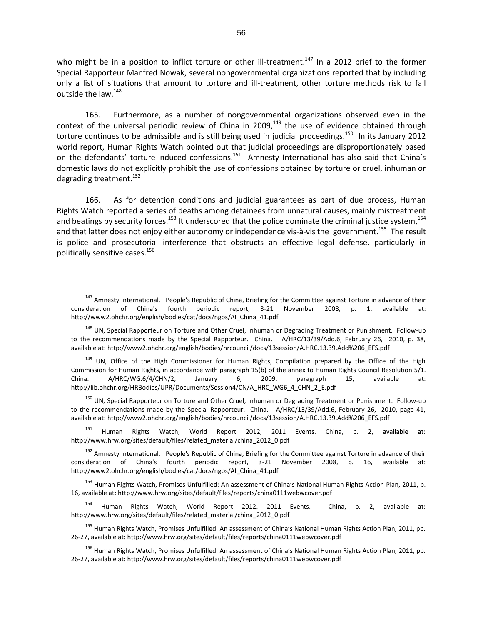who might be in a position to inflict torture or other ill-treatment.<sup>147</sup> In a 2012 brief to the former Special Rapporteur Manfred Nowak, several nongovernmental organizations reported that by including only a list of situations that amount to torture and ill-treatment, other torture methods risk to fall outside the law.<sup>148</sup>

165. Furthermore, as a number of nongovernmental organizations observed even in the context of the universal periodic review of China in 2009, $149$  the use of evidence obtained through torture continues to be admissible and is still being used in judicial proceedings.<sup>150</sup> In its January 2012 world report, Human Rights Watch pointed out that judicial proceedings are disproportionately based on the defendants' torture-induced confessions.<sup>151</sup> Amnesty International has also said that China's domestic laws do not explicitly prohibit the use of confessions obtained by torture or cruel, inhuman or degrading treatment.<sup>152</sup>

166. As for detention conditions and judicial guarantees as part of due process, Human Rights Watch reported a series of deaths among detainees from unnatural causes, mainly mistreatment and beatings by security forces.<sup>153</sup> It underscored that the police dominate the criminal justice system,<sup>154</sup> and that latter does not enjoy either autonomy or independence vis-à-vis the government.<sup>155</sup> The result is police and prosecutorial interference that obstructs an effective legal defense, particularly in politically sensitive cases.<sup>156</sup>

 $\overline{a}$ 

<sup>149</sup> UN, Office of the High Commissioner for Human Rights, Compilation prepared by the Office of the High Commission for Human Rights, in accordance with paragraph 15(b) of the annex to Human Rights Council Resolution 5/1. China. A/HRC/WG.6/4/CHN/2, January 6, 2009, paragraph 15, available at: http://lib.ohchr.org/HRBodies/UPR/Documents/Session4/CN/A\_HRC\_WG6\_4\_CHN\_2\_E.pdf

<sup>150</sup> UN, Special Rapporteur on Torture and Other Cruel, Inhuman or Degrading Treatment or Punishment. Follow-up to the recommendations made by the Special Rapporteur. China. A/HRC/13/39/Add.6, February 26, 2010, page 41, available at: http://www2.ohchr.org/english/bodies/hrcouncil/docs/13session/A.HRC.13.39.Add%206\_EFS.pdf

<sup>151</sup> Human Rights Watch, World Report 2012, 2011 Events. China, p. 2, available at: http://www.hrw.org/sites/default/files/related\_material/china\_2012\_0.pdf

<sup>152</sup> Amnesty International. People's Republic of China, Briefing for the Committee against Torture in advance of their consideration of China's fourth periodic report, 3-21 November 2008, p. 16, available at: http://www2.ohchr.org/english/bodies/cat/docs/ngos/AI\_China\_41.pdf

<sup>153</sup> Human Rights Watch, Promises Unfulfilled: An assessment of China's National Human Rights Action Plan, 2011, p. 16, available at: http://www.hrw.org/sites/default/files/reports/china0111webwcover.pdf

<sup>154</sup> Human Rights Watch, World Report 2012. 2011 Events. China, p. 2, available at: http://www.hrw.org/sites/default/files/related\_material/china\_2012\_0.pdf

<sup>155</sup> Human Rights Watch, Promises Unfulfilled: An assessment of China's National Human Rights Action Plan, 2011, pp. 26-27, available at: http://www.hrw.org/sites/default/files/reports/china0111webwcover.pdf

<sup>156</sup> Human Rights Watch, Promises Unfulfilled: An assessment of China's National Human Rights Action Plan, 2011, pp. 26-27, available at: http://www.hrw.org/sites/default/files/reports/china0111webwcover.pdf

<sup>&</sup>lt;sup>147</sup> Amnesty International. People's Republic of China, Briefing for the Committee against Torture in advance of their consideration of China's fourth periodic report, 3-21 November 2008, p. 1, available http://www2.ohchr.org/english/bodies/cat/docs/ngos/AI\_China\_41.pdf

<sup>&</sup>lt;sup>148</sup> UN, Special Rapporteur on Torture and Other Cruel, Inhuman or Degrading Treatment or Punishment. Follow-up to the recommendations made by the Special Rapporteur. China. A/HRC/13/39/Add.6, February 26, 2010, p. 38, available at: http://www2.ohchr.org/english/bodies/hrcouncil/docs/13session/A.HRC.13.39.Add%206\_EFS.pdf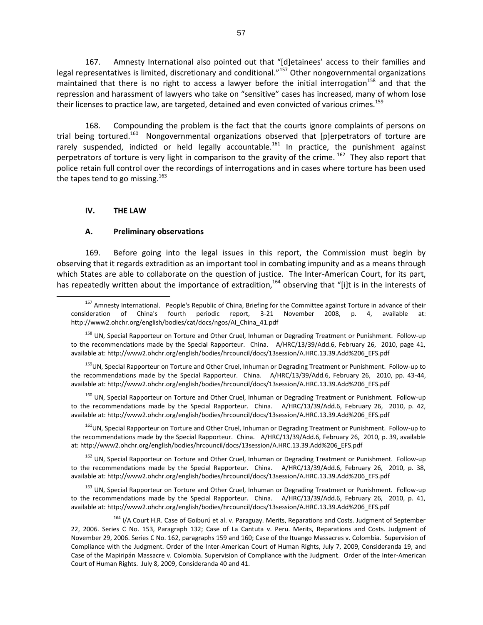167. Amnesty International also pointed out that "[d]etainees' access to their families and legal representatives is limited, discretionary and conditional."<sup>157</sup> Other nongovernmental organizations maintained that there is no right to access a lawyer before the initial interrogation<sup>158</sup> and that the repression and harassment of lawyers who take on "sensitive" cases has increased, many of whom lose their licenses to practice law, are targeted, detained and even convicted of various crimes.<sup>159</sup>

168. Compounding the problem is the fact that the courts ignore complaints of persons on trial being tortured.<sup>160</sup> Nongovernmental organizations observed that [p]erpetrators of torture are rarely suspended, indicted or held legally accountable.<sup>161</sup> In practice, the punishment against perpetrators of torture is very light in comparison to the gravity of the crime. <sup>162</sup> They also report that police retain full control over the recordings of interrogations and in cases where torture has been used the tapes tend to go missing.<sup>163</sup>

#### **IV. THE LAW**

 $\overline{a}$ 

#### **A. Preliminary observations**

169. Before going into the legal issues in this report, the Commission must begin by observing that it regards extradition as an important tool in combating impunity and as a means through which States are able to collaborate on the question of justice. The Inter-American Court, for its part, has repeatedly written about the importance of extradition,<sup>164</sup> observing that "[i]t is in the interests of

<sup>159</sup>UN, Special Rapporteur on Torture and Other Cruel, Inhuman or Degrading Treatment or Punishment. Follow-up to the recommendations made by the Special Rapporteur. China. A/HRC/13/39/Add.6, February 26, 2010, pp. 43-44, available at: http://www2.ohchr.org/english/bodies/hrcouncil/docs/13session/A.HRC.13.39.Add%206\_EFS.pdf

<sup>160</sup> UN, Special Rapporteur on Torture and Other Cruel, Inhuman or Degrading Treatment or Punishment. Follow-up to the recommendations made by the Special Rapporteur. China. A/HRC/13/39/Add.6, February 26, 2010, p. 42, available at: http://www2.ohchr.org/english/bodies/hrcouncil/docs/13session/A.HRC.13.39.Add%206\_EFS.pdf

<sup>161</sup>UN, Special Rapporteur on Torture and Other Cruel, Inhuman or Degrading Treatment or Punishment. Follow-up to the recommendations made by the Special Rapporteur. China. A/HRC/13/39/Add.6, February 26, 2010, p. 39, available at: http://www2.ohchr.org/english/bodies/hrcouncil/docs/13session/A.HRC.13.39.Add%206\_EFS.pdf

<sup>162</sup> UN, Special Rapporteur on Torture and Other Cruel, Inhuman or Degrading Treatment or Punishment. Follow-up to the recommendations made by the Special Rapporteur. China. A/HRC/13/39/Add.6, February 26, 2010, p. 38, available at: http://www2.ohchr.org/english/bodies/hrcouncil/docs/13session/A.HRC.13.39.Add%206\_EFS.pdf

<sup>163</sup> UN, Special Rapporteur on Torture and Other Cruel, Inhuman or Degrading Treatment or Punishment. Follow-up to the recommendations made by the Special Rapporteur. China. A/HRC/13/39/Add.6, February 26, 2010, p. 41, available at: http://www2.ohchr.org/english/bodies/hrcouncil/docs/13session/A.HRC.13.39.Add%206\_EFS.pdf

<sup>164</sup> I/A Court H.R. Case of Goiburú et al. v. Paraguay. Merits, Reparations and Costs. Judgment of September 22, 2006. Series C No. 153, Paragraph 132; Case of La Cantuta v. Peru. Merits, Reparations and Costs. Judgment of November 29, 2006. Series C No. 162, paragraphs 159 and 160; Case of the Ituango Massacres v. Colombia. Supervision of Compliance with the Judgment. Order of the Inter-American Court of Human Rights, July 7, 2009, Consideranda 19, and Case of the Mapiripán Massacre v. Colombia. Supervision of Compliance with the Judgment. Order of the Inter-American Court of Human Rights. July 8, 2009, Consideranda 40 and 41.

<sup>&</sup>lt;sup>157</sup> Amnesty International. People's Republic of China, Briefing for the Committee against Torture in advance of their consideration of China's fourth periodic report, 3-21 November 2008, p. 4, available at: http://www2.ohchr.org/english/bodies/cat/docs/ngos/AI\_China\_41.pdf

<sup>&</sup>lt;sup>158</sup> UN, Special Rapporteur on Torture and Other Cruel, Inhuman or Degrading Treatment or Punishment. Follow-up to the recommendations made by the Special Rapporteur. China. A/HRC/13/39/Add.6, February 26, 2010, page 41, available at: http://www2.ohchr.org/english/bodies/hrcouncil/docs/13session/A.HRC.13.39.Add%206\_EFS.pdf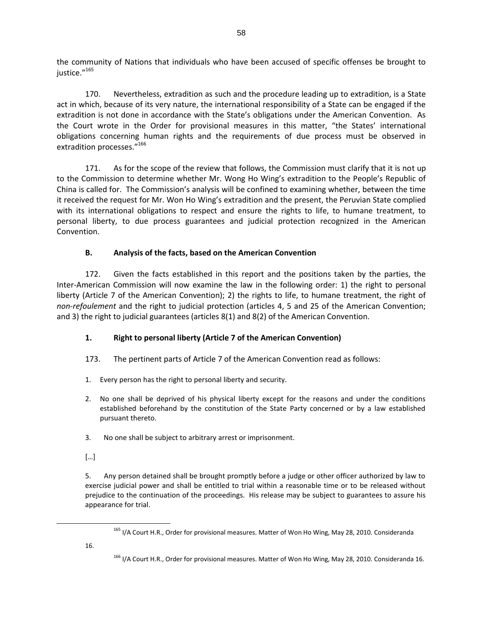the community of Nations that individuals who have been accused of specific offenses be brought to justice."<sup>165</sup>

170. Nevertheless, extradition as such and the procedure leading up to extradition, is a State act in which, because of its very nature, the international responsibility of a State can be engaged if the extradition is not done in accordance with the State's obligations under the American Convention. As the Court wrote in the Order for provisional measures in this matter, "the States' international obligations concerning human rights and the requirements of due process must be observed in extradition processes."<sup>166</sup>

171. As for the scope of the review that follows, the Commission must clarify that it is not up to the Commission to determine whether Mr. Wong Ho Wing's extradition to the People's Republic of China is called for. The Commission's analysis will be confined to examining whether, between the time it received the request for Mr. Won Ho Wing's extradition and the present, the Peruvian State complied with its international obligations to respect and ensure the rights to life, to humane treatment, to personal liberty, to due process guarantees and judicial protection recognized in the American Convention.

# **B. Analysis of the facts, based on the American Convention**

172. Given the facts established in this report and the positions taken by the parties, the Inter-American Commission will now examine the law in the following order: 1) the right to personal liberty (Article 7 of the American Convention); 2) the rights to life, to humane treatment, the right of *non-refoulement* and the right to judicial protection (articles 4, 5 and 25 of the American Convention; and 3) the right to judicial guarantees (articles 8(1) and 8(2) of the American Convention.

# **1. Right to personal liberty (Article 7 of the American Convention)**

- 173. The pertinent parts of Article 7 of the American Convention read as follows:
- 1. Every person has the right to personal liberty and security.
- 2. No one shall be deprived of his physical liberty except for the reasons and under the conditions established beforehand by the constitution of the State Party concerned or by a law established pursuant thereto.
- 3. No one shall be subject to arbitrary arrest or imprisonment.
- […]

5. Any person detained shall be brought promptly before a judge or other officer authorized by law to exercise judicial power and shall be entitled to trial within a reasonable time or to be released without prejudice to the continuation of the proceedings. His release may be subject to guarantees to assure his appearance for trial.

16.

<sup>&</sup>lt;sup>165</sup> I/A Court H.R., Order for provisional measures. Matter of Won Ho Wing, May 28, 2010. Consideranda

<sup>&</sup>lt;sup>166</sup> I/A Court H.R., Order for provisional measures. Matter of Won Ho Wing, May 28, 2010. Consideranda 16.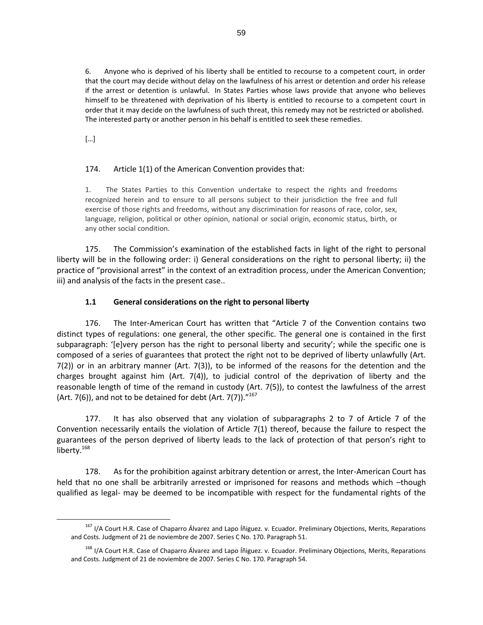6. Anyone who is deprived of his liberty shall be entitled to recourse to a competent court, in order that the court may decide without delay on the lawfulness of his arrest or detention and order his release if the arrest or detention is unlawful. In States Parties whose laws provide that anyone who believes himself to be threatened with deprivation of his liberty is entitled to recourse to a competent court in order that it may decide on the lawfulness of such threat, this remedy may not be restricted or abolished. The interested party or another person in his behalf is entitled to seek these remedies.

[…]

 $\overline{a}$ 

# 174. Article 1(1) of the American Convention provides that:

1. The States Parties to this Convention undertake to respect the rights and freedoms recognized herein and to ensure to all persons subject to their jurisdiction the free and full exercise of those rights and freedoms, without any discrimination for reasons of race, color, sex, language, religion, political or other opinion, national or social origin, economic status, birth, or any other social condition.

175. The Commission's examination of the established facts in light of the right to personal liberty will be in the following order: i) General considerations on the right to personal liberty; ii) the practice of "provisional arrest" in the context of an extradition process, under the American Convention; iii) and analysis of the facts in the present case..

# **1.1 General considerations on the right to personal liberty**

176. The Inter-American Court has written that "Article 7 of the Convention contains two distinct types of regulations: one general, the other specific. The general one is contained in the first subparagraph: '[e]very person has the right to personal liberty and security'; while the specific one is composed of a series of guarantees that protect the right not to be deprived of liberty unlawfully (Art. 7(2)) or in an arbitrary manner (Art. 7(3)), to be informed of the reasons for the detention and the charges brought against him (Art. 7(4)), to judicial control of the deprivation of liberty and the reasonable length of time of the remand in custody (Art. 7(5)), to contest the lawfulness of the arrest (Art. 7(6)), and not to be detained for debt (Art. 7(7)). $^{\prime\prime^{167}}$ 

177. It has also observed that any violation of subparagraphs 2 to 7 of Article 7 of the Convention necessarily entails the violation of Article 7(1) thereof, because the failure to respect the guarantees of the person deprived of liberty leads to the lack of protection of that person's right to liberty.<sup>168</sup>

178. As for the prohibition against arbitrary detention or arrest, the Inter-American Court has held that no one shall be arbitrarily arrested or imprisoned for reasons and methods which –though qualified as legal- may be deemed to be incompatible with respect for the fundamental rights of the

<sup>&</sup>lt;sup>167</sup> I/A Court H.R. Case of Chaparro Álvarez and Lapo Íñiguez. v. Ecuador. Preliminary Objections, Merits, Reparations and Costs. Judgment of 21 de noviembre de 2007. Series C No. 170. Paragraph 51.

<sup>&</sup>lt;sup>168</sup> I/A Court H.R. Case of Chaparro Álvarez and Lapo Íñiguez. v. Ecuador. Preliminary Objections, Merits, Reparations and Costs. Judgment of 21 de noviembre de 2007. Series C No. 170. Paragraph 54.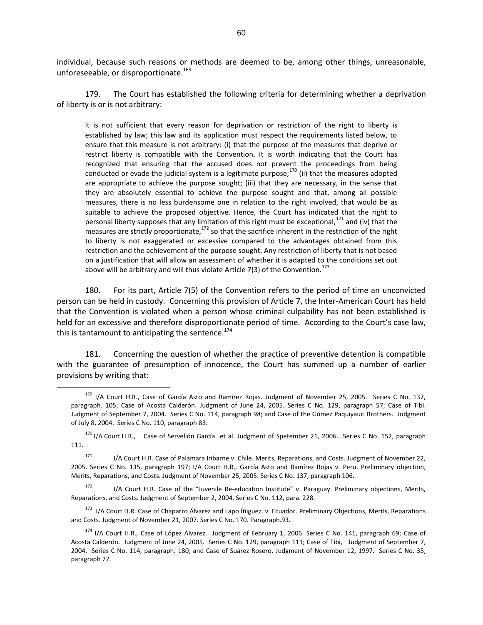individual, because such reasons or methods are deemed to be, among other things, unreasonable, unforeseeable, or disproportionate.<sup>169</sup>

179. The Court has established the following criteria for determining whether a deprivation of liberty is or is not arbitrary:

it is not sufficient that every reason for deprivation or restriction of the right to liberty is established by law; this law and its application must respect the requirements listed below, to ensure that this measure is not arbitrary: (i) that the purpose of the measures that deprive or restrict liberty is compatible with the Convention. It is worth indicating that the Court has recognized that ensuring that the accused does not prevent the proceedings from being conducted or evade the judicial system is a legitimate purpose; $^{170}$  (ii) that the measures adopted are appropriate to achieve the purpose sought; (iii) that they are necessary, in the sense that they are absolutely essential to achieve the purpose sought and that, among all possible measures, there is no less burdensome one in relation to the right involved, that would be as suitable to achieve the proposed objective. Hence, the Court has indicated that the right to personal liberty supposes that any limitation of this right must be exceptional,<sup>171</sup> and (iv) that the measures are strictly proportionate,  $172$  so that the sacrifice inherent in the restriction of the right to liberty is not exaggerated or excessive compared to the advantages obtained from this restriction and the achievement of the purpose sought. Any restriction of liberty that is not based on a justification that will allow an assessment of whether it is adapted to the conditions set out above will be arbitrary and will thus violate Article 7(3) of the Convention.<sup>173</sup>

180. For its part, Article 7(5) of the Convention refers to the period of time an unconvicted person can be held in custody. Concerning this provision of Article 7, the Inter-American Court has held that the Convention is violated when a person whose criminal culpability has not been established is held for an excessive and therefore disproportionate period of time. According to the Court's case law, this is tantamount to anticipating the sentence. $174$ 

181. Concerning the question of whether the practice of preventive detention is compatible with the guarantee of presumption of innocence, the Court has summed up a number of earlier provisions by writing that:

<sup>&</sup>lt;sup>169</sup> I/A Court H.R., Case of García Asto and Ramírez Rojas. Judgment of November 25, 2005. Series C No. 137, paragraph. 105; Case of Acosta Calderón. Judgment of June 24, 2005. Series C No. 129, paragraph 57; Case of Tibi. Judgment of September 7, 2004. Series C No. 114, paragraph 98; and Case of the Gómez Paquiyauri Brothers. Judgment of July 8, 2004. Series C No. 110, paragraph 83.

<sup>&</sup>lt;sup>170</sup> I/A Court H.R., Case of Servellón García et al. Judgment of Spetember 21, 2006. Series C No. 152, paragraph 111.

<sup>&</sup>lt;sup>171</sup> I/A Court H.R. Case of Palamara Iribarne v. Chile. Merits, Reparations, and Costs. Judgment of November 22, 2005. Series C No. 135, paragraph 197; I/A Court H.R., García Asto and Ramírez Rojas v. Peru. Preliminary objection, Merits, Reparations, and Costs. Judgment of November 25, 2005. Series C No. 137, paragraph 106.

<sup>172</sup> I/A Court H.R. Case of the "Juvenile Re-education Institute" v. Paraguay. Preliminary objections, Merits, Reparations, and Costs. Judgment of September 2, 2004. Series C No. 112, para. 228.

<sup>&</sup>lt;sup>173</sup> I/A Court H.R. Case of Chaparro Álvarez and Lapo Íñiguez. v. Ecuador. Preliminary Objections, Merits, Reparations and Costs. Judgment of November 21, 2007. Series C No. 170. Paragraph.93.

<sup>&</sup>lt;sup>174</sup> I/A Court H.R., Case of López Álvarez. Judgment of February 1, 2006. Series C No. 141, paragraph 69; Case of Acosta Calderón. Judgment of June 24, 2005. Series C No. 129, paragraph 111; Case of Tibi, Judgment of September 7, 2004. Series C No. 114, paragraph. 180; and Case of Suárez Rosero. Judgment of November 12, 1997. Series C No. 35, paragraph 77.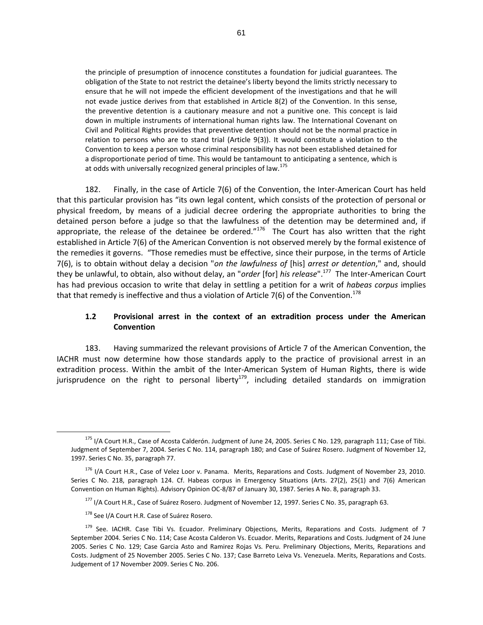the principle of presumption of innocence constitutes a foundation for judicial guarantees. The obligation of the State to not restrict the detainee's liberty beyond the limits strictly necessary to ensure that he will not impede the efficient development of the investigations and that he will not evade justice derives from that established in Article 8(2) of the Convention. In this sense, the preventive detention is a cautionary measure and not a punitive one. This concept is laid down in multiple instruments of international human rights law. The International Covenant on Civil and Political Rights provides that preventive detention should not be the normal practice in relation to persons who are to stand trial (Article 9(3)). It would constitute a violation to the Convention to keep a person whose criminal responsibility has not been established detained for a disproportionate period of time. This would be tantamount to anticipating a sentence, which is at odds with universally recognized general principles of law.<sup>175</sup>

182. Finally, in the case of Article 7(6) of the Convention, the Inter-American Court has held that this particular provision has "its own legal content, which consists of the protection of personal or physical freedom, by means of a judicial decree ordering the appropriate authorities to bring the detained person before a judge so that the lawfulness of the detention may be determined and, if appropriate, the release of the detainee be ordered."<sup>176</sup> The Court has also written that the right established in Article 7(6) of the American Convention is not observed merely by the formal existence of the remedies it governs. "Those remedies must be effective, since their purpose, in the terms of Article 7(6), is to obtain without delay a decision "*on the lawfulness of* [his] *arrest or detention*," and, should they be unlawful, to obtain, also without delay, an "*order* [for] *his release*".<sup>177</sup> The Inter-American Court has had previous occasion to write that delay in settling a petition for a writ of *habeas corpus* implies that that remedy is ineffective and thus a violation of Article 7(6) of the Convention.<sup>178</sup>

#### **1.2 Provisional arrest in the context of an extradition process under the American Convention**

183. Having summarized the relevant provisions of Article 7 of the American Convention, the IACHR must now determine how those standards apply to the practice of provisional arrest in an extradition process. Within the ambit of the Inter-American System of Human Rights, there is wide jurisprudence on the right to personal liberty<sup>179</sup>, including detailed standards on immigration

<sup>&</sup>lt;sup>175</sup> I/A Court H.R., Case of Acosta Calderón. Judgment of June 24, 2005. Series C No. 129, paragraph 111; Case of Tibi. Judgment of September 7, 2004. Series C No. 114, paragraph 180; and Case of Suárez Rosero. Judgment of November 12, 1997. Series C No. 35, paragraph 77.

<sup>&</sup>lt;sup>176</sup> I/A Court H.R., Case of Velez Loor v. Panama. Merits, Reparations and Costs. Judgment of November 23, 2010. Series C No. 218, paragraph 124. Cf. Habeas corpus in Emergency Situations (Arts. 27(2), 25(1) and 7(6) American Convention on Human Rights). Advisory Opinion OC-8/87 of January 30, 1987. Series A No. 8, paragraph 33.

<sup>&</sup>lt;sup>177</sup> I/A Court H.R., Case of Suárez Rosero. Judgment of November 12, 1997. Series C No. 35, paragraph 63.

<sup>178</sup> See I/A Court H.R. Case of Suárez Rosero.

<sup>&</sup>lt;sup>179</sup> See. IACHR. Case Tibi Vs. Ecuador. Preliminary Objections, Merits, Reparations and Costs. Judgment of 7 September 2004. Series C No. 114; Case Acosta Calderon Vs. Ecuador. Merits, Reparations and Costs. Judgment of 24 June 2005. Series C No. 129; Case Garcia Asto and Ramirez Rojas Vs. Peru. Preliminary Objections, Merits, Reparations and Costs. Judgment of 25 November 2005. Series C No. 137; Case Barreto Leiva Vs. Venezuela. Merits, Reparations and Costs. Judgement of 17 November 2009. Series C No. 206.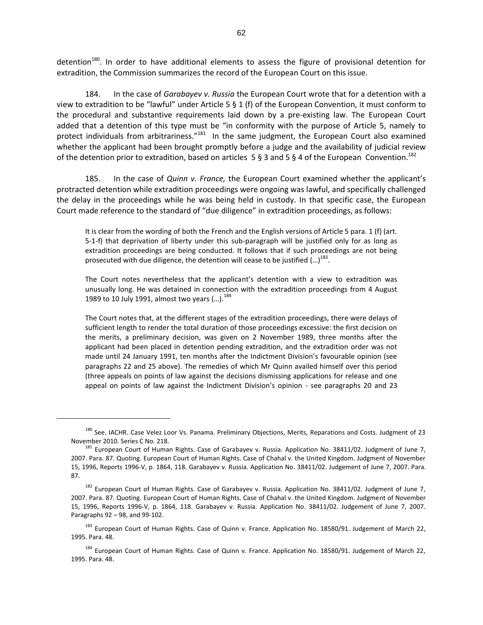detention<sup>180</sup>. In order to have additional elements to assess the figure of provisional detention for extradition, the Commission summarizes the record of the European Court on this issue.

184. In the case of *Garabayev v. Russia* the European Court wrote that for a detention with a view to extradition to be "lawful" under Article 5 § 1 (f) of the European Convention, it must conform to the procedural and substantive requirements laid down by a pre-existing law. The European Court added that a detention of this type must be "in conformity with the purpose of Article 5, namely to protect individuals from arbitrariness."<sup>181</sup> In the same judgment, the European Court also examined whether the applicant had been brought promptly before a judge and the availability of judicial review of the detention prior to extradition, based on articles 5 § 3 and 5 § 4 of the European Convention.<sup>182</sup>

185. In the case of *Quinn v. France,* the European Court examined whether the applicant's protracted detention while extradition proceedings were ongoing was lawful, and specifically challenged the delay in the proceedings while he was being held in custody. In that specific case, the European Court made reference to the standard of "due diligence" in extradition proceedings, as follows:

It is clear from the wording of both the French and the English versions of Article 5 para. 1 (f) (art. 5-1-f) that deprivation of liberty under this sub-paragraph will be justified only for as long as extradition proceedings are being conducted. It follows that if such proceedings are not being prosecuted with due diligence, the detention will cease to be justified  $(...)$ <sup>183</sup>.

The Court notes nevertheless that the applicant's detention with a view to extradition was unusually long. He was detained in connection with the extradition proceedings from 4 August 1989 to 10 July 1991, almost two years  $(...).^{184}$ 

The Court notes that, at the different stages of the extradition proceedings, there were delays of sufficient length to render the total duration of those proceedings excessive: the first decision on the merits, a preliminary decision, was given on 2 November 1989, three months after the applicant had been placed in detention pending extradition, and the extradition order was not made until 24 January 1991, ten months after the Indictment Division's favourable opinion (see paragraphs 22 and 25 above). The remedies of which Mr Quinn availed himself over this period (three appeals on points of law against the decisions dismissing applications for release and one appeal on points of law against the Indictment Division's opinion - see paragraphs 20 and 23

<sup>&</sup>lt;sup>180</sup> See. IACHR. Case Velez Loor Vs. Panama. Preliminary Objections, Merits, Reparations and Costs. Judgment of 23 November 2010. Series C No. 218.

<sup>&</sup>lt;sup>181</sup> European Court of Human Rights. Case of Garabayev v. Russia. Application No. 38411/02. Judgment of June 7, 2007. Para. 87. Quoting. European Court of Human Rights. Case of Chahal v. the United Kingdom. Judgment of November 15, 1996, Reports 1996-V, p. 1864, 118. Garabayev v. Russia. Application No. 38411/02. Judgement of June 7, 2007. Para. 87.

<sup>&</sup>lt;sup>182</sup> European Court of Human Rights. Case of Garabayev v. Russia. Application No. 38411/02. Judgment of June 7, 2007. Para. 87. Quoting. European Court of Human Rights. Case of Chahal v. the United Kingdom. Judgment of November 15, 1996, Reports 1996-V, p. 1864, 118. Garabayev v. Russia. Application No. 38411/02. Judgement of June 7, 2007. Paragraphs 92 – 98, and 99-102.

<sup>&</sup>lt;sup>183</sup> European Court of Human Rights. Case of Quinn v. France. Application No. 18580/91. Judgement of March 22, 1995. Para. 48.

<sup>&</sup>lt;sup>184</sup> European Court of Human Rights. Case of Quinn v. France. Application No. 18580/91. Judgement of March 22, 1995. Para. 48.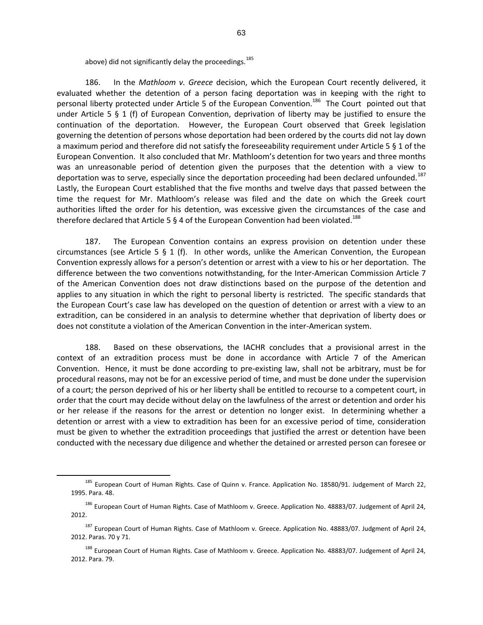above) did not significantly delay the proceedings.<sup>185</sup>

186. In the *Mathloom v. Greece* decision, which the European Court recently delivered, it evaluated whether the detention of a person facing deportation was in keeping with the right to personal liberty protected under Article 5 of the European Convention.<sup>186</sup> The Court pointed out that under Article 5 § 1 (f) of European Convention, deprivation of liberty may be justified to ensure the continuation of the deportation. However, the European Court observed that Greek legislation governing the detention of persons whose deportation had been ordered by the courts did not lay down a maximum period and therefore did not satisfy the foreseeability requirement under Article 5 § 1 of the European Convention. It also concluded that Mr. Mathloom's detention for two years and three months was an unreasonable period of detention given the purposes that the detention with a view to deportation was to serve, especially since the deportation proceeding had been declared unfounded.<sup>187</sup> Lastly, the European Court established that the five months and twelve days that passed between the time the request for Mr. Mathloom's release was filed and the date on which the Greek court authorities lifted the order for his detention, was excessive given the circumstances of the case and therefore declared that Article 5 § 4 of the European Convention had been violated.<sup>188</sup>

187. The European Convention contains an express provision on detention under these circumstances (see Article 5  $\S$  1 (f). In other words, unlike the American Convention, the European Convention expressly allows for a person's detention or arrest with a view to his or her deportation. The difference between the two conventions notwithstanding, for the Inter-American Commission Article 7 of the American Convention does not draw distinctions based on the purpose of the detention and applies to any situation in which the right to personal liberty is restricted. The specific standards that the European Court's case law has developed on the question of detention or arrest with a view to an extradition, can be considered in an analysis to determine whether that deprivation of liberty does or does not constitute a violation of the American Convention in the inter-American system.

188. Based on these observations, the IACHR concludes that a provisional arrest in the context of an extradition process must be done in accordance with Article 7 of the American Convention. Hence, it must be done according to pre-existing law, shall not be arbitrary, must be for procedural reasons, may not be for an excessive period of time, and must be done under the supervision of a court; the person deprived of his or her liberty shall be entitled to recourse to a competent court, in order that the court may decide without delay on the lawfulness of the arrest or detention and order his or her release if the reasons for the arrest or detention no longer exist. In determining whether a detention or arrest with a view to extradition has been for an excessive period of time, consideration must be given to whether the extradition proceedings that justified the arrest or detention have been conducted with the necessary due diligence and whether the detained or arrested person can foresee or

<sup>185</sup> European Court of Human Rights. Case of Quinn v. France. Application No. 18580/91. Judgement of March 22, 1995. Para. 48.

<sup>&</sup>lt;sup>186</sup> European Court of Human Rights. Case of Mathloom v. Greece. Application No. 48883/07. Judgement of April 24, 2012.

<sup>&</sup>lt;sup>187</sup> European Court of Human Rights. Case of Mathloom v. Greece. Application No. 48883/07. Judgment of April 24, 2012. Paras. 70 y 71.

<sup>&</sup>lt;sup>188</sup> European Court of Human Rights. Case of Mathloom v. Greece. Application No. 48883/07. Judgement of April 24, 2012. Para. 79.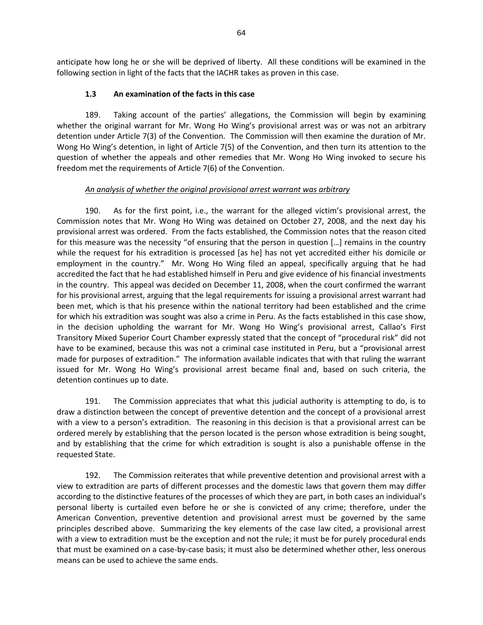anticipate how long he or she will be deprived of liberty. All these conditions will be examined in the following section in light of the facts that the IACHR takes as proven in this case.

### **1.3 An examination of the facts in this case**

189. Taking account of the parties' allegations, the Commission will begin by examining whether the original warrant for Mr. Wong Ho Wing's provisional arrest was or was not an arbitrary detention under Article 7(3) of the Convention. The Commission will then examine the duration of Mr. Wong Ho Wing's detention, in light of Article 7(5) of the Convention, and then turn its attention to the question of whether the appeals and other remedies that Mr. Wong Ho Wing invoked to secure his freedom met the requirements of Article 7(6) of the Convention.

#### *An analysis of whether the original provisional arrest warrant was arbitrary*

190. As for the first point, i.e., the warrant for the alleged victim's provisional arrest, the Commission notes that Mr. Wong Ho Wing was detained on October 27, 2008, and the next day his provisional arrest was ordered. From the facts established, the Commission notes that the reason cited for this measure was the necessity "of ensuring that the person in question […] remains in the country while the request for his extradition is processed [as he] has not yet accredited either his domicile or employment in the country." Mr. Wong Ho Wing filed an appeal, specifically arguing that he had accredited the fact that he had established himself in Peru and give evidence of his financial investments in the country. This appeal was decided on December 11, 2008, when the court confirmed the warrant for his provisional arrest, arguing that the legal requirements for issuing a provisional arrest warrant had been met, which is that his presence within the national territory had been established and the crime for which his extradition was sought was also a crime in Peru. As the facts established in this case show, in the decision upholding the warrant for Mr. Wong Ho Wing's provisional arrest, Callao's First Transitory Mixed Superior Court Chamber expressly stated that the concept of "procedural risk" did not have to be examined, because this was not a criminal case instituted in Peru, but a "provisional arrest made for purposes of extradition." The information available indicates that with that ruling the warrant issued for Mr. Wong Ho Wing's provisional arrest became final and, based on such criteria, the detention continues up to date.

191. The Commission appreciates that what this judicial authority is attempting to do, is to draw a distinction between the concept of preventive detention and the concept of a provisional arrest with a view to a person's extradition. The reasoning in this decision is that a provisional arrest can be ordered merely by establishing that the person located is the person whose extradition is being sought, and by establishing that the crime for which extradition is sought is also a punishable offense in the requested State.

192. The Commission reiterates that while preventive detention and provisional arrest with a view to extradition are parts of different processes and the domestic laws that govern them may differ according to the distinctive features of the processes of which they are part, in both cases an individual's personal liberty is curtailed even before he or she is convicted of any crime; therefore, under the American Convention, preventive detention and provisional arrest must be governed by the same principles described above. Summarizing the key elements of the case law cited, a provisional arrest with a view to extradition must be the exception and not the rule; it must be for purely procedural ends that must be examined on a case-by-case basis; it must also be determined whether other, less onerous means can be used to achieve the same ends.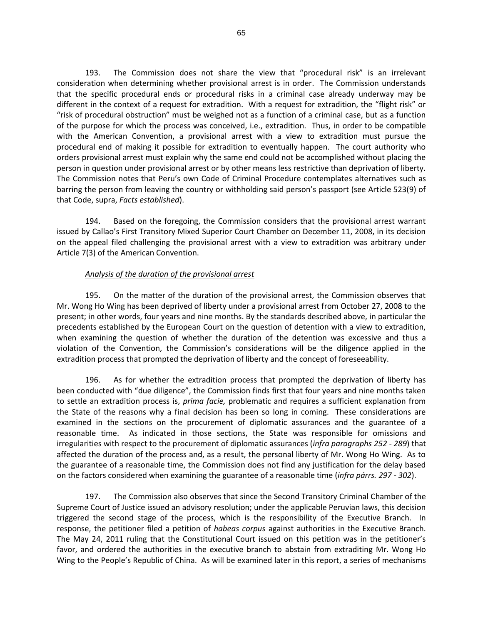193. The Commission does not share the view that "procedural risk" is an irrelevant consideration when determining whether provisional arrest is in order. The Commission understands that the specific procedural ends or procedural risks in a criminal case already underway may be different in the context of a request for extradition. With a request for extradition, the "flight risk" or "risk of procedural obstruction" must be weighed not as a function of a criminal case, but as a function of the purpose for which the process was conceived, i.e., extradition. Thus, in order to be compatible with the American Convention, a provisional arrest with a view to extradition must pursue the procedural end of making it possible for extradition to eventually happen. The court authority who orders provisional arrest must explain why the same end could not be accomplished without placing the person in question under provisional arrest or by other means less restrictive than deprivation of liberty. The Commission notes that Peru's own Code of Criminal Procedure contemplates alternatives such as barring the person from leaving the country or withholding said person's passport (see Article 523(9) of that Code, supra, *Facts established*).

194. Based on the foregoing, the Commission considers that the provisional arrest warrant issued by Callao's First Transitory Mixed Superior Court Chamber on December 11, 2008, in its decision on the appeal filed challenging the provisional arrest with a view to extradition was arbitrary under Article 7(3) of the American Convention.

#### *Analysis of the duration of the provisional arrest*

195. On the matter of the duration of the provisional arrest, the Commission observes that Mr. Wong Ho Wing has been deprived of liberty under a provisional arrest from October 27, 2008 to the present; in other words, four years and nine months. By the standards described above, in particular the precedents established by the European Court on the question of detention with a view to extradition, when examining the question of whether the duration of the detention was excessive and thus a violation of the Convention, the Commission's considerations will be the diligence applied in the extradition process that prompted the deprivation of liberty and the concept of foreseeability.

196. As for whether the extradition process that prompted the deprivation of liberty has been conducted with "due diligence", the Commission finds first that four years and nine months taken to settle an extradition process is, *prima facie,* problematic and requires a sufficient explanation from the State of the reasons why a final decision has been so long in coming. These considerations are examined in the sections on the procurement of diplomatic assurances and the guarantee of a reasonable time. As indicated in those sections, the State was responsible for omissions and irregularities with respect to the procurement of diplomatic assurances (*infra paragraphs 252 - 289*) that affected the duration of the process and, as a result, the personal liberty of Mr. Wong Ho Wing. As to the guarantee of a reasonable time, the Commission does not find any justification for the delay based on the factors considered when examining the guarantee of a reasonable time (*infra párrs. 297 - 302*).

197. The Commission also observes that since the Second Transitory Criminal Chamber of the Supreme Court of Justice issued an advisory resolution; under the applicable Peruvian laws, this decision triggered the second stage of the process, which is the responsibility of the Executive Branch. In response, the petitioner filed a petition of *habeas corpus* against authorities in the Executive Branch. The May 24, 2011 ruling that the Constitutional Court issued on this petition was in the petitioner's favor, and ordered the authorities in the executive branch to abstain from extraditing Mr. Wong Ho Wing to the People's Republic of China. As will be examined later in this report, a series of mechanisms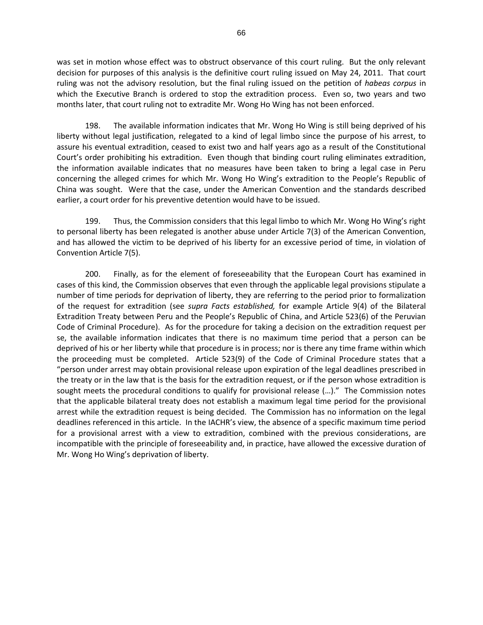was set in motion whose effect was to obstruct observance of this court ruling. But the only relevant decision for purposes of this analysis is the definitive court ruling issued on May 24, 2011. That court ruling was not the advisory resolution, but the final ruling issued on the petition of *habeas corpus* in which the Executive Branch is ordered to stop the extradition process. Even so, two years and two months later, that court ruling not to extradite Mr. Wong Ho Wing has not been enforced.

198. The available information indicates that Mr. Wong Ho Wing is still being deprived of his liberty without legal justification, relegated to a kind of legal limbo since the purpose of his arrest, to assure his eventual extradition, ceased to exist two and half years ago as a result of the Constitutional Court's order prohibiting his extradition. Even though that binding court ruling eliminates extradition, the information available indicates that no measures have been taken to bring a legal case in Peru concerning the alleged crimes for which Mr. Wong Ho Wing's extradition to the People's Republic of China was sought. Were that the case, under the American Convention and the standards described earlier, a court order for his preventive detention would have to be issued.

199. Thus, the Commission considers that this legal limbo to which Mr. Wong Ho Wing's right to personal liberty has been relegated is another abuse under Article 7(3) of the American Convention, and has allowed the victim to be deprived of his liberty for an excessive period of time, in violation of Convention Article 7(5).

200. Finally, as for the element of foreseeability that the European Court has examined in cases of this kind, the Commission observes that even through the applicable legal provisions stipulate a number of time periods for deprivation of liberty, they are referring to the period prior to formalization of the request for extradition (see *supra Facts established,* for example Article 9(4) of the Bilateral Extradition Treaty between Peru and the People's Republic of China, and Article 523(6) of the Peruvian Code of Criminal Procedure). As for the procedure for taking a decision on the extradition request per se, the available information indicates that there is no maximum time period that a person can be deprived of his or her liberty while that procedure is in process; nor is there any time frame within which the proceeding must be completed. Article 523(9) of the Code of Criminal Procedure states that a "person under arrest may obtain provisional release upon expiration of the legal deadlines prescribed in the treaty or in the law that is the basis for the extradition request, or if the person whose extradition is sought meets the procedural conditions to qualify for provisional release (…)." The Commission notes that the applicable bilateral treaty does not establish a maximum legal time period for the provisional arrest while the extradition request is being decided. The Commission has no information on the legal deadlines referenced in this article. In the IACHR's view, the absence of a specific maximum time period for a provisional arrest with a view to extradition, combined with the previous considerations, are incompatible with the principle of foreseeability and, in practice, have allowed the excessive duration of Mr. Wong Ho Wing's deprivation of liberty.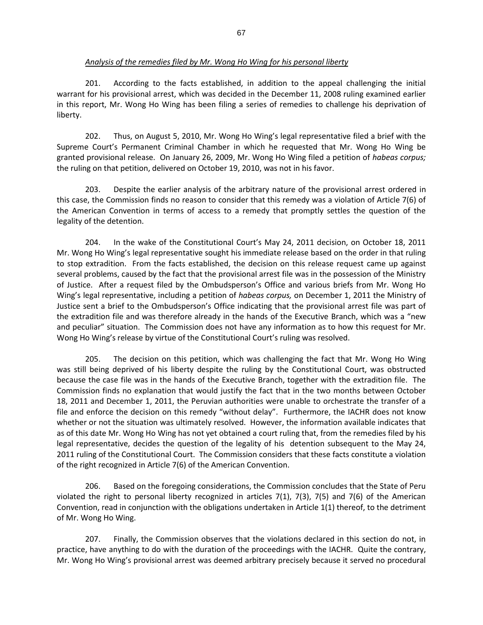201. According to the facts established, in addition to the appeal challenging the initial warrant for his provisional arrest, which was decided in the December 11, 2008 ruling examined earlier in this report, Mr. Wong Ho Wing has been filing a series of remedies to challenge his deprivation of liberty.

202. Thus, on August 5, 2010, Mr. Wong Ho Wing's legal representative filed a brief with the Supreme Court's Permanent Criminal Chamber in which he requested that Mr. Wong Ho Wing be granted provisional release. On January 26, 2009, Mr. Wong Ho Wing filed a petition of *habeas corpus;*  the ruling on that petition, delivered on October 19, 2010, was not in his favor.

203. Despite the earlier analysis of the arbitrary nature of the provisional arrest ordered in this case, the Commission finds no reason to consider that this remedy was a violation of Article 7(6) of the American Convention in terms of access to a remedy that promptly settles the question of the legality of the detention.

204. In the wake of the Constitutional Court's May 24, 2011 decision, on October 18, 2011 Mr. Wong Ho Wing's legal representative sought his immediate release based on the order in that ruling to stop extradition. From the facts established, the decision on this release request came up against several problems, caused by the fact that the provisional arrest file was in the possession of the Ministry of Justice. After a request filed by the Ombudsperson's Office and various briefs from Mr. Wong Ho Wing's legal representative, including a petition of *habeas corpus,* on December 1, 2011 the Ministry of Justice sent a brief to the Ombudsperson's Office indicating that the provisional arrest file was part of the extradition file and was therefore already in the hands of the Executive Branch, which was a "new and peculiar" situation. The Commission does not have any information as to how this request for Mr. Wong Ho Wing's release by virtue of the Constitutional Court's ruling was resolved.

205. The decision on this petition, which was challenging the fact that Mr. Wong Ho Wing was still being deprived of his liberty despite the ruling by the Constitutional Court, was obstructed because the case file was in the hands of the Executive Branch, together with the extradition file. The Commission finds no explanation that would justify the fact that in the two months between October 18, 2011 and December 1, 2011, the Peruvian authorities were unable to orchestrate the transfer of a file and enforce the decision on this remedy "without delay". Furthermore, the IACHR does not know whether or not the situation was ultimately resolved. However, the information available indicates that as of this date Mr. Wong Ho Wing has not yet obtained a court ruling that, from the remedies filed by his legal representative, decides the question of the legality of his detention subsequent to the May 24, 2011 ruling of the Constitutional Court. The Commission considers that these facts constitute a violation of the right recognized in Article 7(6) of the American Convention.

206. Based on the foregoing considerations, the Commission concludes that the State of Peru violated the right to personal liberty recognized in articles  $7(1)$ ,  $7(3)$ ,  $7(5)$  and  $7(6)$  of the American Convention, read in conjunction with the obligations undertaken in Article 1(1) thereof, to the detriment of Mr. Wong Ho Wing.

207. Finally, the Commission observes that the violations declared in this section do not, in practice, have anything to do with the duration of the proceedings with the IACHR. Quite the contrary, Mr. Wong Ho Wing's provisional arrest was deemed arbitrary precisely because it served no procedural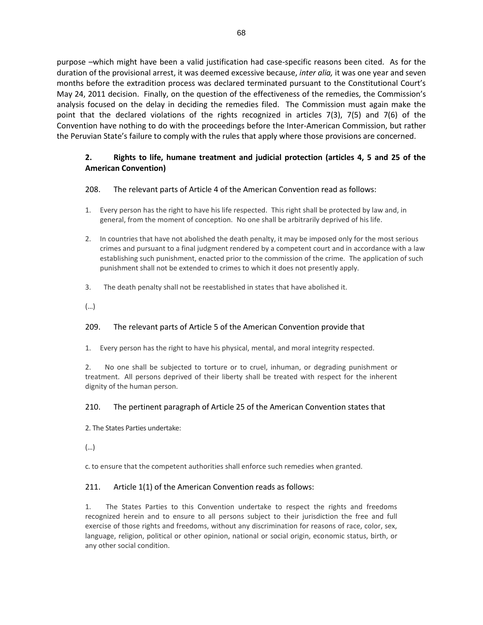purpose –which might have been a valid justification had case-specific reasons been cited. As for the duration of the provisional arrest, it was deemed excessive because, *inter alia,* it was one year and seven months before the extradition process was declared terminated pursuant to the Constitutional Court's May 24, 2011 decision. Finally, on the question of the effectiveness of the remedies, the Commission's analysis focused on the delay in deciding the remedies filed. The Commission must again make the point that the declared violations of the rights recognized in articles 7(3), 7(5) and 7(6) of the Convention have nothing to do with the proceedings before the Inter-American Commission, but rather the Peruvian State's failure to comply with the rules that apply where those provisions are concerned.

# **2. Rights to life, humane treatment and judicial protection (articles 4, 5 and 25 of the American Convention)**

### 208. The relevant parts of Article 4 of the American Convention read as follows:

- 1. Every person has the right to have his life respected. This right shall be protected by law and, in general, from the moment of conception. No one shall be arbitrarily deprived of his life.
- 2. In countries that have not abolished the death penalty, it may be imposed only for the most serious crimes and pursuant to a final judgment rendered by a competent court and in accordance with a law establishing such punishment, enacted prior to the commission of the crime. The application of such punishment shall not be extended to crimes to which it does not presently apply.
- 3. The death penalty shall not be reestablished in states that have abolished it.

(…)

# 209. The relevant parts of Article 5 of the American Convention provide that

1. Every person has the right to have his physical, mental, and moral integrity respected.

2. No one shall be subjected to torture or to cruel, inhuman, or degrading punishment or treatment. All persons deprived of their liberty shall be treated with respect for the inherent dignity of the human person.

### 210. The pertinent paragraph of Article 25 of the American Convention states that

2. The States Parties undertake:

(…)

c. to ensure that the competent authorities shall enforce such remedies when granted.

### 211. Article 1(1) of the American Convention reads as follows:

1. The States Parties to this Convention undertake to respect the rights and freedoms recognized herein and to ensure to all persons subject to their jurisdiction the free and full exercise of those rights and freedoms, without any discrimination for reasons of race, color, sex, language, religion, political or other opinion, national or social origin, economic status, birth, or any other social condition.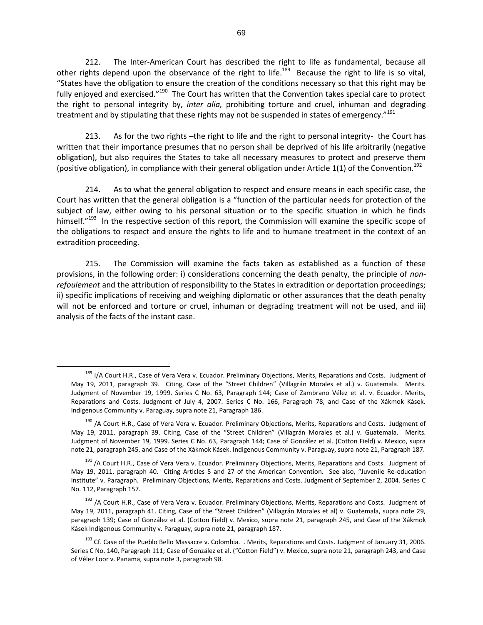212. The Inter-American Court has described the right to life as fundamental, because all other rights depend upon the observance of the right to life.<sup>189</sup> Because the right to life is so vital, "States have the obligation to ensure the creation of the conditions necessary so that this right may be fully enjoyed and exercised."<sup>190</sup> The Court has written that the Convention takes special care to protect the right to personal integrity by, *inter alia,* prohibiting torture and cruel, inhuman and degrading treatment and by stipulating that these rights may not be suspended in states of emergency."<sup>191</sup>

213. As for the two rights –the right to life and the right to personal integrity- the Court has written that their importance presumes that no person shall be deprived of his life arbitrarily (negative obligation), but also requires the States to take all necessary measures to protect and preserve them (positive obligation), in compliance with their general obligation under Article 1(1) of the Convention.<sup>192</sup>

214. As to what the general obligation to respect and ensure means in each specific case, the Court has written that the general obligation is a "function of the particular needs for protection of the subject of law, either owing to his personal situation or to the specific situation in which he finds himself."<sup>193</sup> In the respective section of this report, the Commission will examine the specific scope of the obligations to respect and ensure the rights to life and to humane treatment in the context of an extradition proceeding.

215. The Commission will examine the facts taken as established as a function of these provisions, in the following order: i) considerations concerning the death penalty, the principle of *nonrefoulement* and the attribution of responsibility to the States in extradition or deportation proceedings; ii) specific implications of receiving and weighing diplomatic or other assurances that the death penalty will not be enforced and torture or cruel, inhuman or degrading treatment will not be used, and iii) analysis of the facts of the instant case.

<sup>189</sup> I/A Court H.R., Case of Vera Vera v. Ecuador. Preliminary Objections, Merits, Reparations and Costs. Judgment of May 19, 2011, paragraph 39. Citing, Case of the "Street Children" (Villagrán Morales et al.) v. Guatemala. Merits. Judgment of November 19, 1999. Series C No. 63, Paragraph 144; Case of Zambrano Vélez et al. v. Ecuador. Merits, Reparations and Costs. Judgment of July 4, 2007. Series C No. 166, Paragraph 78, and Case of the Xákmok Kásek. Indigenous Community v. Paraguay, supra note 21, Paragraph 186.

<sup>&</sup>lt;sup>190</sup> /A Court H.R., Case of Vera Vera v. Ecuador. Preliminary Objections, Merits, Reparations and Costs. Judgment of May 19, 2011, paragraph 39. Citing, Case of the "Street Children" (Villagrán Morales et al.) v. Guatemala. Merits. Judgment of November 19, 1999. Series C No. 63, Paragraph 144; Case of González et al. (Cotton Field) v. Mexico, supra note 21, paragraph 245, and Case of the Xákmok Kásek. Indigenous Community v. Paraguay, supra note 21, Paragraph 187.

<sup>&</sup>lt;sup>191</sup> /A Court H.R., Case of Vera Vera v. Ecuador. Preliminary Objections, Merits, Reparations and Costs. Judgment of May 19, 2011, paragraph 40. Citing Articles 5 and 27 of the American Convention. See also, "Juvenile Re-education Institute" v. Paragraph. Preliminary Objections, Merits, Reparations and Costs. Judgment of September 2, 2004. Series C No. 112, Paragraph 157.

<sup>&</sup>lt;sup>192</sup> /A Court H.R., Case of Vera Vera v. Ecuador. Preliminary Objections, Merits, Reparations and Costs. Judgment of May 19, 2011, paragraph 41. Citing, Case of the "Street Children" (Villagrán Morales et al) v. Guatemala, supra note 29, paragraph 139; Case of González et al. (Cotton Field) v. Mexico, supra note 21, paragraph 245, and Case of the Xákmok Kásek Indigenous Community v. Paraguay, supra note 21, paragraph 187.

<sup>&</sup>lt;sup>193</sup> Cf. Case of the Pueblo Bello Massacre v. Colombia. . Merits, Reparations and Costs. Judgment of January 31, 2006. Series C No. 140, Paragraph 111; Case of González et al. ("Cotton Field") v. Mexico, supra note 21, paragraph 243, and Case of Vélez Loor v. Panama, supra note 3, paragraph 98.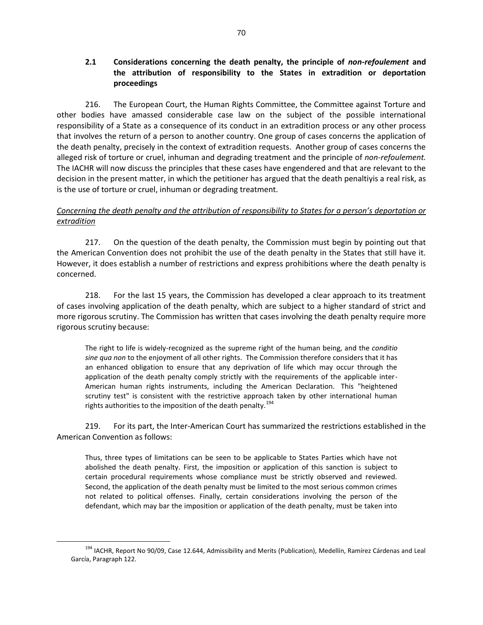# **2.1 Considerations concerning the death penalty, the principle of** *non-refoulement* **and the attribution of responsibility to the States in extradition or deportation proceedings**

216. The European Court, the Human Rights Committee, the Committee against Torture and other bodies have amassed considerable case law on the subject of the possible international responsibility of a State as a consequence of its conduct in an extradition process or any other process that involves the return of a person to another country. One group of cases concerns the application of the death penalty, precisely in the context of extradition requests. Another group of cases concerns the alleged risk of torture or cruel, inhuman and degrading treatment and the principle of *non-refoulement.*  The IACHR will now discuss the principles that these cases have engendered and that are relevant to the decision in the present matter, in which the petitioner has argued that the death penaltiyis a real risk, as is the use of torture or cruel, inhuman or degrading treatment.

## *Concerning the death penalty and the attribution of responsibility to States for a person's deportation or extradition*

217. On the question of the death penalty, the Commission must begin by pointing out that the American Convention does not prohibit the use of the death penalty in the States that still have it. However, it does establish a number of restrictions and express prohibitions where the death penalty is concerned.

218. For the last 15 years, the Commission has developed a clear approach to its treatment of cases involving application of the death penalty, which are subject to a higher standard of strict and more rigorous scrutiny. The Commission has written that cases involving the death penalty require more rigorous scrutiny because:

The right to life is widely-recognized as the supreme right of the human being, and the *conditio sine qua non* to the enjoyment of all other rights. The Commission therefore considers that it has an enhanced obligation to ensure that any deprivation of life which may occur through the application of the death penalty comply strictly with the requirements of the applicable inter-American human rights instruments, including the American Declaration. This "heightened scrutiny test" is consistent with the restrictive approach taken by other international human rights authorities to the imposition of the death penalty.<sup>194</sup>

219. For its part, the Inter-American Court has summarized the restrictions established in the American Convention as follows:

Thus, three types of limitations can be seen to be applicable to States Parties which have not abolished the death penalty. First, the imposition or application of this sanction is subject to certain procedural requirements whose compliance must be strictly observed and reviewed. Second, the application of the death penalty must be limited to the most serious common crimes not related to political offenses. Finally, certain considerations involving the person of the defendant, which may bar the imposition or application of the death penalty, must be taken into

<sup>&</sup>lt;sup>194</sup> IACHR, Report No 90/09, Case 12.644, Admissibility and Merits (Publication), Medellín, Ramírez Cárdenas and Leal García, Paragraph 122.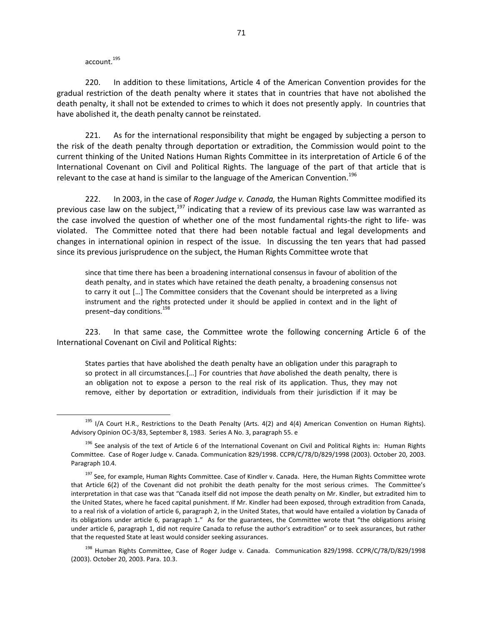account.<sup>195</sup>

 $\overline{a}$ 

220. In addition to these limitations, Article 4 of the American Convention provides for the gradual restriction of the death penalty where it states that in countries that have not abolished the death penalty, it shall not be extended to crimes to which it does not presently apply. In countries that have abolished it, the death penalty cannot be reinstated.

221. As for the international responsibility that might be engaged by subjecting a person to the risk of the death penalty through deportation or extradition, the Commission would point to the current thinking of the United Nations Human Rights Committee in its interpretation of Article 6 of the International Covenant on Civil and Political Rights. The language of the part of that article that is relevant to the case at hand is similar to the language of the American Convention.<sup>196</sup>

222. In 2003, in the case of *Roger Judge v. Canada,* the Human Rights Committee modified its previous case law on the subject, $197$  indicating that a review of its previous case law was warranted as the case involved the question of whether one of the most fundamental rights-the right to life- was violated. The Committee noted that there had been notable factual and legal developments and changes in international opinion in respect of the issue. In discussing the ten years that had passed since its previous jurisprudence on the subject, the Human Rights Committee wrote that

since that time there has been a broadening international consensus in favour of abolition of the death penalty, and in states which have retained the death penalty, a broadening consensus not to carry it out […] The Committee considers that the Covenant should be interpreted as a living instrument and the rights protected under it should be applied in context and in the light of present-day conditions.<sup>198</sup>

223. In that same case, the Committee wrote the following concerning Article 6 of the International Covenant on Civil and Political Rights:

States parties that have abolished the death penalty have an obligation under this paragraph to so protect in all circumstances.[…] For countries that *have* abolished the death penalty, there is an obligation not to expose a person to the real risk of its application. Thus, they may not remove, either by deportation or extradition, individuals from their jurisdiction if it may be

<sup>&</sup>lt;sup>195</sup> I/A Court H.R., Restrictions to the Death Penalty (Arts. 4(2) and 4(4) American Convention on Human Rights). Advisory Opinion OC-3/83, September 8, 1983. Series A No. 3, paragraph 55. e

<sup>&</sup>lt;sup>196</sup> See analysis of the text of Article 6 of the International Covenant on Civil and Political Rights in: Human Rights Committee. Case of Roger Judge v. Canada. Communication 829/1998. CCPR/C/78/D/829/1998 (2003). October 20, 2003. Paragraph 10.4.

<sup>&</sup>lt;sup>197</sup> See, for example, Human Rights Committee. Case of Kindler v. Canada. Here, the Human Rights Committee wrote that Article 6(2) of the Covenant did not prohibit the death penalty for the most serious crimes. The Committee's interpretation in that case was that "Canada itself did not impose the death penalty on Mr. Kindler, but extradited him to the United States, where he faced capital punishment. If Mr. Kindler had been exposed, through extradition from Canada, to a real risk of a violation of article 6, paragraph 2, in the United States, that would have entailed a violation by Canada of its obligations under article 6, paragraph 1." As for the guarantees, the Committee wrote that "the obligations arising under article 6, paragraph 1, did not require Canada to refuse the author's extradition" or to seek assurances, but rather that the requested State at least would consider seeking assurances.

<sup>&</sup>lt;sup>198</sup> Human Rights Committee, Case of Roger Judge v. Canada. Communication 829/1998. CCPR/C/78/D/829/1998 (2003). October 20, 2003. Para. 10.3.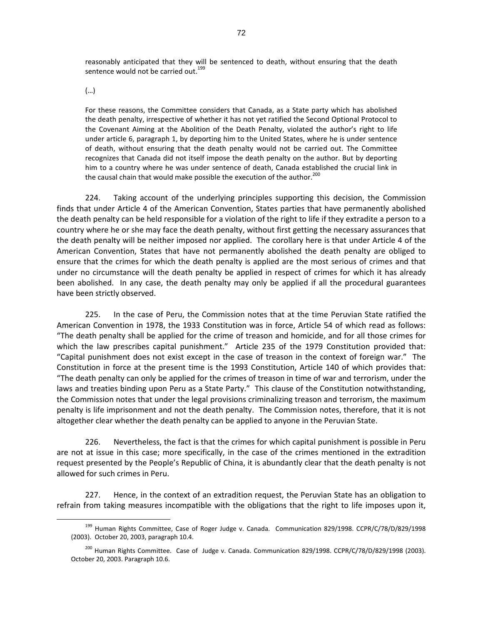reasonably anticipated that they will be sentenced to death, without ensuring that the death sentence would not be carried out.<sup>199</sup>

(…)

 $\overline{a}$ 

For these reasons, the Committee considers that Canada, as a State party which has abolished the death penalty, irrespective of whether it has not yet ratified the Second Optional Protocol to the Covenant Aiming at the Abolition of the Death Penalty, violated the author's right to life under article 6, paragraph 1, by deporting him to the United States, where he is under sentence of death, without ensuring that the death penalty would not be carried out. The Committee recognizes that Canada did not itself impose the death penalty on the author. But by deporting him to a country where he was under sentence of death, Canada established the crucial link in the causal chain that would make possible the execution of the author.<sup>200</sup>

224. Taking account of the underlying principles supporting this decision, the Commission finds that under Article 4 of the American Convention, States parties that have permanently abolished the death penalty can be held responsible for a violation of the right to life if they extradite a person to a country where he or she may face the death penalty, without first getting the necessary assurances that the death penalty will be neither imposed nor applied. The corollary here is that under Article 4 of the American Convention, States that have not permanently abolished the death penalty are obliged to ensure that the crimes for which the death penalty is applied are the most serious of crimes and that under no circumstance will the death penalty be applied in respect of crimes for which it has already been abolished. In any case, the death penalty may only be applied if all the procedural guarantees have been strictly observed.

225. In the case of Peru, the Commission notes that at the time Peruvian State ratified the American Convention in 1978, the 1933 Constitution was in force, Article 54 of which read as follows: "The death penalty shall be applied for the crime of treason and homicide, and for all those crimes for which the law prescribes capital punishment." Article 235 of the 1979 Constitution provided that: "Capital punishment does not exist except in the case of treason in the context of foreign war." The Constitution in force at the present time is the 1993 Constitution, Article 140 of which provides that: "The death penalty can only be applied for the crimes of treason in time of war and terrorism, under the laws and treaties binding upon Peru as a State Party." This clause of the Constitution notwithstanding, the Commission notes that under the legal provisions criminalizing treason and terrorism, the maximum penalty is life imprisonment and not the death penalty. The Commission notes, therefore, that it is not altogether clear whether the death penalty can be applied to anyone in the Peruvian State.

226. Nevertheless, the fact is that the crimes for which capital punishment is possible in Peru are not at issue in this case; more specifically, in the case of the crimes mentioned in the extradition request presented by the People's Republic of China, it is abundantly clear that the death penalty is not allowed for such crimes in Peru.

227. Hence, in the context of an extradition request, the Peruvian State has an obligation to refrain from taking measures incompatible with the obligations that the right to life imposes upon it,

<sup>&</sup>lt;sup>199</sup> Human Rights Committee, Case of Roger Judge v. Canada. Communication 829/1998. CCPR/C/78/D/829/1998 (2003). October 20, 2003, paragraph 10.4.

<sup>&</sup>lt;sup>200</sup> Human Rights Committee. Case of Judge v. Canada. Communication 829/1998. CCPR/C/78/D/829/1998 (2003). October 20, 2003. Paragraph 10.6.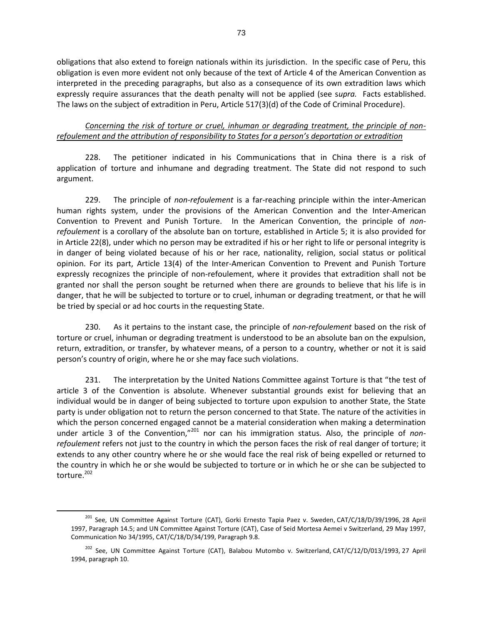obligations that also extend to foreign nationals within its jurisdiction. In the specific case of Peru, this obligation is even more evident not only because of the text of Article 4 of the American Convention as interpreted in the preceding paragraphs, but also as a consequence of its own extradition laws which expressly require assurances that the death penalty will not be applied (see s*upra.* Facts established. The laws on the subject of extradition in Peru, Article 517(3)(d) of the Code of Criminal Procedure).

*Concerning the risk of torture or cruel, inhuman or degrading treatment, the principle of nonrefoulement and the attribution of responsibility to States for a person's deportation or extradition* 

228. The petitioner indicated in his Communications that in China there is a risk of application of torture and inhumane and degrading treatment. The State did not respond to such argument.

229. The principle of *non-refoulement* is a far-reaching principle within the inter-American human rights system, under the provisions of the American Convention and the Inter-American Convention to Prevent and Punish Torture. In the American Convention, the principle of *nonrefoulement* is a corollary of the absolute ban on torture, established in Article 5; it is also provided for in Article 22(8), under which no person may be extradited if his or her right to life or personal integrity is in danger of being violated because of his or her race, nationality, religion, social status or political opinion. For its part, Article 13(4) of the Inter-American Convention to Prevent and Punish Torture expressly recognizes the principle of non-refoulement, where it provides that extradition shall not be granted nor shall the person sought be returned when there are grounds to believe that his life is in danger, that he will be subjected to torture or to cruel, inhuman or degrading treatment, or that he will be tried by special or ad hoc courts in the requesting State.

230. As it pertains to the instant case, the principle of *non-refoulement* based on the risk of torture or cruel, inhuman or degrading treatment is understood to be an absolute ban on the expulsion, return, extradition, or transfer, by whatever means, of a person to a country, whether or not it is said person's country of origin, where he or she may face such violations.

231. The interpretation by the United Nations Committee against Torture is that "the test of article 3 of the Convention is absolute. Whenever substantial grounds exist for believing that an individual would be in danger of being subjected to torture upon expulsion to another State, the State party is under obligation not to return the person concerned to that State. The nature of the activities in which the person concerned engaged cannot be a material consideration when making a determination under article 3 of the Convention,"<sup>201</sup> nor can his immigration status. Also, the principle of *nonrefoulement* refers not just to the country in which the person faces the risk of real danger of torture; it extends to any other country where he or she would face the real risk of being expelled or returned to the country in which he or she would be subjected to torture or in which he or she can be subjected to torture.<sup>202</sup>

<sup>201</sup> See, UN Committee Against Torture (CAT), Gorki Ernesto Tapia Paez v. Sweden, CAT/C/18/D/39/1996, 28 April 1997, Paragraph 14.5; and UN Committee Against Torture (CAT), Case of Seid Mortesa Aemei v Switzerland, 29 May 1997, Communication No 34/1995, CAT/C/18/D/34/199, Paragraph 9.8.

<sup>&</sup>lt;sup>202</sup> See, UN Committee Against Torture (CAT), Balabou Mutombo v. Switzerland, CAT/C/12/D/013/1993, 27 April 1994, paragraph 10.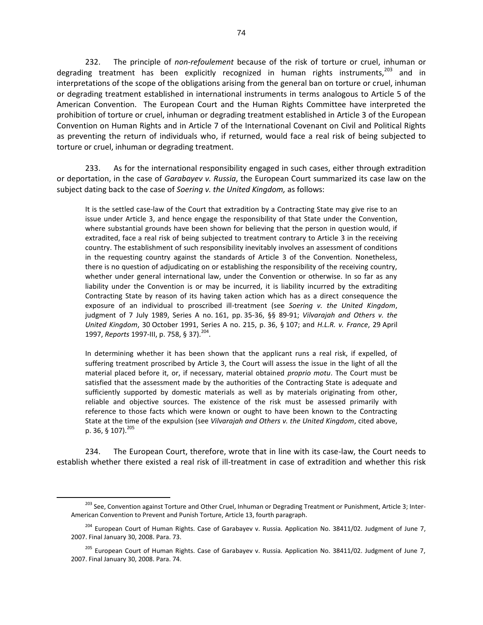232. The principle of *non-refoulement* because of the risk of torture or cruel, inhuman or degrading treatment has been explicitly recognized in human rights instruments, $^{203}$  and in interpretations of the scope of the obligations arising from the general ban on torture or cruel, inhuman or degrading treatment established in international instruments in terms analogous to Article 5 of the American Convention. The European Court and the Human Rights Committee have interpreted the prohibition of torture or cruel, inhuman or degrading treatment established in Article 3 of the European Convention on Human Rights and in Article 7 of the International Covenant on Civil and Political Rights as preventing the return of individuals who, if returned, would face a real risk of being subjected to torture or cruel, inhuman or degrading treatment.

233. As for the international responsibility engaged in such cases, either through extradition or deportation, in the case of *Garabayev v. Russia*, the European Court summarized its case law on the subject dating back to the case of *Soering v. the United Kingdom,* as follows:

It is the settled case-law of the Court that extradition by a Contracting State may give rise to an issue under Article 3, and hence engage the responsibility of that State under the Convention, where substantial grounds have been shown for believing that the person in question would, if extradited, face a real risk of being subjected to treatment contrary to Article 3 in the receiving country. The establishment of such responsibility inevitably involves an assessment of conditions in the requesting country against the standards of Article 3 of the Convention. Nonetheless, there is no question of adjudicating on or establishing the responsibility of the receiving country, whether under general international law, under the Convention or otherwise. In so far as any liability under the Convention is or may be incurred, it is liability incurred by the extraditing Contracting State by reason of its having taken action which has as a direct consequence the exposure of an individual to proscribed ill-treatment (see *Soering v. the United Kingdom*, judgment of 7 July 1989, Series A no. 161, pp. 35-36, §§ 89-91; *Vilvarajah and Others v. the United Kingdom*, 30 October 1991, Series A no. 215, p. 36, § 107; and *H.L.R. v. France*, 29 April 1997, *Reports* 1997-III, p. 758, § 37).<sup>204</sup>.

In determining whether it has been shown that the applicant runs a real risk, if expelled, of suffering treatment proscribed by Article 3, the Court will assess the issue in the light of all the material placed before it, or, if necessary, material obtained *proprio motu*. The Court must be satisfied that the assessment made by the authorities of the Contracting State is adequate and sufficiently supported by domestic materials as well as by materials originating from other, reliable and objective sources. The existence of the risk must be assessed primarily with reference to those facts which were known or ought to have been known to the Contracting State at the time of the expulsion (see *Vilvarajah and Others v. the United Kingdom*, cited above, p. 36, § 107). $^{205}$ 

234. The European Court, therefore, wrote that in line with its case-law, the Court needs to establish whether there existed a real risk of ill-treatment in case of extradition and whether this risk

<sup>&</sup>lt;sup>203</sup> See, Convention against Torture and Other Cruel, Inhuman or Degrading Treatment or Punishment, Article 3; Inter-American Convention to Prevent and Punish Torture, Article 13, fourth paragraph.

<sup>&</sup>lt;sup>204</sup> European Court of Human Rights. Case of Garabayev v. Russia. Application No. 38411/02. Judgment of June 7, 2007. Final January 30, 2008. Para. 73.

<sup>&</sup>lt;sup>205</sup> European Court of Human Rights. Case of Garabayev v. Russia. Application No. 38411/02. Judgment of June 7, 2007. Final January 30, 2008. Para. 74.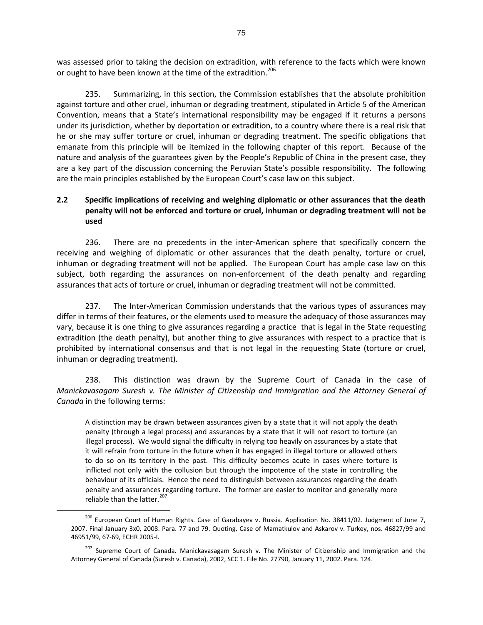was assessed prior to taking the decision on extradition, with reference to the facts which were known or ought to have been known at the time of the extradition.<sup>206</sup>

235. Summarizing, in this section, the Commission establishes that the absolute prohibition against torture and other cruel, inhuman or degrading treatment, stipulated in Article 5 of the American Convention, means that a State's international responsibility may be engaged if it returns a persons under its jurisdiction, whether by deportation or extradition, to a country where there is a real risk that he or she may suffer torture or cruel, inhuman or degrading treatment. The specific obligations that emanate from this principle will be itemized in the following chapter of this report. Because of the nature and analysis of the guarantees given by the People's Republic of China in the present case, they are a key part of the discussion concerning the Peruvian State's possible responsibility. The following are the main principles established by the European Court's case law on this subject.

## **2.2 Specific implications of receiving and weighing diplomatic or other assurances that the death penalty will not be enforced and torture or cruel, inhuman or degrading treatment will not be used**

236. There are no precedents in the inter-American sphere that specifically concern the receiving and weighing of diplomatic or other assurances that the death penalty, torture or cruel, inhuman or degrading treatment will not be applied. The European Court has ample case law on this subject, both regarding the assurances on non-enforcement of the death penalty and regarding assurances that acts of torture or cruel, inhuman or degrading treatment will not be committed.

237. The Inter-American Commission understands that the various types of assurances may differ in terms of their features, or the elements used to measure the adequacy of those assurances may vary, because it is one thing to give assurances regarding a practice that is legal in the State requesting extradition (the death penalty), but another thing to give assurances with respect to a practice that is prohibited by international consensus and that is not legal in the requesting State (torture or cruel, inhuman or degrading treatment).

238. This distinction was drawn by the Supreme Court of Canada in the case of *Manickavasagam Suresh v. The Minister of Citizenship and Immigration and the Attorney General of Canada* in the following terms:

A distinction may be drawn between assurances given by a state that it will not apply the death penalty (through a legal process) and assurances by a state that it will not resort to torture (an illegal process). We would signal the difficulty in relying too heavily on assurances by a state that it will refrain from torture in the future when it has engaged in illegal torture or allowed others to do so on its territory in the past. This difficulty becomes acute in cases where torture is inflicted not only with the collusion but through the impotence of the state in controlling the behaviour of its officials. Hence the need to distinguish between assurances regarding the death penalty and assurances regarding torture. The former are easier to monitor and generally more reliable than the latter.<sup>207</sup>

<sup>&</sup>lt;sup>206</sup> European Court of Human Rights. Case of Garabayev v. Russia. Application No. 38411/02. Judgment of June 7, 2007. Final January 3x0, 2008. Para. 77 and 79. Quoting. Case of Mamatkulov and Askarov v. Turkey, nos. 46827/99 and 46951/99, 67-69, ECHR 2005-I.

<sup>&</sup>lt;sup>207</sup> Supreme Court of Canada. Manickavasagam Suresh v. The Minister of Citizenship and Immigration and the Attorney General of Canada (Suresh v. Canada), 2002, SCC 1. File No. 27790, January 11, 2002. Para. 124.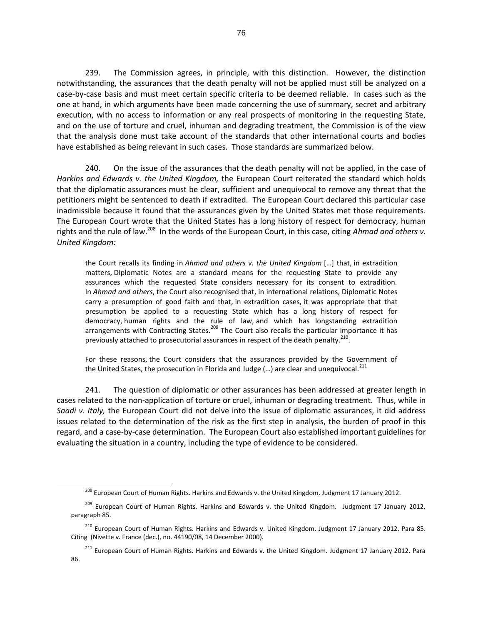239. The Commission agrees, in principle, with this distinction. However, the distinction notwithstanding, the assurances that the death penalty will not be applied must still be analyzed on a case-by-case basis and must meet certain specific criteria to be deemed reliable. In cases such as the one at hand, in which arguments have been made concerning the use of summary, secret and arbitrary execution, with no access to information or any real prospects of monitoring in the requesting State, and on the use of torture and cruel, inhuman and degrading treatment, the Commission is of the view that the analysis done must take account of the standards that other international courts and bodies have established as being relevant in such cases. Those standards are summarized below.

240. On the issue of the assurances that the death penalty will not be applied, in the case of *Harkins and Edwards v. the United Kingdom,* the European Court reiterated the standard which holds that the diplomatic assurances must be clear, sufficient and unequivocal to remove any threat that the petitioners might be sentenced to death if extradited. The European Court declared this particular case inadmissible because it found that the assurances given by the United States met those requirements. The European Court wrote that the United States has a long history of respect for democracy, human rights and the rule of law.<sup>208</sup> In the words of the European Court, in this case, citing *Ahmad and others v*. *United Kingdom:* 

the Court recalls its finding in *Ahmad and others v. the United Kingdom* […] that, in extradition matters, Diplomatic Notes are a standard means for the requesting State to provide any assurances which the requested State considers necessary for its consent to extradition. In *Ahmad and others*, the Court also recognised that, in international relations, Diplomatic Notes carry a presumption of good faith and that, in extradition cases, it was appropriate that that presumption be applied to a requesting State which has a long history of respect for democracy, human rights and the rule of law, and which has longstanding extradition arrangements with Contracting States.<sup>209</sup> The Court also recalls the particular importance it has previously attached to prosecutorial assurances in respect of the death penalty.<sup>210</sup>.

For these reasons, the Court considers that the assurances provided by the Government of the United States, the prosecution in Florida and Judge  $(...)$  are clear and unequivocal. $^{211}$ 

241. The question of diplomatic or other assurances has been addressed at greater length in cases related to the non-application of torture or cruel, inhuman or degrading treatment. Thus, while in *Saadi v. Italy,* the European Court did not delve into the issue of diplomatic assurances, it did address issues related to the determination of the risk as the first step in analysis, the burden of proof in this regard, and a case-by-case determination. The European Court also established important guidelines for evaluating the situation in a country, including the type of evidence to be considered.

<sup>&</sup>lt;sup>208</sup> European Court of Human Rights. Harkins and Edwards v. the United Kingdom. Judgment 17 January 2012.

<sup>&</sup>lt;sup>209</sup> European Court of Human Rights. Harkins and Edwards v. the United Kingdom. Judgment 17 January 2012, paragraph 85.

<sup>&</sup>lt;sup>210</sup> European Court of Human Rights. Harkins and Edwards v. United Kingdom. Judgment 17 January 2012. Para 85. Citing (Nivette v. France (dec.), no. 44190/08, 14 December 2000).

<sup>&</sup>lt;sup>211</sup> European Court of Human Rights. Harkins and Edwards v. the United Kingdom. Judgment 17 January 2012. Para 86.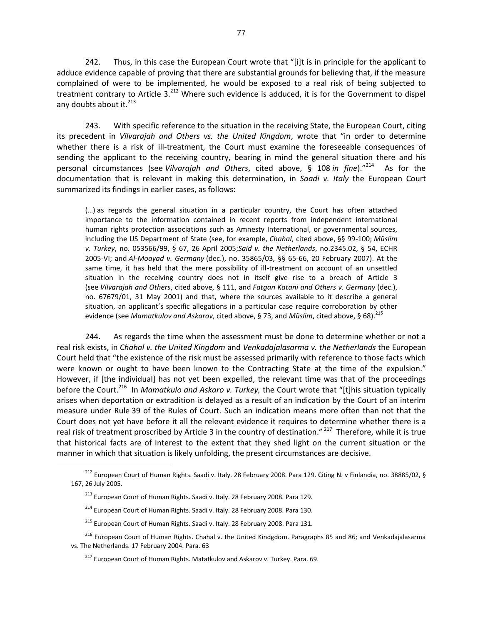242. Thus, in this case the European Court wrote that "[i]t is in principle for the applicant to adduce evidence capable of proving that there are substantial grounds for believing that, if the measure complained of were to be implemented, he would be exposed to a real risk of being subjected to treatment contrary to Article 3.<sup>212</sup> Where such evidence is adduced, it is for the Government to dispel any doubts about it. $^{213}$ 

243. With specific reference to the situation in the receiving State, the European Court, citing its precedent in *Vilvarajah and Others vs. the United Kingdom*, wrote that "in order to determine whether there is a risk of ill-treatment, the Court must examine the foreseeable consequences of sending the applicant to the receiving country, bearing in mind the general situation there and his personal circumstances (see *Vilvarajah and Others*, cited above, § 108 *in fine*)." 214 As for the documentation that is relevant in making this determination, in *Saadi v. Italy* the European Court summarized its findings in earlier cases, as follows:

(…) as regards the general situation in a particular country, the Court has often attached importance to the information contained in recent reports from independent international human rights protection associations such as Amnesty International, or governmental sources, including the US Department of State (see, for example, *Chahal*, cited above, §§ 99-100; *Müslim v. Turkey*, no. 053566/99, § 67, 26 April 2005;*Said v. the Netherlands*, no.2345.02, § 54, ECHR 2005-VI; and *Al-Moayad v. Germany* (dec.), no. 35865/03, §§ 65-66, 20 February 2007). At the same time, it has held that the mere possibility of ill-treatment on account of an unsettled situation in the receiving country does not in itself give rise to a breach of Article 3 (see *Vilvarajah and Others*, cited above, § 111, and *Fatgan Katani and Others v. Germany* (dec.), no. 67679/01, 31 May 2001) and that, where the sources available to it describe a general situation, an applicant's specific allegations in a particular case require corroboration by other evidence (see *Mamatkulov and Askarov*, cited above, § 73, and *Müslim*, cited above, § 68).<sup>215</sup>

244. As regards the time when the assessment must be done to determine whether or not a real risk exists, in *Chahal v. the United Kingdom* and *Venkadajalasarma v. the Netherlands* the European Court held that "the existence of the risk must be assessed primarily with reference to those facts which were known or ought to have been known to the Contracting State at the time of the expulsion." However, if [the individual] has not yet been expelled, the relevant time was that of the proceedings before the Court.<sup>216</sup> In *Mamatkulo and Askaro v. Turkey,* the Court wrote that "[t]his situation typically arises when deportation or extradition is delayed as a result of an indication by the Court of an interim measure under Rule 39 of the Rules of Court. Such an indication means more often than not that the Court does not yet have before it all the relevant evidence it requires to determine whether there is a real risk of treatment proscribed by Article 3 in the country of destination." <sup>217</sup> Therefore, while it is true that historical facts are of interest to the extent that they shed light on the current situation or the manner in which that situation is likely unfolding, the present circumstances are decisive.

<sup>&</sup>lt;sup>212</sup> European Court of Human Rights. Saadi v. Italy. 28 February 2008. Para 129. Citing N. v Finlandia, no. 38885/02, § 167, 26 July 2005.

<sup>&</sup>lt;sup>213</sup> European Court of Human Rights. Saadi v. Italy. 28 February 2008. Para 129.

<sup>&</sup>lt;sup>214</sup> European Court of Human Rights. Saadi v. Italy. 28 February 2008. Para 130.

<sup>&</sup>lt;sup>215</sup> European Court of Human Rights. Saadi v. Italy. 28 February 2008. Para 131.

<sup>&</sup>lt;sup>216</sup> European Court of Human Rights. Chahal v. the United Kindgdom. Paragraphs 85 and 86; and Venkadajalasarma vs. The Netherlands. 17 February 2004. Para. 63

<sup>&</sup>lt;sup>217</sup> European Court of Human Rights. Matatkulov and Askarov v. Turkey. Para. 69.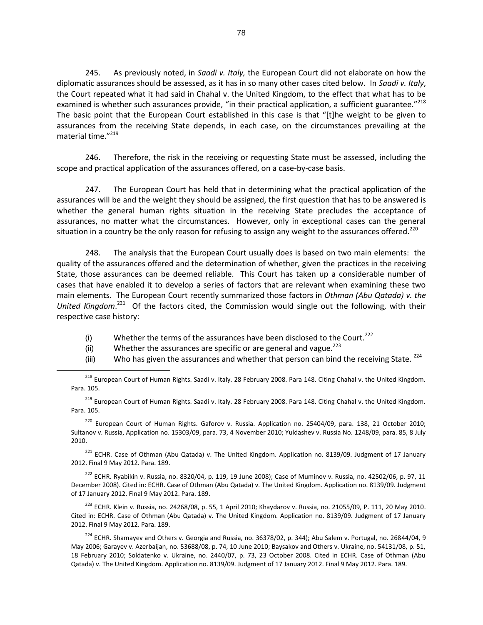245. As previously noted, in *Saadi v. Italy,* the European Court did not elaborate on how the diplomatic assurances should be assessed, as it has in so many other cases cited below. In *Saadi v. Italy*, the Court repeated what it had said in Chahal v. the United Kingdom, to the effect that what has to be examined is whether such assurances provide, "in their practical application, a sufficient guarantee."<sup>218</sup> The basic point that the European Court established in this case is that "[t]he weight to be given to assurances from the receiving State depends, in each case, on the circumstances prevailing at the material time." 219

246. Therefore, the risk in the receiving or requesting State must be assessed, including the scope and practical application of the assurances offered, on a case-by-case basis.

247. The European Court has held that in determining what the practical application of the assurances will be and the weight they should be assigned, the first question that has to be answered is whether the general human rights situation in the receiving State precludes the acceptance of assurances, no matter what the circumstances. However, only in exceptional cases can the general situation in a country be the only reason for refusing to assign any weight to the assurances offered.<sup>220</sup>

248. The analysis that the European Court usually does is based on two main elements: the quality of the assurances offered and the determination of whether, given the practices in the receiving State, those assurances can be deemed reliable. This Court has taken up a considerable number of cases that have enabled it to develop a series of factors that are relevant when examining these two main elements. The European Court recently summarized those factors in *Othman (Abu Qatada) v. the*  United Kingdom.<sup>221</sup> Of the factors cited, the Commission would single out the following, with their respective case history:

- (i) Whether the terms of the assurances have been disclosed to the Court.<sup>222</sup>
- (ii) Whether the assurances are specific or are general and vague.<sup>223</sup>

 $\overline{a}$ 

(iii) Who has given the assurances and whether that person can bind the receiving State.  $^{224}$ 

<sup>218</sup> European Court of Human Rights. Saadi v. Italy. 28 February 2008. Para 148. Citing Chahal v. the United Kingdom. Para. 105.

<sup>219</sup> European Court of Human Rights. Saadi v. Italy. 28 February 2008. Para 148. Citing Chahal v. the United Kingdom. Para. 105.

 $220$  European Court of Human Rights. Gaforov v. Russia. Application no. 25404/09, para. 138, 21 October 2010; Sultanov v. Russia, Application no. 15303/09, para. 73, 4 November 2010; Yuldashev v. Russia No. 1248/09, para. 85, 8 July 2010.

<sup>221</sup> ECHR. Case of Othman (Abu Qatada) v. The United Kingdom. Application no. 8139/09. Judgment of 17 January 2012. Final 9 May 2012. Para. 189.

 $222$  ECHR. Ryabikin v. Russia, no. 8320/04, p. 119, 19 June 2008); Case of Muminov v. Russia, no. 42502/06, p. 97, 11 December 2008). Cited in: ECHR. Case of Othman (Abu Qatada) v. The United Kingdom. Application no. 8139/09. Judgment of 17 January 2012. Final 9 May 2012. Para. 189.

<sup>223</sup> ECHR. Klein v. Russia, no. 24268/08, p. 55, 1 April 2010; Khaydarov v. Russia, no. 21055/09, P. 111, 20 May 2010. Cited in: ECHR. Case of Othman (Abu Qatada) v. The United Kingdom. Application no. 8139/09. Judgment of 17 January 2012. Final 9 May 2012. Para. 189.

<sup>224</sup> ECHR. Shamayev and Others v. Georgia and Russia, no. 36378/02, p. 344); Abu Salem v. Portugal, no. 26844/04, 9 May 2006; Garayev v. Azerbaijan, no. 53688/08, p. 74, 10 June 2010; Baysakov and Others v. Ukraine, no. 54131/08, p. 51, 18 February 2010; Soldatenko v. Ukraine, no. 2440/07, p. 73, 23 October 2008. Cited in ECHR. Case of Othman (Abu Qatada) v. The United Kingdom. Application no. 8139/09. Judgment of 17 January 2012. Final 9 May 2012. Para. 189.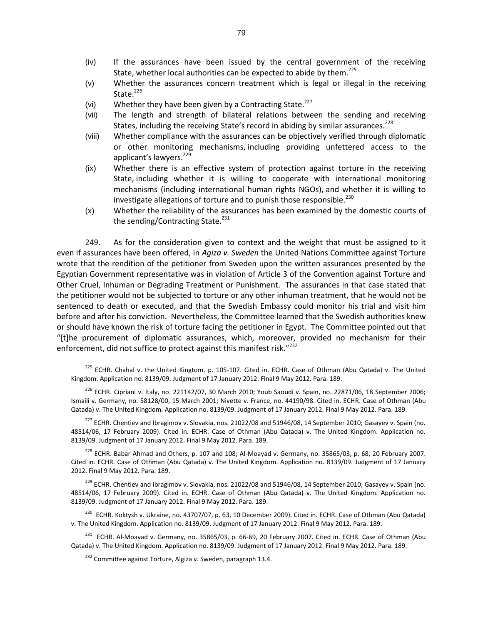- (iv) If the assurances have been issued by the central government of the receiving State, whether local authorities can be expected to abide by them.<sup>225</sup>
- (v) Whether the assurances concern treatment which is legal or illegal in the receiving State. $226$
- (vi) Whether they have been given by a Contracting State. $^{227}$
- (vii) The length and strength of bilateral relations between the sending and receiving States, including the receiving State's record in abiding by similar assurances.<sup>228</sup>
- (viii) Whether compliance with the assurances can be objectively verified through diplomatic or other monitoring mechanisms, including providing unfettered access to the applicant's lawyers.<sup>229</sup>
- (ix) Whether there is an effective system of protection against torture in the receiving State, including whether it is willing to cooperate with international monitoring mechanisms (including international human rights NGOs), and whether it is willing to investigate allegations of torture and to punish those responsible.<sup>230</sup>
- (x) Whether the reliability of the assurances has been examined by the domestic courts of the sending/Contracting State.<sup>231</sup>

249. As for the consideration given to context and the weight that must be assigned to it even if assurances have been offered, in *Agiza v. Sweden* the United Nations Committee against Torture wrote that the rendition of the petitioner from Sweden upon the written assurances presented by the Egyptian Government representative was in violation of Article 3 of the Convention against Torture and Other Cruel, Inhuman or Degrading Treatment or Punishment. The assurances in that case stated that the petitioner would not be subjected to torture or any other inhuman treatment, that he would not be sentenced to death or executed, and that the Swedish Embassy could monitor his trial and visit him before and after his conviction. Nevertheless, the Committee learned that the Swedish authorities knew or should have known the risk of torture facing the petitioner in Egypt. The Committee pointed out that "[t]he procurement of diplomatic assurances, which, moreover, provided no mechanism for their enforcement, did not suffice to protect against this manifest risk."<sup>232</sup>

 $^{229}$  ECHR. Chentiev and Ibragimov v. Slovakia, nos. 21022/08 and 51946/08, 14 September 2010; Gasayev v. Spain (no. 48514/06, 17 February 2009). Cited in. ECHR. Case of Othman (Abu Qatada) v. The United Kingdom. Application no. 8139/09. Judgment of 17 January 2012. Final 9 May 2012. Para. 189.

<sup>230</sup> ECHR. Koktysh v. Ukraine, no. 43707/07, p. 63, 10 December 2009). Cited in. ECHR. Case of Othman (Abu Qatada) v. The United Kingdom. Application no. 8139/09. Judgment of 17 January 2012. Final 9 May 2012. Para. 189.

<sup>231</sup> ECHR. Al-Moayad v. Germany, no. 35865/03, p. 66-69, 20 February 2007. Cited in. ECHR. Case of Othman (Abu Qatada) v. The United Kingdom. Application no. 8139/09. Judgment of 17 January 2012. Final 9 May 2012. Para. 189.

<sup>&</sup>lt;sup>225</sup> ECHR. Chahal v. the United Kingtom. p. 105-107. Cited in. ECHR. Case of Othman (Abu Qatada) v. The United Kingdom. Application no. 8139/09. Judgment of 17 January 2012. Final 9 May 2012. Para. 189.

<sup>&</sup>lt;sup>226</sup> ECHR. Cipriani v. Italy, no. 221142/07, 30 March 2010; Youb Saoudi v. Spain, no. 22871/06, 18 September 2006; Ismaili v. Germany, no. 58128/00, 15 March 2001; Nivette v. France, no. 44190/98. Cited in. ECHR. Case of Othman (Abu Qatada) v. The United Kingdom. Application no. 8139/09. Judgment of 17 January 2012. Final 9 May 2012. Para. 189.

<sup>&</sup>lt;sup>227</sup> ECHR. Chentiev and Ibragimov v. Slovakia, nos. 21022/08 and 51946/08, 14 September 2010; Gasayev v. Spain (no. 48514/06, 17 February 2009). Cited in. ECHR. Case of Othman (Abu Qatada) v. The United Kingdom. Application no. 8139/09. Judgment of 17 January 2012. Final 9 May 2012. Para. 189.

 $^{228}$  ECHR. Babar Ahmad and Others, p. 107 and 108; Al-Moayad v. Germany, no. 35865/03, p. 68, 20 February 2007. Cited in. ECHR. Case of Othman (Abu Qatada) v. The United Kingdom. Application no. 8139/09. Judgment of 17 January 2012. Final 9 May 2012. Para. 189.

 $232$  Committee against Torture, Algiza v. Sweden, paragraph 13.4.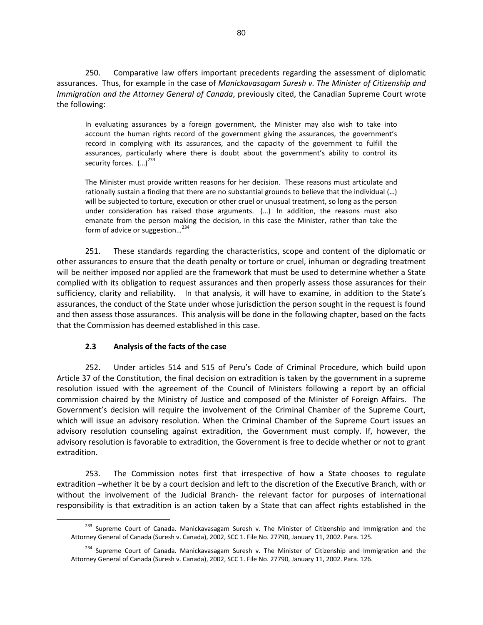250. Comparative law offers important precedents regarding the assessment of diplomatic assurances. Thus, for example in the case of *Manickavasagam Suresh v. The Minister of Citizenship and Immigration and the Attorney General of Canada*, previously cited, the Canadian Supreme Court wrote the following:

In evaluating assurances by a foreign government, the Minister may also wish to take into account the human rights record of the government giving the assurances, the government's record in complying with its assurances, and the capacity of the government to fulfill the assurances, particularly where there is doubt about the government's ability to control its security forces.  $(...)^{233}$ 

The Minister must provide written reasons for her decision. These reasons must articulate and rationally sustain a finding that there are no substantial grounds to believe that the individual (…) will be subjected to torture, execution or other cruel or unusual treatment, so long as the person under consideration has raised those arguments. (…) In addition, the reasons must also emanate from the person making the decision, in this case the Minister, rather than take the form of advice or suggestion...<sup>234</sup>

251. These standards regarding the characteristics, scope and content of the diplomatic or other assurances to ensure that the death penalty or torture or cruel, inhuman or degrading treatment will be neither imposed nor applied are the framework that must be used to determine whether a State complied with its obligation to request assurances and then properly assess those assurances for their sufficiency, clarity and reliability. In that analysis, it will have to examine, in addition to the State's assurances, the conduct of the State under whose jurisdiction the person sought in the request is found and then assess those assurances. This analysis will be done in the following chapter, based on the facts that the Commission has deemed established in this case.

### **2.3 Analysis of the facts of the case**

 $\overline{a}$ 

252. Under articles 514 and 515 of Peru's Code of Criminal Procedure, which build upon Article 37 of the Constitution, the final decision on extradition is taken by the government in a supreme resolution issued with the agreement of the Council of Ministers following a report by an official commission chaired by the Ministry of Justice and composed of the Minister of Foreign Affairs. The Government's decision will require the involvement of the Criminal Chamber of the Supreme Court, which will issue an advisory resolution. When the Criminal Chamber of the Supreme Court issues an advisory resolution counseling against extradition, the Government must comply. If, however, the advisory resolution is favorable to extradition, the Government is free to decide whether or not to grant extradition.

253. The Commission notes first that irrespective of how a State chooses to regulate extradition –whether it be by a court decision and left to the discretion of the Executive Branch, with or without the involvement of the Judicial Branch- the relevant factor for purposes of international responsibility is that extradition is an action taken by a State that can affect rights established in the

<sup>&</sup>lt;sup>233</sup> Supreme Court of Canada. Manickavasagam Suresh v. The Minister of Citizenship and Immigration and the Attorney General of Canada (Suresh v. Canada), 2002, SCC 1. File No. 27790, January 11, 2002. Para. 125.

<sup>&</sup>lt;sup>234</sup> Supreme Court of Canada. Manickavasagam Suresh v. The Minister of Citizenship and Immigration and the Attorney General of Canada (Suresh v. Canada), 2002, SCC 1. File No. 27790, January 11, 2002. Para. 126.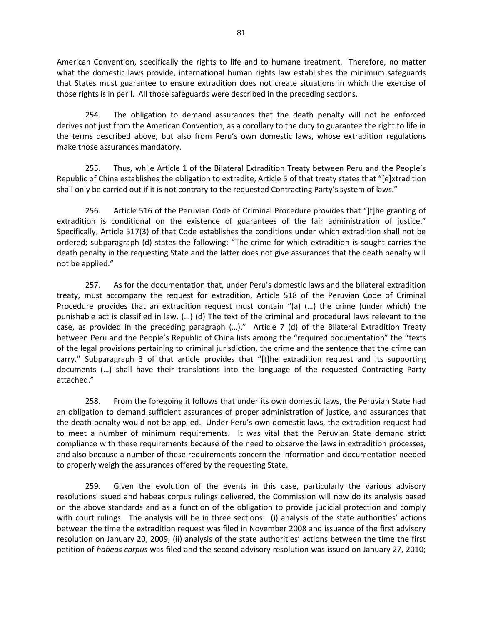American Convention, specifically the rights to life and to humane treatment. Therefore, no matter what the domestic laws provide, international human rights law establishes the minimum safeguards that States must guarantee to ensure extradition does not create situations in which the exercise of those rights is in peril. All those safeguards were described in the preceding sections.

254. The obligation to demand assurances that the death penalty will not be enforced derives not just from the American Convention, as a corollary to the duty to guarantee the right to life in the terms described above, but also from Peru's own domestic laws, whose extradition regulations make those assurances mandatory.

255. Thus, while Article 1 of the Bilateral Extradition Treaty between Peru and the People's Republic of China establishes the obligation to extradite, Article 5 of that treaty states that "[e]xtradition shall only be carried out if it is not contrary to the requested Contracting Party's system of laws."

256. Article 516 of the Peruvian Code of Criminal Procedure provides that "]t]he granting of extradition is conditional on the existence of guarantees of the fair administration of justice." Specifically, Article 517(3) of that Code establishes the conditions under which extradition shall not be ordered; subparagraph (d) states the following: "The crime for which extradition is sought carries the death penalty in the requesting State and the latter does not give assurances that the death penalty will not be applied."

257. As for the documentation that, under Peru's domestic laws and the bilateral extradition treaty, must accompany the request for extradition, Article 518 of the Peruvian Code of Criminal Procedure provides that an extradition request must contain "(a) (…) the crime (under which) the punishable act is classified in law. (…) (d) The text of the criminal and procedural laws relevant to the case, as provided in the preceding paragraph (…)." Article 7 (d) of the Bilateral Extradition Treaty between Peru and the People's Republic of China lists among the "required documentation" the "texts of the legal provisions pertaining to criminal jurisdiction, the crime and the sentence that the crime can carry." Subparagraph 3 of that article provides that "[t]he extradition request and its supporting documents (…) shall have their translations into the language of the requested Contracting Party attached."

258. From the foregoing it follows that under its own domestic laws, the Peruvian State had an obligation to demand sufficient assurances of proper administration of justice, and assurances that the death penalty would not be applied. Under Peru's own domestic laws, the extradition request had to meet a number of minimum requirements. It was vital that the Peruvian State demand strict compliance with these requirements because of the need to observe the laws in extradition processes, and also because a number of these requirements concern the information and documentation needed to properly weigh the assurances offered by the requesting State.

259. Given the evolution of the events in this case, particularly the various advisory resolutions issued and habeas corpus rulings delivered, the Commission will now do its analysis based on the above standards and as a function of the obligation to provide judicial protection and comply with court rulings. The analysis will be in three sections: (i) analysis of the state authorities' actions between the time the extradition request was filed in November 2008 and issuance of the first advisory resolution on January 20, 2009; (ii) analysis of the state authorities' actions between the time the first petition of *habeas corpus* was filed and the second advisory resolution was issued on January 27, 2010;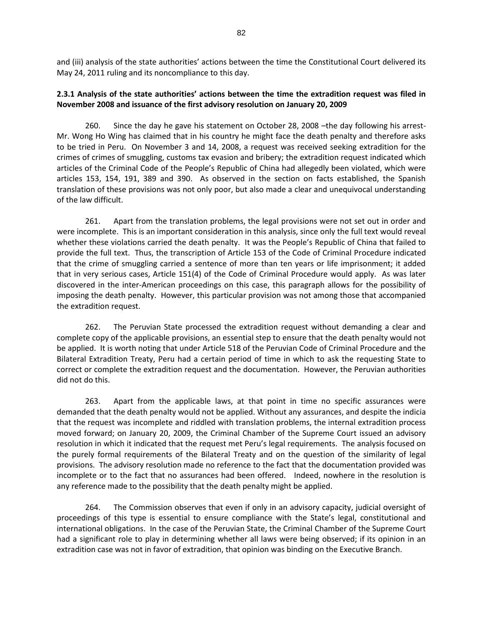and (iii) analysis of the state authorities' actions between the time the Constitutional Court delivered its May 24, 2011 ruling and its noncompliance to this day.

### **2.3.1 Analysis of the state authorities' actions between the time the extradition request was filed in November 2008 and issuance of the first advisory resolution on January 20, 2009**

260. Since the day he gave his statement on October 28, 2008 –the day following his arrest-Mr. Wong Ho Wing has claimed that in his country he might face the death penalty and therefore asks to be tried in Peru. On November 3 and 14, 2008, a request was received seeking extradition for the crimes of crimes of smuggling, customs tax evasion and bribery; the extradition request indicated which articles of the Criminal Code of the People's Republic of China had allegedly been violated, which were articles 153, 154, 191, 389 and 390. As observed in the section on facts established, the Spanish translation of these provisions was not only poor, but also made a clear and unequivocal understanding of the law difficult.

261. Apart from the translation problems, the legal provisions were not set out in order and were incomplete. This is an important consideration in this analysis, since only the full text would reveal whether these violations carried the death penalty. It was the People's Republic of China that failed to provide the full text. Thus, the transcription of Article 153 of the Code of Criminal Procedure indicated that the crime of smuggling carried a sentence of more than ten years or life imprisonment; it added that in very serious cases, Article 151(4) of the Code of Criminal Procedure would apply. As was later discovered in the inter-American proceedings on this case, this paragraph allows for the possibility of imposing the death penalty. However, this particular provision was not among those that accompanied the extradition request.

262. The Peruvian State processed the extradition request without demanding a clear and complete copy of the applicable provisions, an essential step to ensure that the death penalty would not be applied. It is worth noting that under Article 518 of the Peruvian Code of Criminal Procedure and the Bilateral Extradition Treaty, Peru had a certain period of time in which to ask the requesting State to correct or complete the extradition request and the documentation. However, the Peruvian authorities did not do this.

263. Apart from the applicable laws, at that point in time no specific assurances were demanded that the death penalty would not be applied. Without any assurances, and despite the indicia that the request was incomplete and riddled with translation problems, the internal extradition process moved forward; on January 20, 2009, the Criminal Chamber of the Supreme Court issued an advisory resolution in which it indicated that the request met Peru's legal requirements. The analysis focused on the purely formal requirements of the Bilateral Treaty and on the question of the similarity of legal provisions. The advisory resolution made no reference to the fact that the documentation provided was incomplete or to the fact that no assurances had been offered. Indeed, nowhere in the resolution is any reference made to the possibility that the death penalty might be applied.

264. The Commission observes that even if only in an advisory capacity, judicial oversight of proceedings of this type is essential to ensure compliance with the State's legal, constitutional and international obligations. In the case of the Peruvian State, the Criminal Chamber of the Supreme Court had a significant role to play in determining whether all laws were being observed; if its opinion in an extradition case was not in favor of extradition, that opinion was binding on the Executive Branch.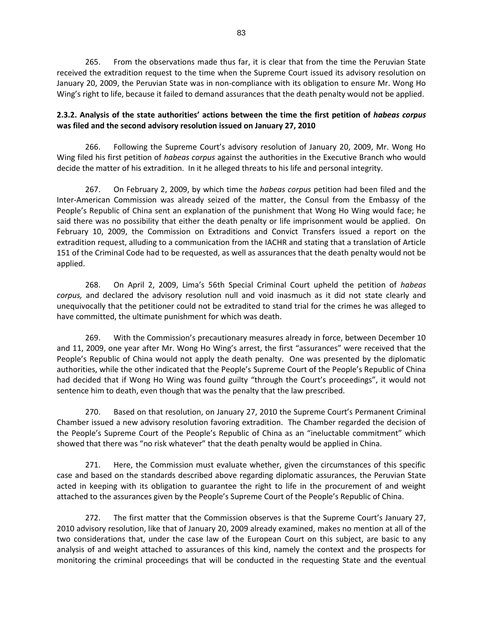265. From the observations made thus far, it is clear that from the time the Peruvian State received the extradition request to the time when the Supreme Court issued its advisory resolution on January 20, 2009, the Peruvian State was in non-compliance with its obligation to ensure Mr. Wong Ho Wing's right to life, because it failed to demand assurances that the death penalty would not be applied.

## **2.3.2. Analysis of the state authorities' actions between the time the first petition of** *habeas corpus*  **was filed and the second advisory resolution issued on January 27, 2010**

266. Following the Supreme Court's advisory resolution of January 20, 2009, Mr. Wong Ho Wing filed his first petition of *habeas corpus* against the authorities in the Executive Branch who would decide the matter of his extradition. In it he alleged threats to his life and personal integrity.

267. On February 2, 2009, by which time the *habeas corpus* petition had been filed and the Inter-American Commission was already seized of the matter, the Consul from the Embassy of the People's Republic of China sent an explanation of the punishment that Wong Ho Wing would face; he said there was no possibility that either the death penalty or life imprisonment would be applied. On February 10, 2009, the Commission on Extraditions and Convict Transfers issued a report on the extradition request, alluding to a communication from the IACHR and stating that a translation of Article 151 of the Criminal Code had to be requested, as well as assurances that the death penalty would not be applied.

268. On April 2, 2009, Lima's 56th Special Criminal Court upheld the petition of *habeas corpus,* and declared the advisory resolution null and void inasmuch as it did not state clearly and unequivocally that the petitioner could not be extradited to stand trial for the crimes he was alleged to have committed, the ultimate punishment for which was death.

269. With the Commission's precautionary measures already in force, between December 10 and 11, 2009, one year after Mr. Wong Ho Wing's arrest, the first "assurances" were received that the People's Republic of China would not apply the death penalty. One was presented by the diplomatic authorities, while the other indicated that the People's Supreme Court of the People's Republic of China had decided that if Wong Ho Wing was found guilty "through the Court's proceedings", it would not sentence him to death, even though that was the penalty that the law prescribed.

270. Based on that resolution, on January 27, 2010 the Supreme Court's Permanent Criminal Chamber issued a new advisory resolution favoring extradition. The Chamber regarded the decision of the People's Supreme Court of the People's Republic of China as an "ineluctable commitment" which showed that there was "no risk whatever" that the death penalty would be applied in China.

271. Here, the Commission must evaluate whether, given the circumstances of this specific case and based on the standards described above regarding diplomatic assurances, the Peruvian State acted in keeping with its obligation to guarantee the right to life in the procurement of and weight attached to the assurances given by the People's Supreme Court of the People's Republic of China.

272. The first matter that the Commission observes is that the Supreme Court's January 27, 2010 advisory resolution, like that of January 20, 2009 already examined, makes no mention at all of the two considerations that, under the case law of the European Court on this subject, are basic to any analysis of and weight attached to assurances of this kind, namely the context and the prospects for monitoring the criminal proceedings that will be conducted in the requesting State and the eventual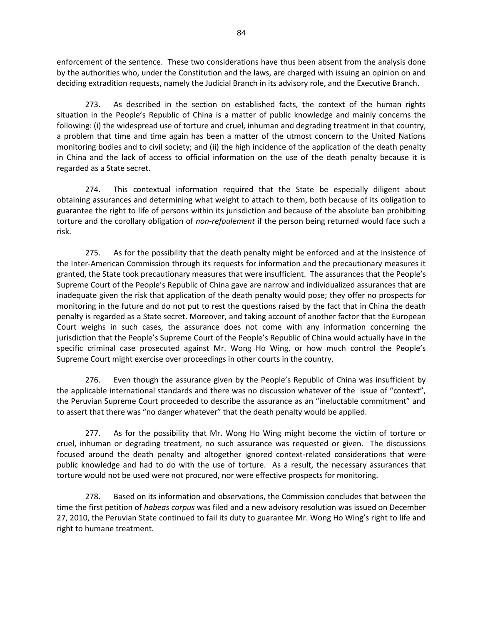enforcement of the sentence. These two considerations have thus been absent from the analysis done by the authorities who, under the Constitution and the laws, are charged with issuing an opinion on and deciding extradition requests, namely the Judicial Branch in its advisory role, and the Executive Branch.

273. As described in the section on established facts, the context of the human rights situation in the People's Republic of China is a matter of public knowledge and mainly concerns the following: (i) the widespread use of torture and cruel, inhuman and degrading treatment in that country, a problem that time and time again has been a matter of the utmost concern to the United Nations monitoring bodies and to civil society; and (ii) the high incidence of the application of the death penalty in China and the lack of access to official information on the use of the death penalty because it is regarded as a State secret.

274. This contextual information required that the State be especially diligent about obtaining assurances and determining what weight to attach to them, both because of its obligation to guarantee the right to life of persons within its jurisdiction and because of the absolute ban prohibiting torture and the corollary obligation of *non-refoulement* if the person being returned would face such a risk.

275. As for the possibility that the death penalty might be enforced and at the insistence of the Inter-American Commission through its requests for information and the precautionary measures it granted, the State took precautionary measures that were insufficient. The assurances that the People's Supreme Court of the People's Republic of China gave are narrow and individualized assurances that are inadequate given the risk that application of the death penalty would pose; they offer no prospects for monitoring in the future and do not put to rest the questions raised by the fact that in China the death penalty is regarded as a State secret. Moreover, and taking account of another factor that the European Court weighs in such cases, the assurance does not come with any information concerning the jurisdiction that the People's Supreme Court of the People's Republic of China would actually have in the specific criminal case prosecuted against Mr. Wong Ho Wing, or how much control the People's Supreme Court might exercise over proceedings in other courts in the country.

276. Even though the assurance given by the People's Republic of China was insufficient by the applicable international standards and there was no discussion whatever of the issue of "context", the Peruvian Supreme Court proceeded to describe the assurance as an "ineluctable commitment" and to assert that there was "no danger whatever" that the death penalty would be applied.

277. As for the possibility that Mr. Wong Ho Wing might become the victim of torture or cruel, inhuman or degrading treatment, no such assurance was requested or given. The discussions focused around the death penalty and altogether ignored context-related considerations that were public knowledge and had to do with the use of torture. As a result, the necessary assurances that torture would not be used were not procured, nor were effective prospects for monitoring.

278. Based on its information and observations, the Commission concludes that between the time the first petition of *habeas corpus* was filed and a new advisory resolution was issued on December 27, 2010, the Peruvian State continued to fail its duty to guarantee Mr. Wong Ho Wing's right to life and right to humane treatment.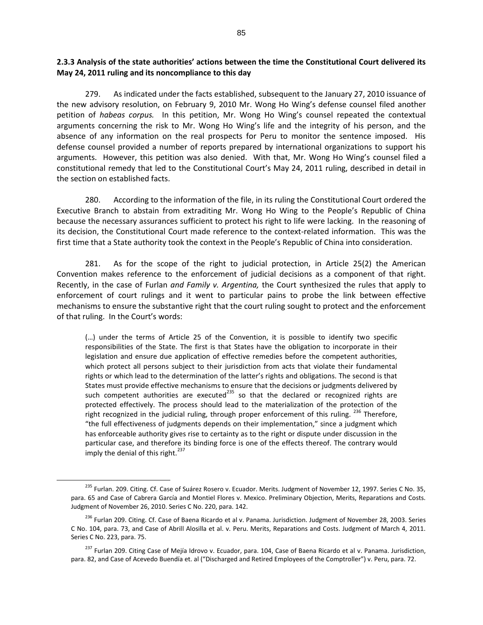**2.3.3 Analysis of the state authorities' actions between the time the Constitutional Court delivered its May 24, 2011 ruling and its noncompliance to this day** 

279. As indicated under the facts established, subsequent to the January 27, 2010 issuance of the new advisory resolution, on February 9, 2010 Mr. Wong Ho Wing's defense counsel filed another petition of *habeas corpus.* In this petition, Mr. Wong Ho Wing's counsel repeated the contextual arguments concerning the risk to Mr. Wong Ho Wing's life and the integrity of his person, and the absence of any information on the real prospects for Peru to monitor the sentence imposed. His defense counsel provided a number of reports prepared by international organizations to support his arguments. However, this petition was also denied. With that, Mr. Wong Ho Wing's counsel filed a constitutional remedy that led to the Constitutional Court's May 24, 2011 ruling, described in detail in the section on established facts.

280. According to the information of the file, in its ruling the Constitutional Court ordered the Executive Branch to abstain from extraditing Mr. Wong Ho Wing to the People's Republic of China because the necessary assurances sufficient to protect his right to life were lacking. In the reasoning of its decision, the Constitutional Court made reference to the context-related information. This was the first time that a State authority took the context in the People's Republic of China into consideration.

281. As for the scope of the right to judicial protection, in Article 25(2) the American Convention makes reference to the enforcement of judicial decisions as a component of that right. Recently, in the case of Furlan *and Family v. Argentina,* the Court synthesized the rules that apply to enforcement of court rulings and it went to particular pains to probe the link between effective mechanisms to ensure the substantive right that the court ruling sought to protect and the enforcement of that ruling. In the Court's words:

(…) under the terms of Article 25 of the Convention, it is possible to identify two specific responsibilities of the State. The first is that States have the obligation to incorporate in their legislation and ensure due application of effective remedies before the competent authorities, which protect all persons subject to their jurisdiction from acts that violate their fundamental rights or which lead to the determination of the latter's rights and obligations. The second is that States must provide effective mechanisms to ensure that the decisions or judgments delivered by such competent authorities are executed<sup>235</sup> so that the declared or recognized rights are protected effectively. The process should lead to the materialization of the protection of the right recognized in the judicial ruling, through proper enforcement of this ruling. <sup>236</sup> Therefore, "the full effectiveness of judgments depends on their implementation," since a judgment which has enforceable authority gives rise to certainty as to the right or dispute under discussion in the particular case, and therefore its binding force is one of the effects thereof. The contrary would imply the denial of this right.<sup>237</sup>

<sup>&</sup>lt;sup>235</sup> Furlan. 209. Citing. Cf. Case of Suárez Rosero v. Ecuador. Merits. Judgment of November 12, 1997. Series C No. 35, para. 65 and Case of Cabrera García and Montiel Flores v. Mexico. Preliminary Objection, Merits, Reparations and Costs. Judgment of November 26, 2010. Series C No. 220, para. 142.

<sup>&</sup>lt;sup>236</sup> Furlan 209. Citing. Cf. Case of Baena Ricardo et al v. Panama. Jurisdiction. Judgment of November 28, 2003. Series C No. 104, para. 73, and Case of Abrill Alosilla et al. v. Peru. Merits, Reparations and Costs. Judgment of March 4, 2011. Series C No. 223, para. 75.

<sup>&</sup>lt;sup>237</sup> Furlan 209. Citing Case of Mejía Idrovo v. Ecuador, para. 104, Case of Baena Ricardo et al v. Panama. Jurisdiction, para. 82, and Case of Acevedo Buendía et. al ("Discharged and Retired Employees of the Comptroller") v. Peru, para. 72.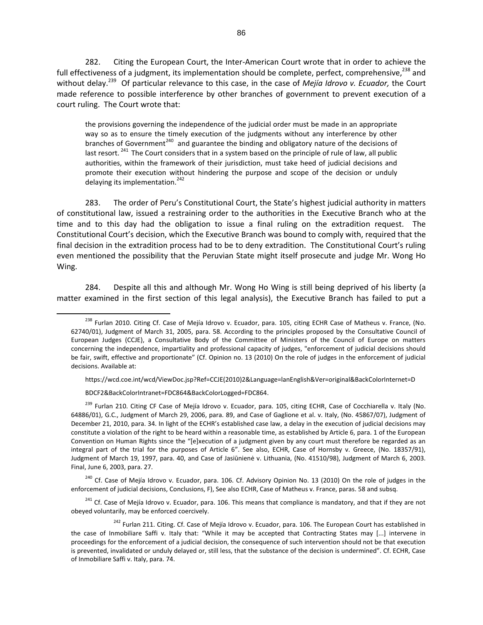282. Citing the European Court, the Inter-American Court wrote that in order to achieve the full effectiveness of a judgment, its implementation should be complete, perfect, comprehensive,  $^{238}$  and without delay.<sup>239</sup> Of particular relevance to this case, in the case of *Mejía Idrovo v. Ecuador,* the Court made reference to possible interference by other branches of government to prevent execution of a court ruling. The Court wrote that:

the provisions governing the independence of the judicial order must be made in an appropriate way so as to ensure the timely execution of the judgments without any interference by other branches of Government<sup>240</sup> and guarantee the binding and obligatory nature of the decisions of last resort. <sup>241</sup> The Court considers that in a system based on the principle of rule of law, all public authorities, within the framework of their jurisdiction, must take heed of judicial decisions and promote their execution without hindering the purpose and scope of the decision or unduly delaying its implementation.<sup>242</sup>

283. The order of Peru's Constitutional Court, the State's highest judicial authority in matters of constitutional law, issued a restraining order to the authorities in the Executive Branch who at the time and to this day had the obligation to issue a final ruling on the extradition request. The Constitutional Court's decision, which the Executive Branch was bound to comply with, required that the final decision in the extradition process had to be to deny extradition. The Constitutional Court's ruling even mentioned the possibility that the Peruvian State might itself prosecute and judge Mr. Wong Ho Wing.

284. Despite all this and although Mr. Wong Ho Wing is still being deprived of his liberty (a matter examined in the first section of this legal analysis), the Executive Branch has failed to put a

https://wcd.coe.int/wcd/ViewDoc.jsp?Ref=CCJE(2010)2&Language=lanEnglish&Ver=original&BackColorInternet=D

BDCF2&BackColorIntranet=FDC864&BackColorLogged=FDC864.

 $\overline{a}$ 

<sup>240</sup> Cf. Case of Mejía Idrovo v. Ecuador, para. 106. Cf. Advisory Opinion No. 13 (2010) On the role of judges in the enforcement of judicial decisions, Conclusions, F), See also ECHR, Case of Matheus v. France, paras. 58 and subsq.

 $241$  Cf. Case of Mejía Idrovo v. Ecuador, para. 106. This means that compliance is mandatory, and that if they are not obeyed voluntarily, may be enforced coercively.

<sup>&</sup>lt;sup>238</sup> Furlan 2010. Citing Cf. Case of Mejía Idrovo v. Ecuador, para. 105, citing ECHR Case of Matheus v. France, (No. 62740/01), Judgment of March 31, 2005, para. 58. According to the principles proposed by the Consultative Council of European Judges (CCJE), a Consultative Body of the Committee of Ministers of the Council of Europe on matters concerning the independence, impartiality and professional capacity of judges, "enforcement of judicial decisions should be fair, swift, effective and proportionate" (Cf. Opinion no. 13 (2010) On the role of judges in the enforcement of judicial decisions. Available at:

 $^{239}$  Furlan 210. Citing CF Case of Meiía Idrovo v. Ecuador, para. 105, citing ECHR, Case of Cocchiarella v. Italy (No. 64886/01), G.C., Judgment of March 29, 2006, para. 89, and Case of Gaglione et al. v. Italy, (No. 45867/07), Judgment of December 21, 2010, para. 34. In light of the ECHR's established case law, a delay in the execution of judicial decisions may constitute a violation of the right to be heard within a reasonable time, as established by Article 6, para. 1 of the European Convention on Human Rights since the "[e]xecution of a judgment given by any court must therefore be regarded as an integral part of the trial for the purposes of Article 6". See also, ECHR, Case of Hornsby v. Greece, (No. 18357/91), Judgment of March 19, 1997, para. 40, and Case of Jasiūnienė v. Lithuania, (No. 41510/98), Judgment of March 6, 2003. Final, June 6, 2003, para. 27.

<sup>&</sup>lt;sup>242</sup> Furlan 211. Citing. Cf. Case of Mejía Idrovo v. Ecuador, para. 106. The European Court has established in the case of Inmobiliare Saffi v. Italy that: "While it may be accepted that Contracting States may [...] intervene in proceedings for the enforcement of a judicial decision, the consequence of such intervention should not be that execution is prevented, invalidated or unduly delayed or, still less, that the substance of the decision is undermined". Cf. ECHR, Case of Inmobiliare Saffi v. Italy, para. 74.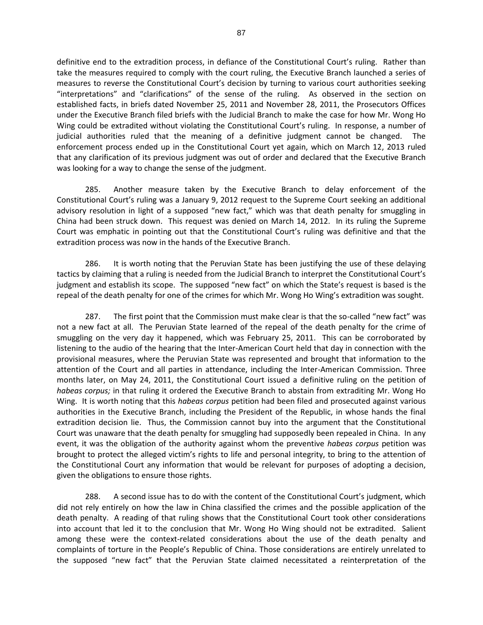definitive end to the extradition process, in defiance of the Constitutional Court's ruling. Rather than take the measures required to comply with the court ruling, the Executive Branch launched a series of measures to reverse the Constitutional Court's decision by turning to various court authorities seeking "interpretations" and "clarifications" of the sense of the ruling. As observed in the section on established facts, in briefs dated November 25, 2011 and November 28, 2011, the Prosecutors Offices under the Executive Branch filed briefs with the Judicial Branch to make the case for how Mr. Wong Ho Wing could be extradited without violating the Constitutional Court's ruling. In response, a number of judicial authorities ruled that the meaning of a definitive judgment cannot be changed. The enforcement process ended up in the Constitutional Court yet again, which on March 12, 2013 ruled that any clarification of its previous judgment was out of order and declared that the Executive Branch was looking for a way to change the sense of the judgment.

285. Another measure taken by the Executive Branch to delay enforcement of the Constitutional Court's ruling was a January 9, 2012 request to the Supreme Court seeking an additional advisory resolution in light of a supposed "new fact," which was that death penalty for smuggling in China had been struck down. This request was denied on March 14, 2012. In its ruling the Supreme Court was emphatic in pointing out that the Constitutional Court's ruling was definitive and that the extradition process was now in the hands of the Executive Branch.

286. It is worth noting that the Peruvian State has been justifying the use of these delaying tactics by claiming that a ruling is needed from the Judicial Branch to interpret the Constitutional Court's judgment and establish its scope. The supposed "new fact" on which the State's request is based is the repeal of the death penalty for one of the crimes for which Mr. Wong Ho Wing's extradition was sought.

287. The first point that the Commission must make clear is that the so-called "new fact" was not a new fact at all. The Peruvian State learned of the repeal of the death penalty for the crime of smuggling on the very day it happened, which was February 25, 2011. This can be corroborated by listening to the audio of the hearing that the Inter-American Court held that day in connection with the provisional measures, where the Peruvian State was represented and brought that information to the attention of the Court and all parties in attendance, including the Inter-American Commission. Three months later, on May 24, 2011, the Constitutional Court issued a definitive ruling on the petition of *habeas corpus;* in that ruling it ordered the Executive Branch to abstain from extraditing Mr. Wong Ho Wing. It is worth noting that this *habeas corpus* petition had been filed and prosecuted against various authorities in the Executive Branch, including the President of the Republic, in whose hands the final extradition decision lie. Thus, the Commission cannot buy into the argument that the Constitutional Court was unaware that the death penalty for smuggling had supposedly been repealed in China. In any event, it was the obligation of the authority against whom the preventive *habeas corpus* petition was brought to protect the alleged victim's rights to life and personal integrity, to bring to the attention of the Constitutional Court any information that would be relevant for purposes of adopting a decision, given the obligations to ensure those rights.

288. A second issue has to do with the content of the Constitutional Court's judgment, which did not rely entirely on how the law in China classified the crimes and the possible application of the death penalty. A reading of that ruling shows that the Constitutional Court took other considerations into account that led it to the conclusion that Mr. Wong Ho Wing should not be extradited. Salient among these were the context-related considerations about the use of the death penalty and complaints of torture in the People's Republic of China. Those considerations are entirely unrelated to the supposed "new fact" that the Peruvian State claimed necessitated a reinterpretation of the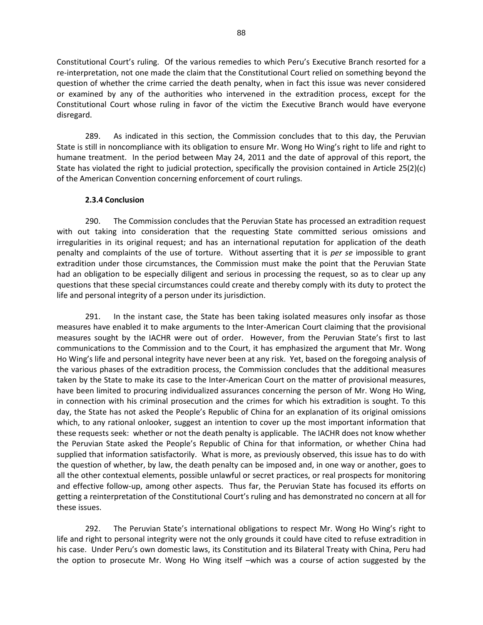Constitutional Court's ruling. Of the various remedies to which Peru's Executive Branch resorted for a re-interpretation, not one made the claim that the Constitutional Court relied on something beyond the question of whether the crime carried the death penalty, when in fact this issue was never considered or examined by any of the authorities who intervened in the extradition process, except for the Constitutional Court whose ruling in favor of the victim the Executive Branch would have everyone disregard.

289. As indicated in this section, the Commission concludes that to this day, the Peruvian State is still in noncompliance with its obligation to ensure Mr. Wong Ho Wing's right to life and right to humane treatment. In the period between May 24, 2011 and the date of approval of this report, the State has violated the right to judicial protection, specifically the provision contained in Article 25(2)(c) of the American Convention concerning enforcement of court rulings.

### **2.3.4 Conclusion**

290. The Commission concludes that the Peruvian State has processed an extradition request with out taking into consideration that the requesting State committed serious omissions and irregularities in its original request; and has an international reputation for application of the death penalty and complaints of the use of torture. Without asserting that it is *per se* impossible to grant extradition under those circumstances, the Commission must make the point that the Peruvian State had an obligation to be especially diligent and serious in processing the request, so as to clear up any questions that these special circumstances could create and thereby comply with its duty to protect the life and personal integrity of a person under its jurisdiction.

291. In the instant case, the State has been taking isolated measures only insofar as those measures have enabled it to make arguments to the Inter-American Court claiming that the provisional measures sought by the IACHR were out of order. However, from the Peruvian State's first to last communications to the Commission and to the Court, it has emphasized the argument that Mr. Wong Ho Wing's life and personal integrity have never been at any risk. Yet, based on the foregoing analysis of the various phases of the extradition process, the Commission concludes that the additional measures taken by the State to make its case to the Inter-American Court on the matter of provisional measures, have been limited to procuring individualized assurances concerning the person of Mr. Wong Ho Wing, in connection with his criminal prosecution and the crimes for which his extradition is sought. To this day, the State has not asked the People's Republic of China for an explanation of its original omissions which, to any rational onlooker, suggest an intention to cover up the most important information that these requests seek: whether or not the death penalty is applicable. The IACHR does not know whether the Peruvian State asked the People's Republic of China for that information, or whether China had supplied that information satisfactorily. What is more, as previously observed, this issue has to do with the question of whether, by law, the death penalty can be imposed and, in one way or another, goes to all the other contextual elements, possible unlawful or secret practices, or real prospects for monitoring and effective follow-up, among other aspects. Thus far, the Peruvian State has focused its efforts on getting a reinterpretation of the Constitutional Court's ruling and has demonstrated no concern at all for these issues.

292. The Peruvian State's international obligations to respect Mr. Wong Ho Wing's right to life and right to personal integrity were not the only grounds it could have cited to refuse extradition in his case. Under Peru's own domestic laws, its Constitution and its Bilateral Treaty with China, Peru had the option to prosecute Mr. Wong Ho Wing itself –which was a course of action suggested by the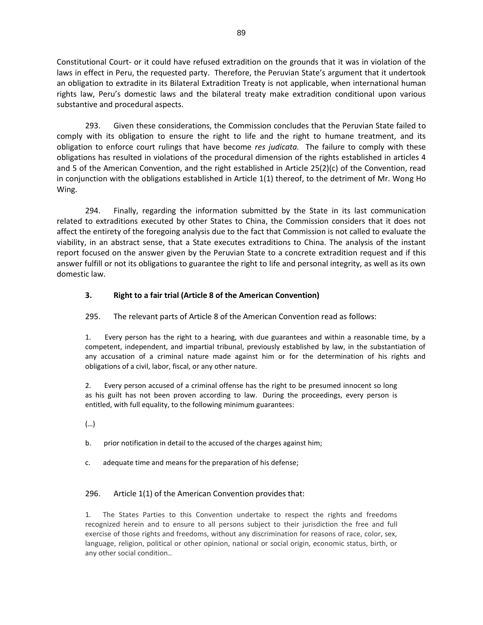Constitutional Court- or it could have refused extradition on the grounds that it was in violation of the laws in effect in Peru, the requested party. Therefore, the Peruvian State's argument that it undertook an obligation to extradite in its Bilateral Extradition Treaty is not applicable, when international human rights law, Peru's domestic laws and the bilateral treaty make extradition conditional upon various substantive and procedural aspects.

293. Given these considerations, the Commission concludes that the Peruvian State failed to comply with its obligation to ensure the right to life and the right to humane treatment, and its obligation to enforce court rulings that have become *res judicata.* The failure to comply with these obligations has resulted in violations of the procedural dimension of the rights established in articles 4 and 5 of the American Convention, and the right established in Article 25(2)(c) of the Convention, read in conjunction with the obligations established in Article 1(1) thereof, to the detriment of Mr. Wong Ho Wing.

294. Finally, regarding the information submitted by the State in its last communication related to extraditions executed by other States to China, the Commission considers that it does not affect the entirety of the foregoing analysis due to the fact that Commission is not called to evaluate the viability, in an abstract sense, that a State executes extraditions to China. The analysis of the instant report focused on the answer given by the Peruvian State to a concrete extradition request and if this answer fulfill or not its obligations to guarantee the right to life and personal integrity, as well as its own domestic law.

## **3. Right to a fair trial (Article 8 of the American Convention)**

295. The relevant parts of Article 8 of the American Convention read as follows:

1. Every person has the right to a hearing, with due guarantees and within a reasonable time, by a competent, independent, and impartial tribunal, previously established by law, in the substantiation of any accusation of a criminal nature made against him or for the determination of his rights and obligations of a civil, labor, fiscal, or any other nature.

2. Every person accused of a criminal offense has the right to be presumed innocent so long as his guilt has not been proven according to law. During the proceedings, every person is entitled, with full equality, to the following minimum guarantees:

(…)

b. prior notification in detail to the accused of the charges against him;

c. adequate time and means for the preparation of his defense;

#### 296. Article 1(1) of the American Convention provides that:

1. The States Parties to this Convention undertake to respect the rights and freedoms recognized herein and to ensure to all persons subject to their jurisdiction the free and full exercise of those rights and freedoms, without any discrimination for reasons of race, color, sex, language, religion, political or other opinion, national or social origin, economic status, birth, or any other social condition..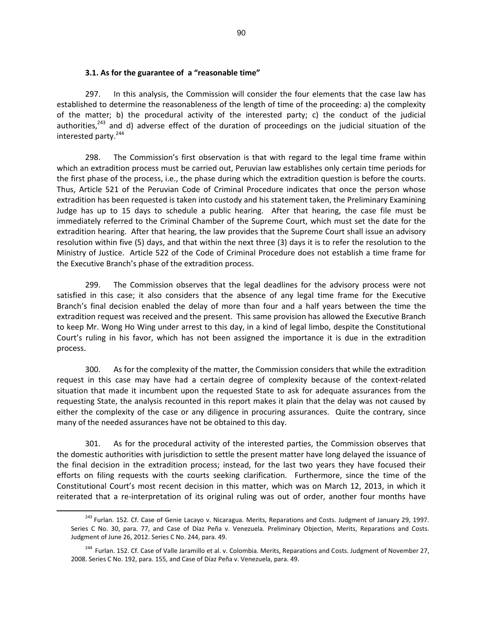#### **3.1. As for the guarantee of a "reasonable time"**

297. In this analysis, the Commission will consider the four elements that the case law has established to determine the reasonableness of the length of time of the proceeding: a) the complexity of the matter; b) the procedural activity of the interested party; c) the conduct of the judicial authorities,<sup>243</sup> and d) adverse effect of the duration of proceedings on the judicial situation of the interested party.<sup>244</sup>

298. The Commission's first observation is that with regard to the legal time frame within which an extradition process must be carried out, Peruvian law establishes only certain time periods for the first phase of the process, i.e., the phase during which the extradition question is before the courts. Thus, Article 521 of the Peruvian Code of Criminal Procedure indicates that once the person whose extradition has been requested is taken into custody and his statement taken, the Preliminary Examining Judge has up to 15 days to schedule a public hearing. After that hearing, the case file must be immediately referred to the Criminal Chamber of the Supreme Court, which must set the date for the extradition hearing. After that hearing, the law provides that the Supreme Court shall issue an advisory resolution within five (5) days, and that within the next three (3) days it is to refer the resolution to the Ministry of Justice. Article 522 of the Code of Criminal Procedure does not establish a time frame for the Executive Branch's phase of the extradition process.

299. The Commission observes that the legal deadlines for the advisory process were not satisfied in this case; it also considers that the absence of any legal time frame for the Executive Branch's final decision enabled the delay of more than four and a half years between the time the extradition request was received and the present. This same provision has allowed the Executive Branch to keep Mr. Wong Ho Wing under arrest to this day, in a kind of legal limbo, despite the Constitutional Court's ruling in his favor, which has not been assigned the importance it is due in the extradition process.

300. As for the complexity of the matter, the Commission considers that while the extradition request in this case may have had a certain degree of complexity because of the context-related situation that made it incumbent upon the requested State to ask for adequate assurances from the requesting State, the analysis recounted in this report makes it plain that the delay was not caused by either the complexity of the case or any diligence in procuring assurances. Quite the contrary, since many of the needed assurances have not be obtained to this day.

301. As for the procedural activity of the interested parties, the Commission observes that the domestic authorities with jurisdiction to settle the present matter have long delayed the issuance of the final decision in the extradition process; instead, for the last two years they have focused their efforts on filing requests with the courts seeking clarification. Furthermore, since the time of the Constitutional Court's most recent decision in this matter, which was on March 12, 2013, in which it reiterated that a re-interpretation of its original ruling was out of order, another four months have

<sup>&</sup>lt;sup>243</sup> Furlan. 152. Cf. Case of Genie Lacayo v. Nicaragua. Merits, Reparations and Costs. Judgment of January 29, 1997. Series C No. 30, para. 77, and Case of Díaz Peña v. Venezuela. Preliminary Objection, Merits, Reparations and Costs. Judgment of June 26, 2012. Series C No. 244, para. 49.

<sup>&</sup>lt;sup>244</sup> Furlan. 152. Cf. Case of Valle Jaramillo et al. v. Colombia. Merits, Reparations and Costs. Judgment of November 27, 2008. Series C No. 192, para. 155, and Case of Díaz Peña v. Venezuela, para. 49.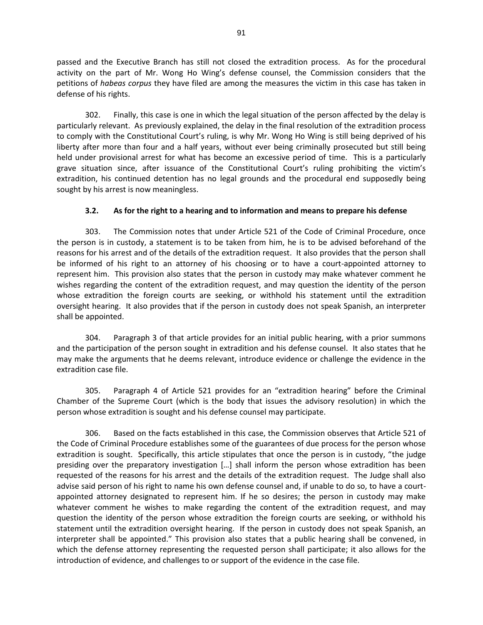passed and the Executive Branch has still not closed the extradition process. As for the procedural activity on the part of Mr. Wong Ho Wing's defense counsel, the Commission considers that the petitions of *habeas corpus* they have filed are among the measures the victim in this case has taken in defense of his rights.

302. Finally, this case is one in which the legal situation of the person affected by the delay is particularly relevant. As previously explained, the delay in the final resolution of the extradition process to comply with the Constitutional Court's ruling, is why Mr. Wong Ho Wing is still being deprived of his liberty after more than four and a half years, without ever being criminally prosecuted but still being held under provisional arrest for what has become an excessive period of time. This is a particularly grave situation since, after issuance of the Constitutional Court's ruling prohibiting the victim's extradition, his continued detention has no legal grounds and the procedural end supposedly being sought by his arrest is now meaningless.

## **3.2. As for the right to a hearing and to information and means to prepare his defense**

303. The Commission notes that under Article 521 of the Code of Criminal Procedure, once the person is in custody, a statement is to be taken from him, he is to be advised beforehand of the reasons for his arrest and of the details of the extradition request. It also provides that the person shall be informed of his right to an attorney of his choosing or to have a court-appointed attorney to represent him. This provision also states that the person in custody may make whatever comment he wishes regarding the content of the extradition request, and may question the identity of the person whose extradition the foreign courts are seeking, or withhold his statement until the extradition oversight hearing. It also provides that if the person in custody does not speak Spanish, an interpreter shall be appointed.

304. Paragraph 3 of that article provides for an initial public hearing, with a prior summons and the participation of the person sought in extradition and his defense counsel. It also states that he may make the arguments that he deems relevant, introduce evidence or challenge the evidence in the extradition case file.

305. Paragraph 4 of Article 521 provides for an "extradition hearing" before the Criminal Chamber of the Supreme Court (which is the body that issues the advisory resolution) in which the person whose extradition is sought and his defense counsel may participate.

306. Based on the facts established in this case, the Commission observes that Article 521 of the Code of Criminal Procedure establishes some of the guarantees of due process for the person whose extradition is sought. Specifically, this article stipulates that once the person is in custody, "the judge presiding over the preparatory investigation […] shall inform the person whose extradition has been requested of the reasons for his arrest and the details of the extradition request. The Judge shall also advise said person of his right to name his own defense counsel and, if unable to do so, to have a courtappointed attorney designated to represent him. If he so desires; the person in custody may make whatever comment he wishes to make regarding the content of the extradition request, and may question the identity of the person whose extradition the foreign courts are seeking, or withhold his statement until the extradition oversight hearing. If the person in custody does not speak Spanish, an interpreter shall be appointed." This provision also states that a public hearing shall be convened, in which the defense attorney representing the requested person shall participate; it also allows for the introduction of evidence, and challenges to or support of the evidence in the case file.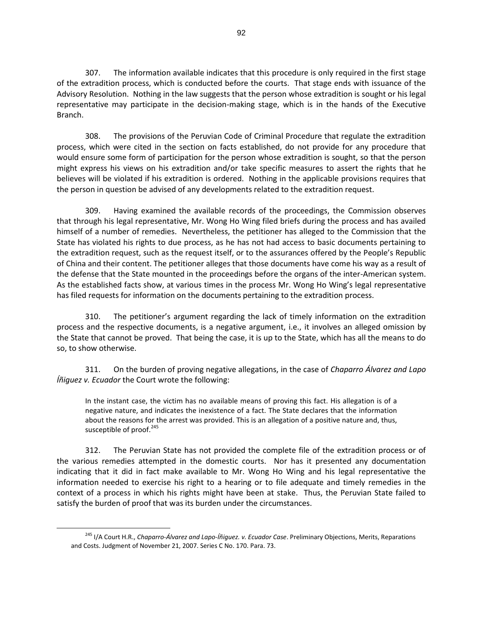307. The information available indicates that this procedure is only required in the first stage of the extradition process, which is conducted before the courts. That stage ends with issuance of the Advisory Resolution. Nothing in the law suggests that the person whose extradition is sought or his legal representative may participate in the decision-making stage, which is in the hands of the Executive Branch.

308. The provisions of the Peruvian Code of Criminal Procedure that regulate the extradition process, which were cited in the section on facts established, do not provide for any procedure that would ensure some form of participation for the person whose extradition is sought, so that the person might express his views on his extradition and/or take specific measures to assert the rights that he believes will be violated if his extradition is ordered. Nothing in the applicable provisions requires that the person in question be advised of any developments related to the extradition request.

309. Having examined the available records of the proceedings, the Commission observes that through his legal representative, Mr. Wong Ho Wing filed briefs during the process and has availed himself of a number of remedies. Nevertheless, the petitioner has alleged to the Commission that the State has violated his rights to due process, as he has not had access to basic documents pertaining to the extradition request, such as the request itself, or to the assurances offered by the People's Republic of China and their content. The petitioner alleges that those documents have come his way as a result of the defense that the State mounted in the proceedings before the organs of the inter-American system. As the established facts show, at various times in the process Mr. Wong Ho Wing's legal representative has filed requests for information on the documents pertaining to the extradition process.

310. The petitioner's argument regarding the lack of timely information on the extradition process and the respective documents, is a negative argument, i.e., it involves an alleged omission by the State that cannot be proved. That being the case, it is up to the State, which has all the means to do so, to show otherwise.

311. On the burden of proving negative allegations, in the case of *Chaparro Álvarez and Lapo Íñiguez v. Ecuador* the Court wrote the following:

In the instant case, the victim has no available means of proving this fact. His allegation is of a negative nature, and indicates the inexistence of a fact. The State declares that the information about the reasons for the arrest was provided. This is an allegation of a positive nature and, thus, susceptible of proof.<sup>245</sup>

312. The Peruvian State has not provided the complete file of the extradition process or of the various remedies attempted in the domestic courts. Nor has it presented any documentation indicating that it did in fact make available to Mr. Wong Ho Wing and his legal representative the information needed to exercise his right to a hearing or to file adequate and timely remedies in the context of a process in which his rights might have been at stake. Thus, the Peruvian State failed to satisfy the burden of proof that was its burden under the circumstances.

<sup>245</sup> I/A Court H.R., *Chaparro-Álvarez and Lapo-Íñiguez. v. Ecuador Case*. Preliminary Objections, Merits, Reparations and Costs. Judgment of November 21, 2007. Series C No. 170. Para. 73.